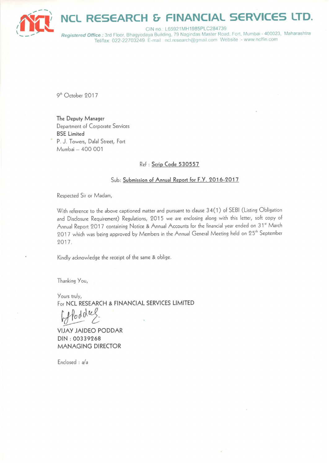

#### **INANCIAL SERVICES RESEARCH &** TD.

CIN no.: L65921MH1985PLC284739 Registered Office: 3rd Floor, Bhagyodaya Building, 79 Nagindas Master Road, Fort, Mumbai - 400023, Maharashtra Tel/fax: 022-22703249 E-mail: ncl.research@gmail.com Website:- www.nclfin.com

9<sup>th</sup> October 2017

The Deputy Manager Department of Corporate Services **BSE** Limited P. J. Towers, Dalal Street, Fort Mumbai - 400 001

# Ref : Scrip Code 530557

# Sub: Submission of Annual Report for F.Y. 2016-2017

Respected Sir or Madam,

With reference to the above captioned matter and pursuant to clause 34(1) of SEBI (Listing Obligation and Disclosure Requirement) Regulations, 2015 we are enclosing along with this letter, soft copy of Annual Report 2017 containing Notice & Annual Accounts for the financial year ended on 31st March 2017 which was being approved by Members in the Annual General Meeting held on 25<sup>th</sup> September 2017.

Kindly acknowledge the receipt of the same & oblige.

Thanking You,

Yours truly, For NCL RESEARCH & FINANCIAL SERVICES LIMITED

oddrel

**VIJAY JAIDEO PODDAR** DIN: 00339268 **MANAGING DIRECTOR** 

Enclosed : a/a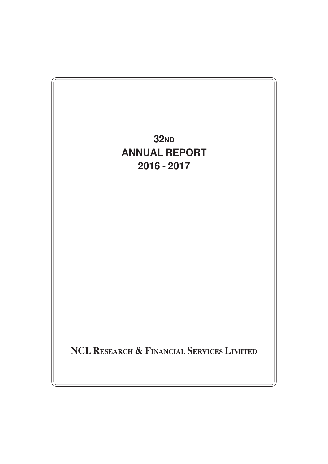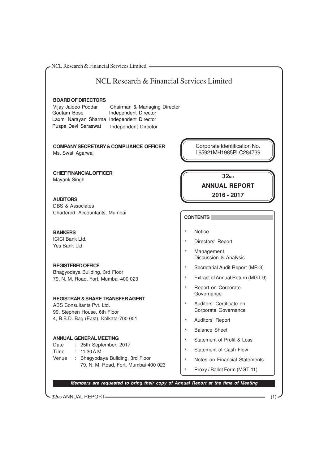32ND ANNUAL REPORT (1) NCL Research & Financial Services Limited **BOARD OF DIRECTORS** Vijay Jaideo Poddar Chairman & Managing Director Independent Director **COMPANY SECRETARY & COMPLIANCE OFFICER** Ms. Swati Agarwal **CHIEF FINANCIAL OFFICER** Mayank Singh **AUDITORS** DBS & Associates Chartered Accountants, Mumbai **BANKERS** ICICI Bank Ltd. Yes Bank Ltd. **REGISTERED OFFICE** Bhagyodaya Building, 3rd Floor 79, N. M. Road, Fort, Mumbai-400 023 **REGISTRAR & SHARE TRANSFER AGENT** ABS Consultants Pvt. Ltd. 99, Stephen House, 6th Floor 4, B.B.D. Bag (East), Kolkata-700 001 **ANNUAL GENERAL MEETING** Date : 25th September, 2017 Time : 11.30 A.M. Venue : Bhagyodaya Building, 3rd Floor 79, N. M. Road, Fort, Mumbai-400 023 NCL Research & Financial Services Limited **Members are requested to bring their copy of Annual Report at the time of Meeting CONTENTS** \* Notice Directors' Report \* Management Discussion & Analysis \* Secretarial Audit Report (MR-3) \* Extract of Annual Return (MGT-9) \* Report on Corporate **Governance** Auditors' Certificate on Corporate Governance \* Auditors' Report \* Balance Sheet \* Statement of Profit & Loss \* Statement of Cash Flow \* Notes on Financial Statements Proxy / Ballot Form (MGT-11) **32ND ANNUAL REPORT 2016 - 2017** Corporate Identification No. L65921MH1985PLC284739 Goutam Bose **Independent Director** Laxmi Narayan Sharma Independent Director Puspa Devi Saraswat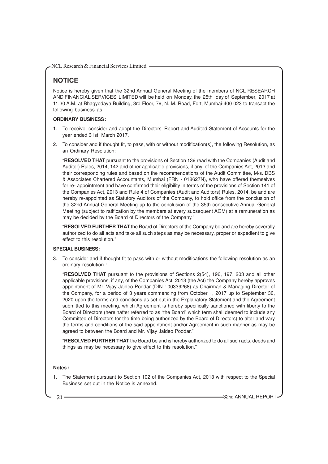# **NOTICE**

Notice is hereby given that the 32nd Annual General Meeting of the members of NCL RESEARCH AND FINANCIAL SERVICES LIMITED will be held on Monday, the 25th day of September, 2017 at 11.30 A.M. at Bhagyodaya Building, 3rd Floor, 79, N. M. Road, Fort, Mumbai-400 023 to transact the following business as :

#### **ORDINARY BUSINESS :**

- 1. To receive, consider and adopt the Directors' Report and Audited Statement of Accounts for the year ended 31st March 2017.
- 2. To consider and if thought fit, to pass, with or without modification(s), the following Resolution, as an Ordinary Resolution:

"**RESOLVED THAT** pursuant to the provisions of Section 139 read with the Companies (Audit and Auditor) Rules, 2014, 142 and other applicable provisions, if any, of the Companies Act, 2013 and their corresponding rules and based on the recommendations of the Audit Committee, M/s. DBS & Associates Chartered Accountants, Mumbai (FRN - 018627N), who have offered themselves for re- appointment and have confirmed their eligibility in terms of the provisions of Section 141 of the Companies Act, 2013 and Rule 4 of Companies (Audit and Auditors) Rules, 2014, be and are hereby re-appointed as Statutory Auditors of the Company, to hold office from the conclusion of the 32nd Annual General Meeting up to the conclusion of the 35th consecutive Annual General Meeting (subject to ratification by the members at every subsequent AGM) at a remuneration as may be decided by the Board of Directors of the Company."

"**RESOLVED FURTHER THAT** the Board of Directors of the Company be and are hereby severally authorized to do all acts and take all such steps as may be necessary, proper or expedient to give effect to this resolution."

#### **SPECIAL BUSINESS:**

3. To consider and if thought fit to pass with or without modifications the following resolution as an ordinary resolution :

"**RESOLVED THAT** pursuant to the provisions of Sections 2(54), 196, 197, 203 and all other applicable provisions, if any, of the Companies Act, 2013 (the Act) the Company hereby approves appointment of Mr. Vijay Jaideo Poddar (DIN : 00339268) as Chairman & Managing Director of the Company, for a period of 3 years commencing from October 1, 2017 up to September 30, 2020 upon the terms and conditions as set out in the Explanatory Statement and the Agreement submitted to this meeting, which Agreement is hereby specifically sanctioned with liberty to the Board of Directors (hereinafter referred to as "the Board" which term shall deemed to include any Committee of Directors for the time being authorized by the Board of Directors) to alter and vary the terms and conditions of the said appointment and/or Agreement in such manner as may be agreed to between the Board and Mr. Vijay Jaideo Poddar."

"**RESOLVED FURTHER THAT** the Board be and is hereby authorized to do all such acts, deeds and things as may be necessary to give effect to this resolution."

#### **Notes :**

1. The Statement pursuant to Section 102 of the Companies Act, 2013 with respect to the Special Business set out in the Notice is annexed.

(2) **32ND ANNUAL REPORT**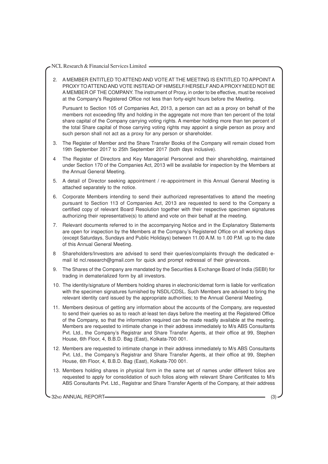2. A MEMBER ENTITLED TO ATTEND AND VOTE AT THE MEETING IS ENTITLED TO APPOINT A PROXY TO ATTEND AND VOTE INSTEAD OF HIMSELF/HERSELF AND A PROXY NEED NOT BE A MEMBER OF THE COMPANY. The instrument of Proxy, in order to be effective, must be received at the Company's Registered Office not less than forty-eight hours before the Meeting.

Pursuant to Section 105 of Companies Act, 2013, a person can act as a proxy on behalf of the members not exceeding fifty and holding in the aggregate not more than ten percent of the total share capital of the Company carrying voting rights. A member holding more than ten percent of the total Share capital of those carrying voting rights may appoint a single person as proxy and such person shall not act as a proxy for any person or shareholder.

- 3. The Register of Member and the Share Transfer Books of the Company will remain closed from 19th September 2017 to 25th September 2017 (both days inclusive).
- 4 The Register of Directors and Key Managerial Personnel and their shareholding, maintained under Section 170 of the Companies Act, 2013 will be available for inspection by the Members at the Annual General Meeting.
- 5. A detail of Director seeking appointment / re-appointment in this Annual General Meeting is attached separately to the notice.
- 6. Corporate Members intending to send their authorized representatives to attend the meeting pursuant to Section 113 of Companies Act, 2013 are requested to send to the Company a certified copy of relevant Board Resolution together with their respective specimen signatures authorizing their representative(s) to attend and vote on their behalf at the meeting.
- 7. Relevant documents referred to in the accompanying Notice and in the Explanatory Statements are open for inspection by the Members at the Company's Registered Office on all working days (except Saturdays, Sundays and Public Holidays) between 11.00 A.M. to 1.00 P.M. up to the date of this Annual General Meeting.
- 8 Shareholders/Investors are advised to send their queries/complaints through the dedicated email Id ncl.research@gmail.com for quick and prompt redressal of their grievances.
- 9. The Shares of the Company are mandated by the Securities & Exchange Board of India (SEBI) for trading in dematerialized form by all investors.
- 10. The identity/signature of Members holding shares in electronic/demat form is liable for verification with the specimen signatures furnished by NSDL/CDSL. Such Members are advised to bring the relevant identity card issued by the appropriate authorities; to the Annual General Meeting.
- 11. Members desirous of getting any information about the accounts of the Company, are requested to send their queries so as to reach at-least ten days before the meeting at the Registered Office of the Company, so that the information required can be made readily available at the meeting. Members are requested to intimate change in their address immediately to M/s ABS Consultants Pvt. Ltd., the Company's Registrar and Share Transfer Agents, at their office at 99, Stephen House, 6th Floor, 4, B.B.D. Bag (East), Kolkata-700 001.
- 12. Members are requested to intimate change in their address immediately to M/s ABS Consultants Pvt. Ltd., the Company's Registrar and Share Transfer Agents, at their office at 99, Stephen House, 6th Floor, 4, B.B.D. Bag (East), Kolkata-700 001.
- 13. Members holding shares in physical form in the same set of names under different folios are requested to apply for consolidation of such folios along with relevant Share Certificates to M/s ABS Consultants Pvt. Ltd., Registrar and Share Transfer Agents of the Company, at their address

32ND ANNUAL REPORT (3)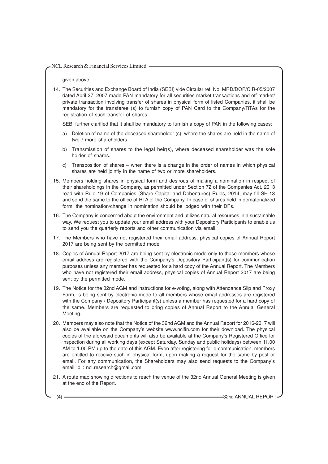given above.

14. The Securities and Exchange Board of India (SEBI) vide Circular ref. No. MRD/DOP/CIR-05/2007 dated April 27, 2007 made PAN mandatory for all securities market transactions and off market/ private transaction involving transfer of shares in physical form of listed Companies, it shall be mandatory for the transferee (s) to furnish copy of PAN Card to the Company/RTAs for the registration of such transfer of shares.

SEBI further clarified that it shall be mandatory to furnish a copy of PAN in the following cases:

- a) Deletion of name of the deceased shareholder (s), where the shares are held in the name of two / more shareholders.
- b) Transmission of shares to the legal heir(s), where deceased shareholder was the sole holder of shares.
- c) Transposition of shares when there is a change in the order of names in which physical shares are held jointly in the name of two or more shareholders.
- 15. Members holding shares in physical form and desirous of making a nomination in respect of their shareholdings in the Company, as permitted under Section 72 of the Companies Act, 2013 read with Rule 19 of Companies (Share Capital and Debentures) Rules, 2014, may fill SH-13 and send the same to the office of RTA of the Company. In case of shares held in dematerialized form, the nomination/change in nomination should be lodged with their DPs.
- 16. The Company is concerned about the environment and utilizes natural resources in a sustainable way. We request you to update your email address with your Depository Participants to enable us to send you the quarterly reports and other communication via email.
- 17. The Members who have not registered their email address, physical copies of Annual Report 2017 are being sent by the permitted mode.
- 18. Copies of Annual Report 2017 are being sent by electronic mode only to those members whose email address are registered with the Company's Depository Participant(s) for communication purposes unless any member has requested for a hard copy of the Annual Report. The Members who have not registered their email address, physical copies of Annual Report 2017 are being sent by the permitted mode.
- 19. The Notice for the 32nd AGM and instructions for e-voting, along with Attendance Slip and Proxy Form, is being sent by electronic mode to all members whose email addresses are registered with the Company / Depository Participant(s) unless a member has requested for a hard copy of the same. Members are requested to bring copies of Annual Report to the Annual General Meeting.
- 20. Members may also note that the Notice of the 32nd AGM and the Annual Report for 2016-2017 will also be available on the Company's website www.nclfin.com for their download. The physical copies of the aforesaid documents will also be available at the Company's Registered Office for inspection during all working days (except Saturday, Sunday and public holidays) between 11.00 AM to 1.00 PM up to the date of this AGM. Even after registering for e-communication, members are entitled to receive such in physical form, upon making a request for the same by post or email. For any communication, the Shareholders may also send requests to the Company's email id : ncl.research@gmail.com
- 21. A route map showing directions to reach the venue of the 32nd Annual General Meeting is given at the end of the Report.

(4) **32ND ANNUAL REPORT**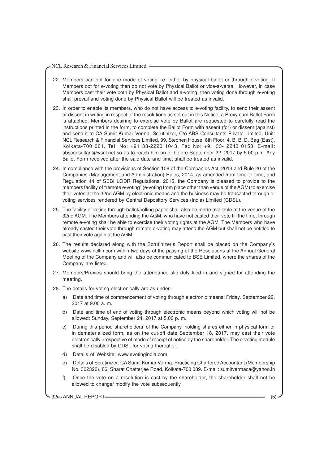- 22. Members can opt for one mode of voting i.e. either by physical ballot or through e-voting. If Members opt for e-voting then do not vote by Physical Ballot or vice-a-versa. However, in case Members cast their vote both by Physical Ballot and e-voting, then voting done through e-voting shall prevail and voting done by Physical Ballot will be treated as invalid.
- 23. In order to enable its members, who do not have access to e-voting facility, to send their assent or dissent in writing in respect of the resolutions as set out in this Notice, a Proxy cum Ballot Form is attached. Members desiring to exercise vote by Ballot are requested to carefully read the instructions printed in the form, to complete the Ballot Form with assent (for) or dissent (against) and send it to CA Sumit Kumar Verma, Scrutinizer, C/o ABS Consultants Private Limited, Unit: NCL Research & Financial Services Limited, 99, Stephen House, 6th Floor, 4, B. B. D. Bag (East), Kolkata-700 001, Tel. No: +91 33-2220 1043, Fax No: +91 33- 2243 0153, E-mail: absconsultant@vsnl.net so as to reach him on or before September 22, 2017 by 5.00 p.m. Any Ballot Form received after the said date and time, shall be treated as invalid.
- 24. In compliance with the provisions of Section 108 of the Companies Act, 2013 and Rule 20 of the Companies (Management and Administration) Rules, 2014, as amended from time to time, and Regulation 44 of SEBI LODR Regulations, 2015, the Company is pleased to provide to the members facility of "remote e-voting" (e-voting from place other than venue of the AGM) to exercise their votes at the 32nd AGM by electronic means and the business may be transacted through evoting services rendered by Central Depository Services (India) Limited (CDSL).
- 25. The facility of voting through ballot/polling paper shall also be made available at the venue of the 32nd AGM. The Members attending the AGM, who have not casted their vote till the time, through remote e-voting shall be able to exercise their voting rights at the AGM. The Members who have already casted their vote through remote e-voting may attend the AGM but shall not be entitled to cast their vote again at the AGM.
- 26. The results declared along with the Scrutinizer's Report shall be placed on the Company's website www.nclfin.com within two days of the passing of the Resolutions at the Annual General Meeting of the Company and will also be communicated to BSE Limited, where the shares of the Company are listed.
- 27. Members/Proxies should bring the attendance slip duly filed in and signed for attending the meeting.
- 28. The details for voting electronically are as under
	- a) Date and time of commencement of voting through electronic means: Friday, September 22, 2017 at 9.00 a. m.
	- b) Date and time of end of voting through electronic means beyond which voting will not be allowed: Sunday, September 24, 2017 at 5.00 p. m.
	- c) During this period shareholders' of the Company, holding shares either in physical form or in dematerialized form, as on the cut-off date September 18, 2017, may cast their vote electronically irrespective of mode of receipt of notice by the shareholder. The e-voting module shall be disabled by CDSL for voting thereafter.
	- d) Details of Website: www.evotingindia.com
	- e) Details of Scrutinizer: CA Sumit Kumar Verma, Practicing Chartered Accountant (Membership No. 302320), 86, Sharat Chatterjee Road, Kolkata-700 089. E-mail: sumitvermaca@yahoo.in
	- f) Once the vote on a resolution is cast by the shareholder, the shareholder shall not be allowed to change/ modify the vote subsequently.

32ND ANNUAL REPORT (5)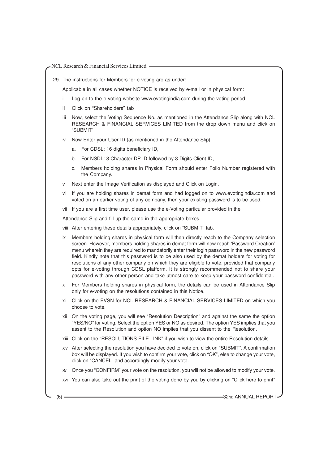29. The instructions for Members for e-voting are as under:

Applicable in all cases whether NOTICE is received by e-mail or in physical form:

- Log on to the e-voting website www.evotingindia.com during the voting period
- ii Click on "Shareholders" tab
- iii Now, select the Voting Sequence No. as mentioned in the Attendance Slip along with NCL RESEARCH & FINANCIAL SERVICES LIMITED from the drop down menu and click on "SUBMIT"
- iv Now Enter your User ID (as mentioned in the Attendance Slip)
	- a. For CDSL: 16 digits beneficiary ID,
	- b. For NSDL: 8 Character DP ID followed by 8 Digits Client ID,
	- c. Members holding shares in Physical Form should enter Folio Number registered with the Company.
- Next enter the Image Verification as displayed and Click on Login.
- vi If you are holding shares in demat form and had logged on to www.evotingindia.com and voted on an earlier voting of any company, then your existing password is to be used.
- vii If you are a first time user, please use the e-Voting particular provided in the

Attendance Slip and fill up the same in the appropriate boxes.

- viii After entering these details appropriately, click on "SUBMIT" tab.
- ix Members holding shares in physical form will then directly reach to the Company selection screen. However, members holding shares in demat form will now reach 'Password Creation' menu wherein they are required to mandatorily enter their login password in the new password field. Kindly note that this password is to be also used by the demat holders for voting for resolutions of any other company on which they are eligible to vote, provided that company opts for e-voting through CDSL platform. It is strongly recommended not to share your password with any other person and take utmost care to keep your password confidential.
- x For Members holding shares in physical form, the details can be used in Attendance Slip only for e-voting on the resolutions contained in this Notice.
- xi Click on the EVSN for NCL RESEARCH & FINANCIAL SERVICES LIMITED on which you choose to vote.
- xii On the voting page, you will see "Resolution Description" and against the same the option "YES/NO" for voting. Select the option YES or NO as desired. The option YES implies that you assent to the Resolution and option NO implies that you dissent to the Resolution.
- xiii Click on the "RESOLUTIONS FILE LINK" if you wish to view the entire Resolution details.
- xiv After selecting the resolution you have decided to vote on, click on "SUBMIT". A confirmation box will be displayed. If you wish to confirm your vote, click on "OK", else to change your vote, click on "CANCEL" and accordingly modify your vote.
- xv Once you "CONFIRM" your vote on the resolution, you will not be allowed to modify your vote.
- xvi You can also take out the print of the voting done by you by clicking on "Click here to print"

(6) **32ND ANNUAL REPORT**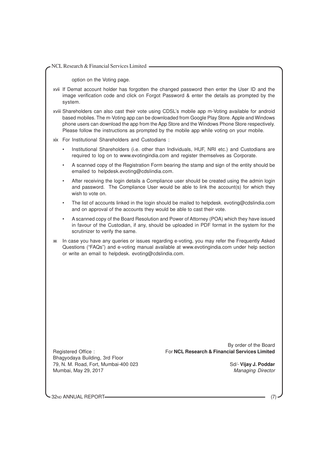option on the Voting page.

xvii If Demat account holder has forgotten the changed password then enter the User ID and the image verification code and click on Forgot Password & enter the details as prompted by the system.

xviii Shareholders can also cast their vote using CDSL's mobile app m-Voting available for android based mobiles. The m-Voting app can be downloaded from Google Play Store. Apple and Windows phone users can download the app from the App Store and the Windows Phone Store respectively. Please follow the instructions as prompted by the mobile app while voting on your mobile.

xix For Institutional Shareholders and Custodians :

- Institutional Shareholders (i.e. other than Individuals, HUF, NRI etc.) and Custodians are required to log on to www.evotingindia.com and register themselves as Corporate.
- A scanned copy of the Registration Form bearing the stamp and sign of the entity should be emailed to helpdesk.evoting@cdslindia.com.
- After receiving the login details a Compliance user should be created using the admin login and password. The Compliance User would be able to link the account(s) for which they wish to vote on.
- The list of accounts linked in the login should be mailed to helpdesk. evoting@cdslindia.com and on approval of the accounts they would be able to cast their vote.
- A scanned copy of the Board Resolution and Power of Attorney (POA) which they have issued in favour of the Custodian, if any, should be uploaded in PDF format in the system for the scrutinizer to verify the same.
- xx In case you have any queries or issues regarding e-voting, you may refer the Frequently Asked Questions ("FAQs") and e-voting manual available at www.evotingindia.com under help section or write an email to helpdesk. evoting@cdslindia.com.

Bhagyodaya Building, 3rd Floor 79, N. M. Road, Fort, Mumbai-400 023 Sd/- **Vijay J. Poddar** Mumbai, May 29, 2017 Managing Director

By order of the Board Registered Office : For **NCL Research & Financial Services Limited**

32ND ANNUAL REPORT-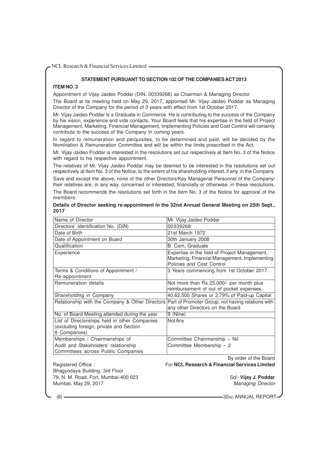# **STATEMENT PURSUANT TO SECTION 102 OF THE COMPANIES ACT 2013**

# **ITEM NO. 3**

Appointment of Vijay Jaideo Poddar (DIN: 00339268) as Chairman & Managing Director

The Board at its meeting held on May 29, 2017, appointed Mr. Vijay Jaideo Poddar as Managing Director of the Company for the period of 3 years with effect from 1st October 2017.

Mr. Vijay Jaideo Poddar is a Graduate in Commerce. He is contributing to the success of the Company by his vision, experience and vide contacts. Your Board feels that his expertise in the field of Project Management, Marketing, Financial Management, Implementing Policies and Cost Control will certainly contribute to the success of the Company in coming years.

In regard to remuneration and perquisites, to be determined and paid, will be decided by the Nomination & Remuneration Committee and will be within the limits prescribed in the Act.

Mr. Vijay Jaideo Poddar is interested in the resolutions set out respectively at Item No. 3 of the Notice with regard to his respective appointment.

The relatives of Mr. Vijay Jaideo Poddar may be deemed to be interested in the resolutions set out respectively at Item No. 3 of the Notice, to the extent of his shareholding interest, if any, in the Company.

Save and except the above, none of the other Directors/Key Managerial Personnel of the Company/ their relatives are, in any way, concerned or interested, financially or otherwise, in these resolutions. The Board recommends the resolutions set forth in the Item No. 3 of the Notice for approval of the members.

|      | Details of Director seeking re-appointment in the 32nd Annual General Meeting on 25th Sept., |  |  |  |
|------|----------------------------------------------------------------------------------------------|--|--|--|
| 2017 |                                                                                              |  |  |  |

| Name of Director                                                                                         | Mr. Vijay Jaideo Poddar                                                                                                     |
|----------------------------------------------------------------------------------------------------------|-----------------------------------------------------------------------------------------------------------------------------|
| Directors' Identification No. (DIN)                                                                      | 00339268                                                                                                                    |
| Date of Birth                                                                                            | 21st March 1972                                                                                                             |
| Date of Appointment on Board                                                                             | 30th January 2008                                                                                                           |
| Qualification                                                                                            | B. Com, Graduate                                                                                                            |
| Experience                                                                                               | Expertise in the field of Project Management,<br>Marketing, Financial Management, Implementing<br>Policies and Cost Control |
| Terms & Conditions of Appointment /<br>Re-appointment                                                    | 3 Years commencing from 1st October 2017.                                                                                   |
| Remuneration details                                                                                     | Not more than Rs 25,000/- per month plus<br>reimbursement of out of pocket expenses.                                        |
| Shareholding in Company                                                                                  | 40,62,500 Shares or 2.79% of Paid-up Capital                                                                                |
| Relationship with the Company & Other Directors                                                          | Part of Promoter Group; not having relations with<br>any other Directors on the Board                                       |
| No. of Board Meeting attended during the year                                                            | 9 (Nine)                                                                                                                    |
| List of Directorships held in other Companies<br>(excluding foreign, private and Section<br>8 Companies) | Not Any                                                                                                                     |
| Memberships / Chairmanships of                                                                           | Committee Chairmanship - Nil                                                                                                |
| Audit and Stakeholders' relationship<br>Committees across Public Companies                               | Committee Membership - 2                                                                                                    |
|                                                                                                          | By order of the Board                                                                                                       |
| Registered Office:                                                                                       | For NCL Research & Financial Services Limited                                                                               |
| Bhagyodaya Building, 3rd Floor                                                                           |                                                                                                                             |
| 79, N. M. Road, Fort, Mumbai-400 023                                                                     | Sd/- Vijay J. Poddar                                                                                                        |
| Mumbai, May 29, 2017                                                                                     | <b>Managing Director</b>                                                                                                    |

(8) **32ND ANNUAL REPORT**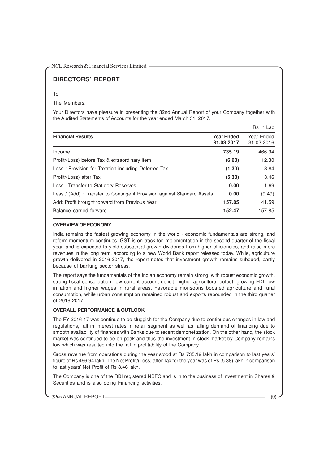# **DIRECTORS' REPORT**

# To

The Members,

Your Directors have pleasure in presenting the 32nd Annual Report of your Company together with the Audited Statements of Accounts for the year ended March 31, 2017.

|                                                                        |                                 | Rs in Lac                |
|------------------------------------------------------------------------|---------------------------------|--------------------------|
| <b>Financial Results</b>                                               | <b>Year Ended</b><br>31.03.2017 | Year Ended<br>31.03.2016 |
| Income                                                                 | 735.19                          | 466.94                   |
| Profit/(Loss) before Tax & extraordinary item                          | (6.68)                          | 12.30                    |
| Less: Provision for Taxation including Deferred Tax                    | (1.30)                          | 3.84                     |
| Profit/(Loss) after Tax                                                | (5.38)                          | 8.46                     |
| Less: Transfer to Statutory Reserves                                   | 0.00                            | 1.69                     |
| Less / (Add): Transfer to Contingent Provision against Standard Assets | 0.00                            | (9.49)                   |
| Add: Profit brought forward from Previous Year                         | 157.85                          | 141.59                   |
| Balance carried forward                                                | 152.47                          | 157.85                   |

# **OVERVIEW OF ECONOMY**

India remains the fastest growing economy in the world - economic fundamentals are strong, and reform momentum continues. GST is on track for implementation in the second quarter of the fiscal year, and is expected to yield substantial growth dividends from higher efficiencies, and raise more revenues in the long term, according to a new World Bank report released today. While, agriculture growth delivered in 2016-2017, the report notes that investment growth remains subdued, partly because of banking sector stress.

The report says the fundamentals of the Indian economy remain strong, with robust economic growth, strong fiscal consolidation, low current account deficit, higher agricultural output, growing FDI, low inflation and higher wages in rural areas. Favorable monsoons boosted agriculture and rural consumption, while urban consumption remained robust and exports rebounded in the third quarter of 2016-2017.

# **OVERALL PERFORMANCE & OUTLOOK**

The FY 2016-17 was continue to be sluggish for the Company due to continuous changes in law and regulations, fall in interest rates in retail segment as well as falling demand of financing due to smooth availability of finances with Banks due to recent demonetization. On the other hand, the stock market was continued to be on peak and thus the investment in stock market by Company remains low which was resulted into the fall in profitability of the Company.

Gross revenue from operations during the year stood at Rs 735.19 lakh in comparison to last years' figure of Rs 466.94 lakh. The Net Profit/(Loss) after Tax for the year was of Rs (5.38) lakh in comparison to last years' Net Profit of Rs 8.46 lakh.

The Company is one of the RBI registered NBFC and is in to the business of Investment in Shares & Securities and is also doing Financing activities.

32ND ANNUAL REPORT (9)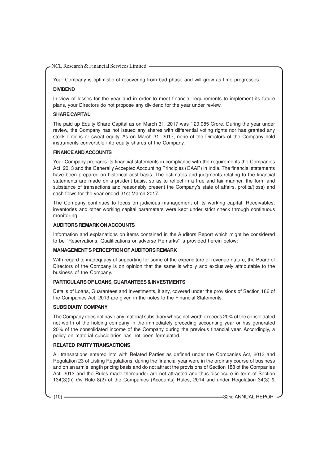Your Company is optimistic of recovering from bad phase and will grow as time progresses.

# **DIVIDEND**

In view of losses for the year and in order to meet financial requirements to implement its future plans, your Directors do not propose any dividend for the year under review.

#### **SHARE CAPITAL**

The paid up Equity Share Capital as on March 31, 2017 was ` 29.085 Crore. During the year under review, the Company has not issued any shares with differential voting rights nor has granted any stock options or sweat equity. As on March 31, 2017, none of the Directors of the Company hold instruments convertible into equity shares of the Company.

#### **FINANCE AND ACCOUNTS**

Your Company prepares its financial statements in compliance with the requirements the Companies Act, 2013 and the Generally Accepted Accounting Principles (GAAP) in India. The financial statements have been prepared on historical cost basis. The estimates and judgments relating to the financial statements are made on a prudent basis, so as to reflect in a true and fair manner, the form and substance of transactions and reasonably present the Company's state of affairs, profits/(loss) and cash flows for the year ended 31st March 2017.

The Company continues to focus on judicious management of its working capital. Receivables, inventories and other working capital parameters were kept under strict check through continuous monitoring.

#### **AUDITORS REMARK ON ACCOUNTS**

Information and explanations on items contained in the Auditors Report which might be considered to be "Reservations, Qualifications or adverse Remarks" is provided herein below:

#### **MANAGEMENT'S PERCEPTION OF AUDITORS REMARK**

With regard to inadequacy of supporting for some of the expenditure of revenue nature, the Board of Directors of the Company is on opinion that the same is wholly and exclusively attributable to the business of the Company.

#### **PARTICULARS OF LOANS, GUARANTEES & INVESTMENTS**

Details of Loans, Guarantees and Investments, if any, covered under the provisions of Section 186 of the Companies Act, 2013 are given in the notes to the Financial Statements.

# **SUBSIDIARY COMPANY**

The Company does not have any material subsidiary whose net worth exceeds 20% of the consolidated net worth of the holding company in the immediately preceding accounting year or has generated 20% of the consolidated income of the Company during the previous financial year. Accordingly, a policy on material subsidiaries has not been formulated.

# **RELATED PARTY TRANSACTIONS**

All transactions entered into with Related Parties as defined under the Companies Act, 2013 and Regulation 23 of Listing Regulations; during the financial year were in the ordinary course of business and on an arm's length pricing basis and do not attract the provisions of Section 188 of the Companies Act, 2013 and the Rules made thereunder are not attracted and thus disclosure in term of Section 134(3)(h) r/w Rule 8(2) of the Companies (Accounts) Rules, 2014 and under Regulation 34(3) &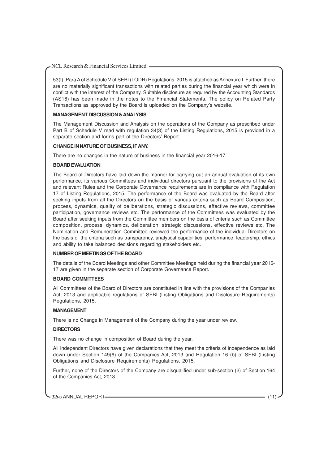53(f), Para A of Schedule V of SEBI (LODR) Regulations, 2015 is attached as Annexure I. Further, there are no materially significant transactions with related parties during the financial year which were in conflict with the interest of the Company. Suitable disclosure as required by the Accounting Standards (AS18) has been made in the notes to the Financial Statements. The policy on Related Party Transactions as approved by the Board is uploaded on the Company's website.

### **MANAGEMENT DISCUSSION & ANALYSIS**

The Management Discussion and Analysis on the operations of the Company as prescribed under Part B of Schedule V read with regulation 34(3) of the Listing Regulations, 2015 is provided in a separate section and forms part of the Directors' Report.

#### **CHANGE IN NATURE OF BUSINESS, IF ANY.**

There are no changes in the nature of business in the financial year 2016-17.

#### **BOARD EVALUATION**

The Board of Directors have laid down the manner for carrying out an annual evaluation of its own performance, its various Committees and individual directors pursuant to the provisions of the Act and relevant Rules and the Corporate Governance requirements are in compliance with Regulation 17 of Listing Regulations, 2015. The performance of the Board was evaluated by the Board after seeking inputs from all the Directors on the basis of various criteria such as Board Composition, process, dynamics, quality of deliberations, strategic discussions, effective reviews, committee participation, governance reviews etc. The performance of the Committees was evaluated by the Board after seeking inputs from the Committee members on the basis of criteria such as Committee composition, process, dynamics, deliberation, strategic discussions, effective reviews etc. The Nomination and Remuneration Committee reviewed the performance of the individual Directors on the basis of the criteria such as transparency, analytical capabilities, performance, leadership, ethics and ability to take balanced decisions regarding stakeholders etc.

# **NUMBER OF MEETINGS OF THE BOARD**

The details of the Board Meetings and other Committee Meetings held during the financial year 2016- 17 are given in the separate section of Corporate Governance Report.

#### **BOARD COMMITTEES**

All Committees of the Board of Directors are constituted in line with the provisions of the Companies Act, 2013 and applicable regulations of SEBI (Listing Obligations and Disclosure Requirements) Regulations, 2015.

# **MANAGEMENT**

There is no Change in Management of the Company during the year under review.

#### **DIRECTORS**

There was no change in composition of Board during the year.

All Independent Directors have given declarations that they meet the criteria of independence as laid down under Section 149(6) of the Companies Act, 2013 and Regulation 16 (b) of SEBI (Listing Obligations and Disclosure Requirements) Regulations, 2015.

Further, none of the Directors of the Company are disqualified under sub-section (2) of Section 164 of the Companies Act, 2013.

32ND ANNUAL REPORT (11)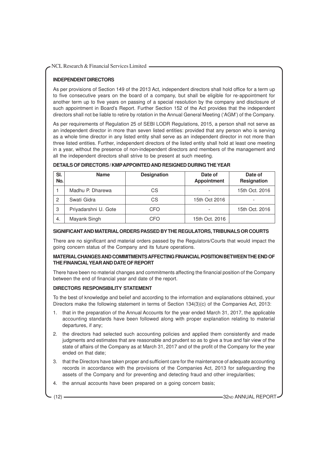# **INDEPENDENT DIRECTORS**

As per provisions of Section 149 of the 2013 Act, independent directors shall hold office for a term up to five consecutive years on the board of a company, but shall be eligible for re-appointment for another term up to five years on passing of a special resolution by the company and disclosure of such appointment in Board's Report. Further Section 152 of the Act provides that the independent directors shall not be liable to retire by rotation in the Annual General Meeting ('AGM') of the Company.

As per requirements of Regulation 25 of SEBI LODR Regulations, 2015, a person shall not serve as an independent director in more than seven listed entities: provided that any person who is serving as a whole time director in any listed entity shall serve as an independent director in not more than three listed entities. Further, independent directors of the listed entity shall hold at least one meeting in a year, without the presence of non-independent directors and members of the management and all the independent directors shall strive to be present at such meeting.

| SI.<br>No.     | <b>Name</b>          | <b>Designation</b> | Date of<br><b>Appointment</b> | Date of<br>Resignation |
|----------------|----------------------|--------------------|-------------------------------|------------------------|
|                | Madhu P. Dharewa     | СS                 | $\overline{\phantom{a}}$      | 15th Oct. 2016         |
| $\overline{c}$ | Swati Gidra          | СS                 | 15th Oct 2016                 | -                      |
| 3              | Priyadarshni U. Gote | CFO                | $\overline{\phantom{a}}$      | 15th Oct. 2016         |
| -4.            | Mayank Singh         | CFO                | 15th Oct. 2016                |                        |

#### **DETAILS OF DIRECTORS / KMPAPPOINTED AND RESIGNED DURING THE YEAR**

# **SIGNIFICANT AND MATERIAL ORDERS PASSED BY THE REGULATORS, TRIBUNALS OR COURTS**

There are no significant and material orders passed by the Regulators/Courts that would impact the going concern status of the Company and its future operations.

# **MATERIAL CHANGES AND COMMITMENTS AFFECTING FINANCIAL POSITION BETWEEN THE END OF THE FINANCIALYEAR AND DATE OF REPORT**

There have been no material changes and commitments affecting the financial position of the Company between the end of financial year and date of the report.

# **DIRECTORS RESPONSIBILITY STATEMENT**

To the best of knowledge and belief and according to the information and explanations obtained, your Directors make the following statement in terms of Section 134(3)(c) of the Companies Act, 2013:

- 1. that in the preparation of the Annual Accounts for the year ended March 31, 2017, the applicable accounting standards have been followed along with proper explanation relating to material departures, if any;
- 2. the directors had selected such accounting policies and applied them consistently and made judgments and estimates that are reasonable and prudent so as to give a true and fair view of the state of affairs of the Company as at March 31, 2017 and of the profit of the Company for the year ended on that date;
- 3. that the Directors have taken proper and sufficient care for the maintenance of adequate accounting records in accordance with the provisions of the Companies Act, 2013 for safeguarding the assets of the Company and for preventing and detecting fraud and other irregularities;
- 4. the annual accounts have been prepared on a going concern basis;

(12) **32ND ANNUAL REPORT**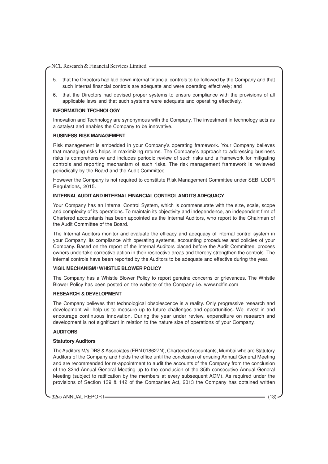- 5. that the Directors had laid down internal financial controls to be followed by the Company and that such internal financial controls are adequate and were operating effectively; and
- 6. that the Directors had devised proper systems to ensure compliance with the provisions of all applicable laws and that such systems were adequate and operating effectively.

#### **INFORMATION TECHNOLOGY**

Innovation and Technology are synonymous with the Company. The investment in technology acts as a catalyst and enables the Company to be innovative.

#### **BUSINESS RISK MANAGEMENT**

Risk management is embedded in your Company's operating framework. Your Company believes that managing risks helps in maximizing returns. The Company's approach to addressing business risks is comprehensive and includes periodic review of such risks and a framework for mitigating controls and reporting mechanism of such risks. The risk management framework is reviewed periodically by the Board and the Audit Committee.

However the Company is not required to constitute Risk Management Committee under SEBI LODR Regulations, 2015.

# **INTERNAL AUDIT AND INTERNAL FINANCIAL CONTROL AND ITS ADEQUACY**

Your Company has an Internal Control System, which is commensurate with the size, scale, scope and complexity of its operations. To maintain its objectivity and independence, an independent firm of Chartered accountants has been appointed as the Internal Auditors, who report to the Chairman of the Audit Committee of the Board.

The Internal Auditors monitor and evaluate the efficacy and adequacy of internal control system in your Company, its compliance with operating systems, accounting procedures and policies of your Company. Based on the report of the Internal Auditors placed before the Audit Committee, process owners undertake corrective action in their respective areas and thereby strengthen the controls. The internal controls have been reported by the Auditors to be adequate and effective during the year.

#### **VIGIL MECHANISM / WHISTLE BLOWER POLICY**

The Company has a Whistle Blower Policy to report genuine concerns or grievances. The Whistle Blower Policy has been posted on the website of the Company i.e. www.nclfin.com

#### **RESEARCH & DEVELOPMENT**

The Company believes that technological obsolescence is a reality. Only progressive research and development will help us to measure up to future challenges and opportunities. We invest in and encourage continuous innovation. During the year under review, expenditure on research and development is not significant in relation to the nature size of operations of your Company.

### **AUDITORS**

#### **Statutory Auditors**

The Auditors M/s DBS & Associates (FRN 018627N), Chartered Accountants, Mumbai who are Statutory Auditors of the Company and holds the office until the conclusion of ensuing Annual General Meeting and are recommended for re-appointment to audit the accounts of the Company from the conclusion of the 32nd Annual General Meeting up to the conclusion of the 35th consecutive Annual General Meeting (subject to ratification by the members at every subsequent AGM). As required under the provisions of Section 139 & 142 of the Companies Act, 2013 the Company has obtained written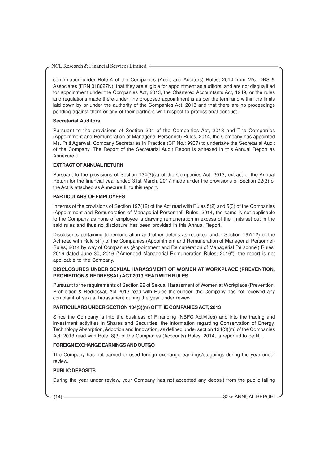confirmation under Rule 4 of the Companies (Audit and Auditors) Rules, 2014 from M/s. DBS & Associates (FRN 018627N); that they are eligible for appointment as auditors, and are not disqualified for appointment under the Companies Act, 2013, the Chartered Accountants Act, 1949, or the rules and regulations made there-under; the proposed appointment is as per the term and within the limits laid down by or under the authority of the Companies Act, 2013 and that there are no proceedings pending against them or any of their partners with respect to professional conduct.

#### **Secretarial Auditors**

Pursuant to the provisions of Section 204 of the Companies Act, 2013 and The Companies (Appointment and Remuneration of Managerial Personnel) Rules, 2014, the Company has appointed Ms. Priti Agarwal, Company Secretaries in Practice (CP No.: 9937) to undertake the Secretarial Audit of the Company. The Report of the Secretarial Audit Report is annexed in this Annual Report as Annexure II.

#### **EXTRACT OF ANNUAL RETURN**

Pursuant to the provisions of Section 134(3)(a) of the Companies Act, 2013, extract of the Annual Return for the financial year ended 31st March, 2017 made under the provisions of Section 92(3) of the Act is attached as Annexure III to this report.

#### **PARTICULARS OF EMPLOYEES**

In terms of the provisions of Section 197(12) of the Act read with Rules 5(2) and 5(3) of the Companies (Appointment and Remuneration of Managerial Personnel) Rules, 2014, the same is not applicable to the Company as none of employee is drawing remuneration in excess of the limits set out in the said rules and thus no disclosure has been provided in this Annual Report.

Disclosures pertaining to remuneration and other details as required under Section 197(12) of the Act read with Rule 5(1) of the Companies (Appointment and Remuneration of Managerial Personnel) Rules, 2014 by way of Companies (Appointment and Remuneration of Managerial Personnel) Rules, 2016 dated June 30, 2016 ("Amended Managerial Remuneration Rules, 2016"), the report is not applicable to the Company.

# **DISCLOSURES UNDER SEXUAL HARASSMENT OF WOMEN AT WORKPLACE (PREVENTION, PROHIBITION & REDRESSAL) ACT 2013 READ WITH RULES**

Pursuant to the requirements of Section 22 of Sexual Harassment of Women at Workplace (Prevention, Prohibition & Redressal) Act 2013 read with Rules thereunder, the Company has not received any complaint of sexual harassment during the year under review.

# **PARTICULARS UNDER SECTION 134(3)(m) OF THE COMPANIES ACT, 2013**

Since the Company is into the business of Financing (NBFC Activities) and into the trading and investment activities in Shares and Securities; the information regarding Conservation of Energy, Technology Absorption, Adoption and Innovation, as defined under section 134(3)(m) of the Companies Act, 2013 read with Rule, 8(3) of the Companies (Accounts) Rules, 2014, is reported to be NIL.

# **FOREIGN EXCHANGE EARNINGS AND OUTGO**

The Company has not earned or used foreign exchange earnings/outgoings during the year under review.

# **PUBLIC DEPOSITS**

During the year under review, your Company has not accepted any deposit from the public falling

(14) **32ND ANNUAL REPORT**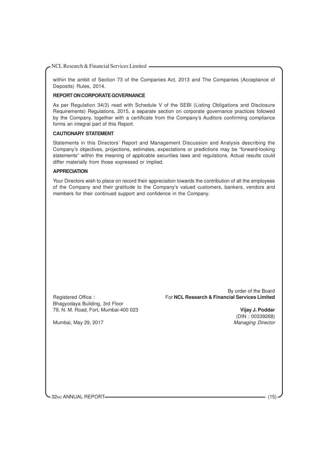within the ambit of Section 73 of the Companies Act, 2013 and The Companies (Acceptance of Deposits) Rules, 2014.

# **REPORT ON CORPORATE GOVERNANCE**

As per Regulation 34(3) read with Schedule V of the SEBI (Listing Obligations and Disclosure Requirements) Regulations, 2015, a separate section on corporate governance practices followed by the Company, together with a certificate from the Company's Auditors confirming compliance forms an integral part of this Report.

#### **CAUTIONARY STATEMENT**

Statements in this Directors' Report and Management Discussion and Analysis describing the Company's objectives, projections, estimates, expectations or predictions may be "forward-looking statements" within the meaning of applicable securities laws and regulations. Actual results could differ materially from those expressed or implied.

#### **APPRECIATION**

Your Directors wish to place on record their appreciation towards the contribution of all the employees of the Company and their gratitude to the Company's valued customers, bankers, vendors and members for their continued support and confidence in the Company.

Bhagyodaya Building, 3rd Floor 79, N. M. Road, Fort, Mumbai-400 023 **Vijay J. Poddar**

By order of the Board Registered Office : For **NCL Research & Financial Services Limited**

(DIN : 00339268)<br>Managing Director

Mumbai, May 29, 2017

32ND ANNUAL REPORT (15)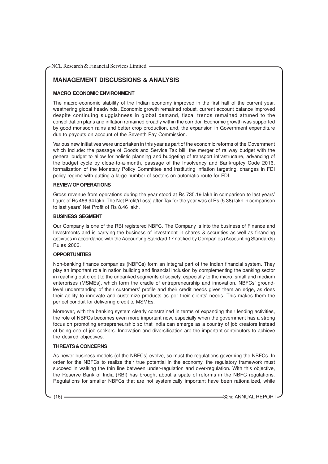# **MANAGEMENT DISCUSSIONS & ANALYSIS**

# **MACRO ECONOMIC ENVIRONMENT**

The macro-economic stability of the Indian economy improved in the first half of the current year, weathering global headwinds. Economic growth remained robust, current account balance improved despite continuing sluggishness in global demand, fiscal trends remained attuned to the consolidation plans and inflation remained broadly within the corridor. Economic growth was supported by good monsoon rains and better crop production, and, the expansion in Government expenditure due to payouts on account of the Seventh Pay Commission.

Various new initiatives were undertaken in this year as part of the economic reforms of the Government which include: the passage of Goods and Service Tax bill, the merger of railway budget with the general budget to allow for holistic planning and budgeting of transport infrastructure, advancing of the budget cycle by close-to-a-month, passage of the Insolvency and Bankruptcy Code 2016, formalization of the Monetary Policy Committee and instituting inflation targeting, changes in FDI policy regime with putting a large number of sectors on automatic route for FDI.

# **REVIEW OF OPERATIONS**

Gross revenue from operations during the year stood at Rs 735.19 lakh in comparison to last years' figure of Rs 466.94 lakh. The Net Profit/(Loss) after Tax for the year was of Rs (5.38) lakh in comparison to last years' Net Profit of Rs 8.46 lakh.

#### **BUSINESS SEGMENT**

Our Company is one of the RBI registered NBFC. The Company is into the business of Finance and Investments and is carrying the business of investment in shares & securities as well as financing activities in accordance with the Accounting Standard 17 notified by Companies (Accounting Standards) Rules 2006.

# **OPPORTUNITIES**

Non-banking finance companies (NBFCs) form an integral part of the Indian financial system. They play an important role in nation building and financial inclusion by complementing the banking sector in reaching out credit to the unbanked segments of society, especially to the micro, small and medium enterprises (MSMEs), which form the cradle of entrepreneurship and innovation. NBFCs' groundlevel understanding of their customers' profile and their credit needs gives them an edge, as does their ability to innovate and customize products as per their clients' needs. This makes them the perfect conduit for delivering credit to MSMEs.

Moreover, with the banking system clearly constrained in terms of expanding their lending activities, the role of NBFCs becomes even more important now, especially when the government has a strong focus on promoting entrepreneurship so that India can emerge as a country of job creators instead of being one of job seekers. Innovation and diversification are the important contributors to achieve the desired objectives.

# **THREATS & CONCERNS**

As newer business models (of the NBFCs) evolve, so must the regulations governing the NBFCs. In order for the NBFCs to realize their true potential in the economy, the regulatory framework must succeed in walking the thin line between under-regulation and over-regulation. With this objective, the Reserve Bank of India (RBI) has brought about a spate of reforms in the NBFC regulations. Regulations for smaller NBFCs that are not systemically important have been rationalized, while

(16) **32ND ANNUAL REPORT**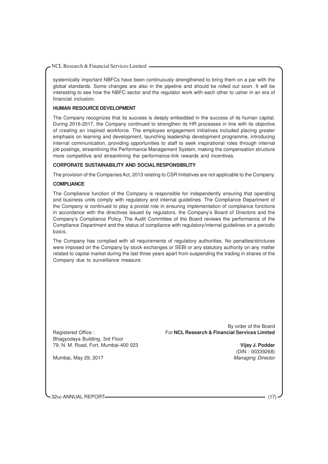systemically important NBFCs have been continuously strengthened to bring them on a par with the global standards. Some changes are also in the pipeline and should be rolled out soon. It will be interesting to see how the NBFC sector and the regulator work with each other to usher in an era of financial inclusion.

# **HUMAN RESOURCE DEVELOPMENT**

The Company recognizes that its success is deeply embedded in the success of its human capital. During 2016-2017, the Company continued to strengthen its HR processes in line with its objective of creating an inspired workforce. The employee engagement initiatives included placing greater emphasis on learning and development, launching leadership development programme, introducing internal communication, providing opportunities to staff to seek inspirational roles through internal job postings, streamlining the Performance Management System, making the compensation structure more competitive and streamlining the performance-link rewards and incentives.

#### **CORPORATE SUSTAINABILITY AND SOCIAL RESPONSIBILITY**

The provision of the Companies Act, 2013 relating to CSR Initiatives are not applicable to the Company.

#### **COMPLIANCE**

The Compliance function of the Company is responsible for independently ensuring that operating and business units comply with regulatory and internal guidelines. The Compliance Department of the Company is continued to play a pivotal role in ensuring implementation of compliance functions in accordance with the directives issued by regulators, the Company's Board of Directors and the Company's Compliance Policy. The Audit Committee of the Board reviews the performance of the Compliance Department and the status of compliance with regulatory/internal guidelines on a periodic basis.

The Company has complied with all requirements of regulatory authorities. No penalties/strictures were imposed on the Company by stock exchanges or SEBI or any statutory authority on any matter related to capital market during the last three years apart from suspending the trading in shares of the Company due to surveillance measure.

Bhagyodaya Building, 3rd Floor 79, N. M. Road, Fort, Mumbai-400 023 **Vijay J. Poddar**

By order of the Board Registered Office : For **NCL Research & Financial Services Limited**

(DIN : 00339268)

Mumbai, May 29, 2017 **Managing Director** Managing Director

32ND ANNUAL REPORT-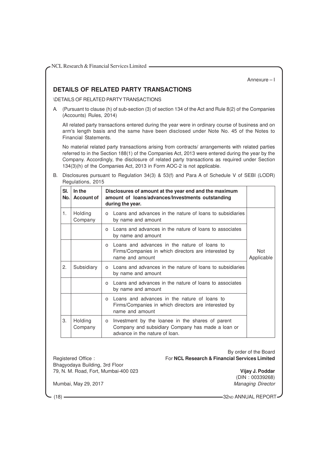Annexure – I

# **DETAILS OF RELATED PARTY TRANSACTIONS**

\DETAILS OF RELATED PARTYTRANSACTIONS

A. (Pursuant to clause (h) of sub-section (3) of section 134 of the Act and Rule 8(2) of the Companies (Accounts) Rules, 2014)

All related party transactions entered during the year were in ordinary course of business and on arm's length basis and the same have been disclosed under Note No. 45 of the Notes to Financial Statements.

No material related party transactions arising from contracts/ arrangements with related parties referred to in the Section 188(1) of the Companies Act, 2013 were entered during the year by the Company. Accordingly, the disclosure of related party transactions as required under Section 134(3)(h) of the Companies Act, 2013 in Form AOC-2 is not applicable.

B. Disclosures pursuant to Regulation 34(3) & 53(f) and Para A of Schedule V of SEBI (LODR) Regulations, 2015

| SI.<br>No. | In the<br><b>Account of</b> | Disclosures of amount at the year end and the maximum<br>amount of loans/advances/Investments outstanding<br>during the year.                |                          |
|------------|-----------------------------|----------------------------------------------------------------------------------------------------------------------------------------------|--------------------------|
| 1.         | Holding<br>Company          | Loans and advances in the nature of loans to subsidiaries<br>$\Omega$<br>by name and amount                                                  |                          |
|            |                             | Loans and advances in the nature of loans to associates<br>$\Omega$<br>by name and amount                                                    |                          |
|            |                             | Loans and advances in the nature of loans to<br>$\Omega$<br>Firms/Companies in which directors are interested by<br>name and amount          | <b>Not</b><br>Applicable |
| 2.         | Subsidiary                  | o Loans and advances in the nature of loans to subsidiaries<br>by name and amount                                                            |                          |
|            |                             | Loans and advances in the nature of loans to associates<br>$\Omega$<br>by name and amount                                                    |                          |
|            |                             | Loans and advances in the nature of loans to<br>$\Omega$<br>Firms/Companies in which directors are interested by<br>name and amount          |                          |
| 3.         | Holding<br>Company          | Investment by the loanee in the shares of parent<br>0<br>Company and subsidiary Company has made a loan or<br>advance in the nature of loan. |                          |

Bhagyodaya Building, 3rd Floor

By order of the Board Registered Office : For **NCL Research & Financial Services Limited**

79, N. M. Road, Fort, Mumbai-400 023 **Vijay J. Poddar**

(DIN : 00339268) Mumbai, May 29, 2017 **Managing Director** Managing Director

(18) **32ND ANNUAL REPORT**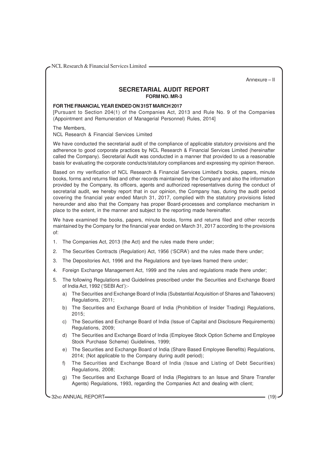Annexure – II

# **SECRETARIAL AUDIT REPORT FORM NO. MR-3**

# **FOR THE FINANCIAL YEAR ENDED ON 31ST MARCH 2017**

[Pursuant to Section 204(1) of the Companies Act, 2013 and Rule No. 9 of the Companies (Appointment and Remuneration of Managerial Personnel) Rules, 2014]

The Members,

NCL Research & Financial Services Limited

We have conducted the secretarial audit of the compliance of applicable statutory provisions and the adherence to good corporate practices by NCL Research & Financial Services Limited (hereinafter called the Company). Secretarial Audit was conducted in a manner that provided to us a reasonable basis for evaluating the corporate conducts/statutory compliances and expressing my opinion thereon.

Based on my verification of NCL Research & Financial Services Limited's books, papers, minute books, forms and returns filed and other records maintained by the Company and also the information provided by the Company, its officers, agents and authorized representatives during the conduct of secretarial audit, we hereby report that in our opinion, the Company has, during the audit period covering the financial year ended March 31, 2017, complied with the statutory provisions listed hereunder and also that the Company has proper Board-processes and compliance mechanism in place to the extent, in the manner and subject to the reporting made hereinafter.

We have examined the books, papers, minute books, forms and returns filed and other records maintained by the Company for the financial year ended on March 31, 2017 according to the provisions of:

- 1. The Companies Act, 2013 (the Act) and the rules made there under;
- 2. The Securities Contracts (Regulation) Act, 1956 ('SCRA') and the rules made there under;
- 3. The Depositories Act, 1996 and the Regulations and bye-laws framed there under;
- 4. Foreign Exchange Management Act, 1999 and the rules and regulations made there under;
- 5. The following Regulations and Guidelines prescribed under the Securities and Exchange Board of India Act, 1992 ('SEBI Act'):
	- a) The Securities and Exchange Board of India (Substantial Acquisition of Shares and Takeovers) Regulations, 2011;
	- b) The Securities and Exchange Board of India (Prohibition of Insider Trading) Regulations, 2015;
	- c) The Securities and Exchange Board of India (Issue of Capital and Disclosure Requirements) Regulations, 2009;
	- d) The Securities and Exchange Board of India (Employee Stock Option Scheme and Employee Stock Purchase Scheme) Guidelines, 1999;
	- e) The Securities and Exchange Board of India (Share Based Employee Benefits) Regulations, 2014; (Not applicable to the Company during audit period);
	- f) The Securities and Exchange Board of India (Issue and Listing of Debt Securities) Regulations, 2008;
	- g) The Securities and Exchange Board of India (Registrars to an Issue and Share Transfer Agents) Regulations, 1993, regarding the Companies Act and dealing with client;

32ND ANNUAL REPORT (19)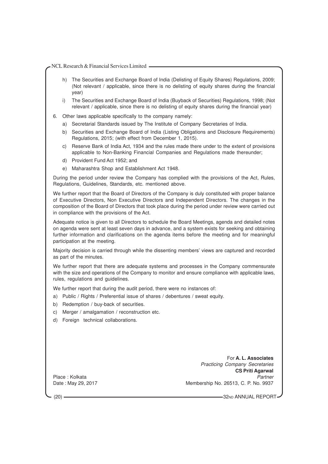- h) The Securities and Exchange Board of India (Delisting of Equity Shares) Regulations, 2009; (Not relevant / applicable, since there is no delisting of equity shares during the financial year)
- i) The Securities and Exchange Board of India (Buyback of Securities) Regulations, 1998; (Not relevant / applicable, since there is no delisting of equity shares during the financial year)
- 6. Other laws applicable specifically to the company namely:
	- a) Secretarial Standards issued by The Institute of Company Secretaries of India.
	- b) Securities and Exchange Board of India (Listing Obligations and Disclosure Requirements) Regulations, 2015; (with effect from December 1, 2015).
	- c) Reserve Bank of India Act, 1934 and the rules made there under to the extent of provisions applicable to Non-Banking Financial Companies and Regulations made thereunder;
	- d) Provident Fund Act 1952; and
	- e) Maharashtra Shop and Establishment Act 1948.

During the period under review the Company has complied with the provisions of the Act, Rules, Regulations, Guidelines, Standards, etc. mentioned above.

We further report that the Board of Directors of the Company is duly constituted with proper balance of Executive Directors, Non Executive Directors and Independent Directors. The changes in the composition of the Board of Directors that took place during the period under review were carried out in compliance with the provisions of the Act.

Adequate notice is given to all Directors to schedule the Board Meetings, agenda and detailed notes on agenda were sent at least seven days in advance, and a system exists for seeking and obtaining further information and clarifications on the agenda items before the meeting and for meaningful participation at the meeting.

Majority decision is carried through while the dissenting members' views are captured and recorded as part of the minutes.

We further report that there are adequate systems and processes in the Company commensurate with the size and operations of the Company to monitor and ensure compliance with applicable laws, rules, regulations and guidelines.

We further report that during the audit period, there were no instances of:

- a) Public / Rights / Preferential issue of shares / debentures / sweat equity.
- b) Redemption / buy-back of securities.
- c) Merger / amalgamation / reconstruction etc.
- d) Foreign technical collaborations.

For **A. L. Associates** Practicing Company Secretaries **CS Priti Agarwal** Place : Kolkata Partner New York 2012 and 2013 and 2014 and 2013 and 2014 and 2013 and 2014 and 2014 and 2014 and 2014 and 2014 and 2014 and 2014 and 2014 and 2014 and 2014 and 2014 and 2014 and 2014 and 2014 and 2014 and Date : May 29, 2017 Membership No. 26513, C. P. No. 9937

(20) **32ND ANNUAL REPORT**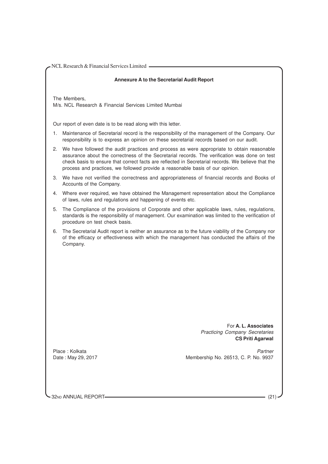## **Annexure A to the Secretarial Audit Report**

The Members, M/s. NCL Research & Financial Services Limited Mumbai

Our report of even date is to be read along with this letter.

- 1. Maintenance of Secretarial record is the responsibility of the management of the Company. Our responsibility is to express an opinion on these secretarial records based on our audit.
- 2. We have followed the audit practices and process as were appropriate to obtain reasonable assurance about the correctness of the Secretarial records. The verification was done on test check basis to ensure that correct facts are reflected in Secretarial records. We believe that the process and practices, we followed provide a reasonable basis of our opinion.
- 3. We have not verified the correctness and appropriateness of financial records and Books of Accounts of the Company.
- 4. Where ever required, we have obtained the Management representation about the Compliance of laws, rules and regulations and happening of events etc.
- 5. The Compliance of the provisions of Corporate and other applicable laws, rules, regulations, standards is the responsibility of management. Our examination was limited to the verification of procedure on test check basis.
- 6. The Secretarial Audit report is neither an assurance as to the future viability of the Company nor of the efficacy or effectiveness with which the management has conducted the affairs of the Company.

For **A. L. Associates** Practicing Company Secretaries **CS Priti Agarwal**

Place : Kolkata Partner Partner Partner Partner Partner Partner Partner Partner Partner Partner Partner Partner Date : May 29, 2017 Membership No. 26513, C. P. No. 9937

32ND ANNUAL REPORT (21)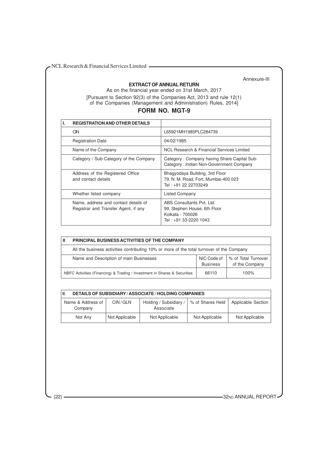## **EXTRACT OF ANNUAL RETURN**

Annexure-III

As on the financial year ended on 31st March, 2017 [Pursuant to Section 92(3) of the Companies Act, 2013 and rule 12(1) of the Companies (Management and Administration) Rules, 2014]

# **FORM NO. MGT-9**

| <b>REGISTRATION AND OTHER DETAILS</b>                                        |                                                                                                         |
|------------------------------------------------------------------------------|---------------------------------------------------------------------------------------------------------|
| <b>CIN</b>                                                                   | L65921MH1985PLC284739                                                                                   |
| <b>Registration Date</b>                                                     | 04/02/1985                                                                                              |
| Name of the Company                                                          | NCL Research & Financial Services Limited                                                               |
| Category / Sub-Category of the Company                                       | Category: Company having Share Capital Sub-<br>Category: Indian Non-Government Company                  |
| Address of the Registered Office<br>and contact details                      | Bhagyodaya Building, 3rd Floor<br>79, N. M. Road, Fort, Mumbai-400 023<br>Tel: +91 22 22703249          |
| Whether listed company                                                       | Listed Company                                                                                          |
| Name, address and contact details of<br>Registrar and Transfer Agent, if any | ABS Consultants Pvt. Ltd.<br>99, Stephen House, 6th Floor<br>Kolkata - 700026<br>Tel : +91 33-2220 1043 |

| Ш | <b>PRINCIPAL BUSINESS ACTIVITIES OF THE COMPANY</b>                                       |                                |                                       |  |  |  |  |  |
|---|-------------------------------------------------------------------------------------------|--------------------------------|---------------------------------------|--|--|--|--|--|
|   | All the business activities contributing 10% or more of the total turnover of the Company |                                |                                       |  |  |  |  |  |
|   | Name and Description of main Businesses                                                   | NIC Code of<br><b>Business</b> | % of Total Turnover<br>of the Company |  |  |  |  |  |
|   | NBFC Activities (Financing) & Trading / Investment in Shares & Securities                 | 66110                          | 100%                                  |  |  |  |  |  |

| III.<br><b>DETAILS OF SUBSIDIARY / ASSOCIATE / HOLDING COMPANIES</b> |                |                                     |                  |                    |  |  |  |
|----------------------------------------------------------------------|----------------|-------------------------------------|------------------|--------------------|--|--|--|
| Name & Address of<br>Company                                         | CIN/GLN        | Holding / Subsidiary /<br>Associate | % of Shares Held | Applicable Section |  |  |  |
| Not Any                                                              | Not Applicable | Not Applicable                      | Not Applicable   | Not Applicable     |  |  |  |

(22) **32ND ANNUAL REPORT**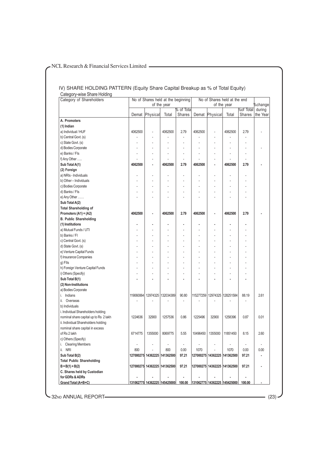#### IV) SHARE HOLDING PATTERN (Equity Share Capital Breakup as % of Total Equity) Category-wise Share Holding

| Category of Shareholders                                                     | No of Shares held at the beginning<br>of the year |                                |                              | No of Shares held at the end |             |                                     | %change                  |                          |                              |
|------------------------------------------------------------------------------|---------------------------------------------------|--------------------------------|------------------------------|------------------------------|-------------|-------------------------------------|--------------------------|--------------------------|------------------------------|
|                                                                              |                                                   |                                |                              | % of Total                   | of the year |                                     |                          | during                   |                              |
|                                                                              | Demat                                             | Physical                       | Total                        | Shares                       |             | Demat Physical                      | Total                    | %of Total<br>Shares      | the Year                     |
| A. Promoters                                                                 |                                                   |                                |                              |                              |             |                                     |                          |                          |                              |
| (1) Indian                                                                   |                                                   |                                |                              |                              |             |                                     |                          |                          |                              |
| a) Individual / HUF                                                          | 4062500                                           | L                              | 4062500                      | 2.79                         | 4062500     |                                     | 4062500                  | 2.79                     |                              |
| b) Central Govt. (s)                                                         |                                                   |                                |                              |                              |             |                                     |                          |                          |                              |
| c) State Govt. (s)                                                           |                                                   |                                |                              |                              |             |                                     |                          |                          |                              |
| d) Bodies Corporate                                                          |                                                   | ä,                             |                              |                              |             |                                     |                          | ä,                       |                              |
| e) Banks / Fls                                                               |                                                   |                                |                              |                              |             |                                     |                          | L,                       |                              |
| f) Any Other                                                                 |                                                   |                                |                              | ÷.                           |             |                                     |                          | ÷.                       |                              |
| Sub Total A(1)                                                               | 4062500                                           | ٠                              | 4062500                      | 2.79                         | 4062500     |                                     | 4062500                  | 2.79                     |                              |
| (2) Foreign                                                                  |                                                   |                                |                              |                              |             |                                     |                          |                          |                              |
| a) NRIs - Individuals                                                        |                                                   |                                |                              |                              |             |                                     |                          |                          |                              |
| b) Other - Individuals                                                       |                                                   |                                |                              |                              |             |                                     |                          |                          |                              |
| c) Bodies Corporate                                                          |                                                   | L.                             |                              |                              |             |                                     |                          | ä,                       |                              |
| d) Banks / Fls                                                               |                                                   |                                |                              |                              |             |                                     |                          |                          |                              |
| e) Any Other                                                                 |                                                   |                                |                              |                              |             |                                     |                          |                          |                              |
| Sub Total A(2)                                                               |                                                   |                                |                              |                              |             |                                     |                          |                          |                              |
| <b>Total Shareholding of</b>                                                 |                                                   |                                |                              |                              |             |                                     |                          |                          |                              |
| Promoters (A1) + (A2)                                                        | 4062500                                           |                                | 4062500                      | 2.79                         | 4062500     |                                     | 4062500                  | 2.79                     |                              |
| <b>B. Public Shareholding</b>                                                |                                                   |                                |                              |                              |             |                                     |                          |                          |                              |
| (1) Institutions                                                             |                                                   |                                |                              |                              |             |                                     |                          |                          |                              |
| a) Mutual Funds / UTI                                                        |                                                   |                                |                              |                              |             |                                     |                          |                          |                              |
| b) Banks / Fl                                                                |                                                   |                                |                              |                              |             |                                     |                          |                          |                              |
| c) Central Govt. (s)                                                         |                                                   |                                |                              |                              |             |                                     |                          | ä,                       |                              |
| d) State Govt. (s)                                                           |                                                   |                                |                              |                              |             |                                     |                          |                          |                              |
| e) Venture Capital Funds                                                     |                                                   |                                |                              |                              |             |                                     |                          |                          |                              |
| f) Insurance Companies                                                       |                                                   |                                |                              |                              |             |                                     |                          |                          |                              |
| g) Fils                                                                      |                                                   |                                |                              |                              |             |                                     |                          |                          |                              |
| h) Foreign Venture Capital Funds                                             |                                                   |                                |                              |                              |             |                                     |                          |                          |                              |
|                                                                              |                                                   |                                |                              |                              |             |                                     |                          |                          |                              |
| i) Others (Specify)                                                          |                                                   |                                |                              |                              |             |                                     |                          |                          |                              |
| Sub Total B(1)                                                               |                                                   |                                |                              |                              |             |                                     |                          |                          |                              |
| (2) Non-Institutions                                                         |                                                   |                                |                              |                              |             |                                     |                          |                          |                              |
| a) Bodies Corporate                                                          |                                                   |                                |                              |                              |             |                                     |                          |                          |                              |
| i. Indians                                                                   | 119060064                                         |                                | 12974325 132034389           | 90.80                        | 115277259   | 12974325                            | 128251584                | 88.19                    | 2.61                         |
| ii. Overseas                                                                 |                                                   |                                |                              |                              |             |                                     |                          |                          |                              |
| b) Individuals<br>i. Individual Shareholders holding                         |                                                   |                                |                              |                              |             |                                     |                          |                          |                              |
|                                                                              | 1224636                                           | 32900                          | 1257536                      | 0.86                         | 1225496     | 32900                               | 1258396                  | 0.87                     | 0.01                         |
| nominal share capital up to Rs 2 lakh<br>ii. Individual Shareholders holding |                                                   |                                |                              |                              |             |                                     |                          |                          |                              |
|                                                                              |                                                   |                                |                              |                              |             |                                     |                          |                          |                              |
| nominal share capital in excess<br>of Rs 2 lakh                              |                                                   |                                |                              |                              |             |                                     |                          |                          | 2.60                         |
|                                                                              | 6714775                                           | 1355000                        | 8069775                      | 5.55                         | 10496450    | 1355000                             | 11851450                 | 8.15                     |                              |
| c) Others (Specify)                                                          |                                                   |                                |                              |                              |             |                                     |                          |                          |                              |
| i. Clearing Members                                                          | $\overline{\phantom{a}}$                          |                                | $\overline{\phantom{a}}$     | $\sim$                       | ÷,          |                                     | $\overline{\phantom{a}}$ | $\overline{\phantom{a}}$ | $\blacksquare$               |
| ii. NRI                                                                      | 800                                               |                                | 800                          | 0.00                         | 1070        | $\frac{1}{2}$                       | 1070                     | 0.00                     | 0.00                         |
| Sub Total B(2)                                                               |                                                   | 127000275  14362225  141362500 |                              | 97.21                        |             | 127000275 14362225 141362500        |                          | 97.21                    | $\qquad \qquad \blacksquare$ |
| <b>Total Public Shareholding</b>                                             |                                                   |                                |                              |                              |             |                                     |                          |                          |                              |
| $B = B(1) + B(2)$                                                            |                                                   | 127000275 14362225 141362500   |                              | 97.21                        |             | 127000275 14362225 141362500        |                          | 97.21                    |                              |
| C. Shares held by Custodian                                                  |                                                   |                                |                              |                              |             |                                     |                          |                          |                              |
| for GDRs & ADRs                                                              |                                                   |                                | 131062775 14362225 145425000 |                              |             | 100.00 131062775 14362225 145425000 |                          | 100.00                   |                              |

-32ND ANNUAL REPORT (23)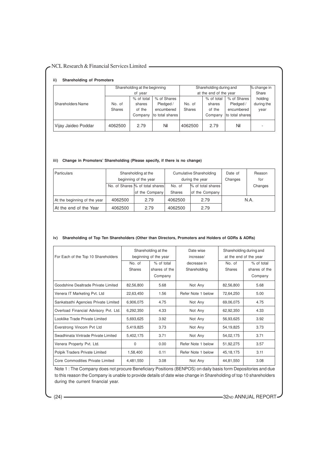|                          |         | Shareholding at the beginning |                 |                        | Shareholding during and |                 |            |  |
|--------------------------|---------|-------------------------------|-----------------|------------------------|-------------------------|-----------------|------------|--|
|                          | of year |                               |                 | at the end of the year | Share                   |                 |            |  |
|                          |         | % of total                    | % of Shares     |                        | % of total              | % of Shares     | holding    |  |
| <b>Shareholders Name</b> | No. of  | shares                        | Pledged /       | No. of                 | shares                  | Pledged /       | during the |  |
|                          | Shares  | of the                        | encumbered      | <b>Shares</b>          | of the                  | encumbered      | year       |  |
|                          |         | Company                       | to total shares |                        | Company                 | to total shares |            |  |
| Vijay Jaideo Poddar      | 4062500 | 2.79                          | Nil             | 4062500                | 2.79                    | Nil             | -          |  |

#### **iii) Change in Promoters' Shareholding (Please specify, if there is no change)**

| Particulars                  | Shareholding at the             |                |                 | <b>Cumulative Shareholding</b> | Date of | Reason  |
|------------------------------|---------------------------------|----------------|-----------------|--------------------------------|---------|---------|
|                              | beginning of the year           |                | during the year |                                | Changes | for     |
|                              | No. of Shares % of total shares |                | No. of          | % of total shares              |         | Changes |
|                              |                                 | of the Company | Shares          | of the Company                 |         |         |
| At the beginning of the year | 4062500                         | 2.79           | 4062500         | 2.79                           |         | N.A.    |
| At the end of the Year       | 4062500                         | 2.79           | 4062500         | 2.79                           |         |         |

# **iv) Shareholding of Top Ten Shareholders (Other than Directors, Promoters and Holders of GDRs & ADRs)**

| For Each of the Top 10 Shareholders   |           | Shareholding at the<br>beginning of the year | Date wise<br>increase/ | Shareholding during and<br>at the end of the year |               |  |
|---------------------------------------|-----------|----------------------------------------------|------------------------|---------------------------------------------------|---------------|--|
|                                       | No. of    | % of total                                   | decrease in            | No. of                                            | % of total    |  |
|                                       | Shares    | shares of the                                | Shareholding           | <b>Shares</b>                                     | shares of the |  |
|                                       |           | Company                                      |                        |                                                   | Company       |  |
| Goodshine Dealtrade Private Limited   | 82,56,800 | 5.68                                         | Not Any                | 82,56,800                                         | 5.68          |  |
| Venera IT Marketing Pvt. Ltd          | 22,63,450 | 1.56                                         | Refer Note 1 below     | 72,64,250                                         | 5.00          |  |
| Sankatsathi Agencies Private Limited  | 6,906,075 | 4.75                                         | Not Any                | 69,06,075                                         | 4.75          |  |
| Overload Financial Advisory Pvt. Ltd. | 6,292,350 | 4.33                                         | Not Any                | 62,92,350                                         | 4.33          |  |
| Looklike Trade Private Limited        | 5,693,625 | 3.92                                         | Not Any                | 56,93,625                                         | 3.92          |  |
| Everstrong Vincom Pvt Ltd             | 5,419,825 | 3.73                                         | Not Any                | 54,19,825                                         | 3.73          |  |
| Swadhinata Vintrade Private Limited   | 5,402,175 | 3.71                                         | Not Any                | 54,02,175                                         | 3.71          |  |
| Venera Property Pvt. Ltd.             | 0         | 0.00                                         | Refer Note 1 below     | 51,92,275                                         | 3.57          |  |
| Polpik Traders Private Limited        | 1,58,400  | 0.11                                         | Refer Note 1 below     | 45, 18, 175                                       | 3.11          |  |
| Core Commodities Private Limited      | 4,481,550 | 3.08                                         | Not Any                | 44,81,550                                         | 3.08          |  |

Note 1 : The Company does not procure Beneficiary Positions (BENPOS) on daily basis form Depositories and due to this reason the Company is unable to provide details of date wise change in Shareholding of top 10 shareholders during the current financial year.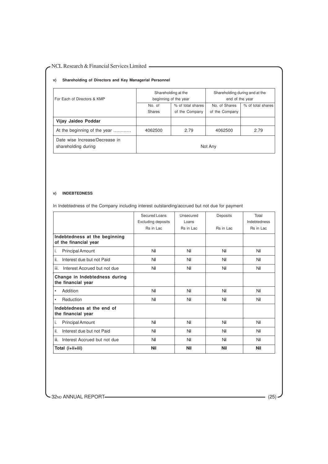#### **v) Shareholding of Directors and Key Managerial Personnel**

| For Each of Directors & KMP                           | Shareholding at the<br>beginning of the year |                   | Shareholding during and at the<br>end of the year |                   |
|-------------------------------------------------------|----------------------------------------------|-------------------|---------------------------------------------------|-------------------|
|                                                       | No. of                                       | % of total shares | No. of Shares                                     | % of total shares |
|                                                       | <b>Shares</b>                                | of the Company    | of the Company                                    |                   |
| Vijay Jaideo Poddar                                   |                                              |                   |                                                   |                   |
| At the beginning of the year                          | 4062500                                      | 2.79              | 4062500                                           | 2.79              |
| Date wise Increase/Decrease in<br>shareholding during | Not Any                                      |                   |                                                   |                   |

#### **v) INDEBTEDNESS**

In Indebtedness of the Company including interest outstanding/accrued but not due for payment

|                                                        | Secured Loans             | Unsecured  | Deposits   | Total        |
|--------------------------------------------------------|---------------------------|------------|------------|--------------|
|                                                        | <b>Excluding deposits</b> | Loans      |            | Indebtedness |
|                                                        | Rs in Lac                 | Rs in Lac  | Rs in Lac  | Rs in Lac    |
| Indebtedness at the beginning<br>of the financial year |                           |            |            |              |
| <b>Principal Amount</b><br>Ι.                          | Nil                       | Nil        | Nil        | Nil          |
| ii.<br>Interest due but not Paid                       | Nil                       | Nil        | Nil        | Nil          |
| iii.<br>Interest Accrued but not due                   | Nil                       | Nil        | Nil        | Nil          |
| Change in Indebtedness during<br>the financial year    |                           |            |            |              |
| Addition<br>$\bullet$                                  | Nil                       | Nil        | Nil        | Nil          |
| Reduction<br>$\bullet$                                 | Nil                       | Nil        | Nil        | Nil          |
| Indebtedness at the end of<br>the financial year       |                           |            |            |              |
| <b>Principal Amount</b><br>Ι.                          | Nil                       | Nil        | Nil        | Nil          |
| ii.<br>Interest due but not Paid                       | Nil                       | Nil        | Nil        | Nil          |
| iii.<br>Interest Accrued but not due                   | Nil                       | Nil        | Nil        | Nil          |
| Total (i+ii+iii)                                       | <b>Nil</b>                | <b>Nil</b> | <b>Nil</b> | <b>Nil</b>   |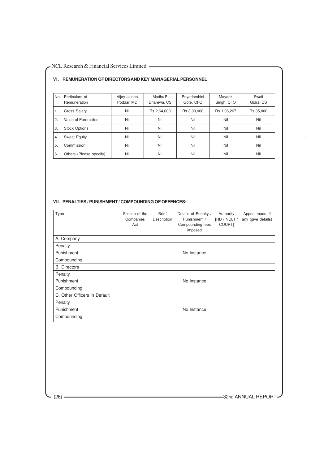#### **VI. REMUNERATION OF DIRECTORS AND KEY MANAGERIAL PERSONNEL**

| No. | Particulars of<br>Remuneration | Vijay Jaideo<br>Poddar, MD | Madhu P<br>Dharewa, CS | Priyadarshini<br>Gote, CFO | Mayank<br>Singh, CFO | Swati<br>Gidra, CS |
|-----|--------------------------------|----------------------------|------------------------|----------------------------|----------------------|--------------------|
| 1.  | Gross Salary                   | Nil                        | Rs 2,64,000            | Rs 3,00,000                | Rs 1,06,267          | Rs 35,000          |
| 2.  | Value of Perguisites           | Nil                        | Nil                    | Nil                        | Nil                  | Nil                |
| 3.  | <b>Stock Options</b>           | Nil                        | Nil                    | Nil                        | Nil                  | Nil                |
| 4.  | <b>Sweat Equity</b>            | Nil                        | Nil                    | Nil                        | Nil                  | Nil                |
| 5.  | Commission                     | Nil                        | Nil                    | Nil                        | Nil                  | Nil                |
| 6.  | Others (Please specify)        | Nil                        | Nil                    | Nil                        | Nil                  | Nil                |

### **VII. PENALTIES / PUNISHMENT / COMPOUNDING OF OFFENCES:**

| Type                         | Section of the<br>Companies<br>Act | <b>Brief</b><br>Description | Details of Penalty /<br>Punishment /<br>Compounding fees<br>imposed | Authority<br>[RD / NCLT /<br>COURT] | Appeal made, if<br>any (give details) |
|------------------------------|------------------------------------|-----------------------------|---------------------------------------------------------------------|-------------------------------------|---------------------------------------|
| A. Company                   |                                    |                             |                                                                     |                                     |                                       |
| Penalty                      |                                    |                             |                                                                     |                                     |                                       |
| Punishment                   |                                    |                             | No Instance                                                         |                                     |                                       |
| Compounding                  |                                    |                             |                                                                     |                                     |                                       |
| <b>B.</b> Directors          |                                    |                             |                                                                     |                                     |                                       |
| Penalty                      |                                    |                             |                                                                     |                                     |                                       |
| Punishment                   |                                    |                             | No Instance                                                         |                                     |                                       |
| Compounding                  |                                    |                             |                                                                     |                                     |                                       |
| C. Other Officers in Default |                                    |                             |                                                                     |                                     |                                       |
| Penalty                      |                                    |                             |                                                                     |                                     |                                       |
| Punishment                   |                                    |                             | No Instance                                                         |                                     |                                       |
| Compounding                  |                                    |                             |                                                                     |                                     |                                       |

(26) 32ND ANNUAL REPORT

3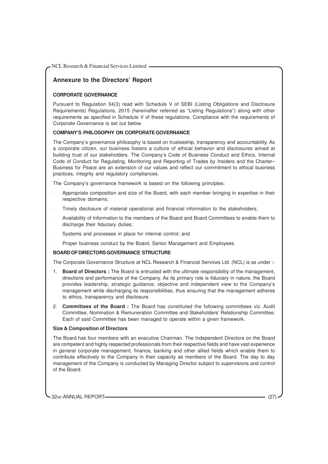# **Annexure to the Directors' Report**

## **CORPORATE GOVERNANCE**

Pursuant to Regulation 34(3) read with Schedule V of SEBI (Listing Obligations and Disclosure Requirements) Regulations, 2015 (hereinafter referred as "Listing Regulations") along with other requirements as specified in Schedule V of these regulations, Compliance with the requirements of Corporate Governance is set out below.

## **COMPANY'S PHILOSOPHY ON CORPORATE GOVERNANCE**

The Company's governance philosophy is based on trusteeship, transparency and accountability. As a corporate citizen, our business fosters a culture of ethical behavior and disclosures aimed at building trust of our stakeholders. The Company's Code of Business Conduct and Ethics, Internal Code of Conduct for Regulating, Monitoring and Reporting of Trades by Insiders and the Charter– Business for Peace are an extension of our values and reflect our commitment to ethical business practices, integrity and regulatory compliances.

The Company's governance framework is based on the following principles:

- <sup>l</sup> Appropriate composition and size of the Board, with each member bringing in expertise in their respective domains;
- Timely disclosure of material operational and financial information to the stakeholders;
- <sup>l</sup> Availability of Information to the members of the Board and Board Committees to enable them to discharge their fiduciary duties;
- Systems and processes in place for internal control; and
- Proper business conduct by the Board, Senior Management and Employees.

#### **BOARD OF DIRECTORS GOVERNANCE STRUCTURE**

The Corporate Governance Structure at NCL Research & Financial Services Ltd. (NCL) is as under :-

- 1. **Board of Directors :** The Board is entrusted with the ultimate responsibility of the management, directions and performance of the Company. As its primary role is fiduciary in nature, the Board provides leadership, strategic guidance, objective and independent view to the Company's management while discharging its responsibilities, thus ensuring that the management adheres to ethics, transparency and disclosure.
- 2. **Committees of the Board :** The Board has constituted the following committees viz. Audit Committee, Nomination & Remuneration Committee and Stakeholders' Relationship Committee. Each of said Committee has been managed to operate within a given framework.

#### **Size & Composition of Directors**

The Board has four members with an executive Chairman. The Independent Directors on the Board are competent and highly respected professionals from their respective fields and have vast experience in general corporate management, finance, banking and other allied fields which enable them to contribute effectively to the Company in their capacity as members of the Board. The day to day management of the Company is conducted by Managing Director subject to supervisions and control of the Board.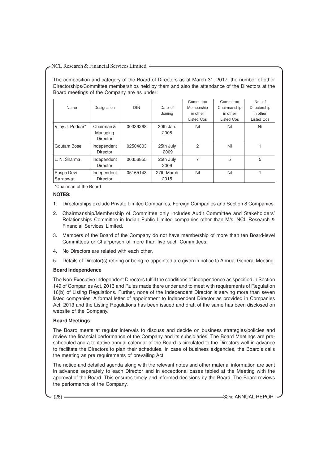The composition and category of the Board of Directors as at March 31, 2017, the number of other Directorships/Committee memberships held by them and also the attendance of the Directors at the Board meetings of the Company are as under:

|                        |                                           |            |                    | Committee         | Committee    | No. of       |
|------------------------|-------------------------------------------|------------|--------------------|-------------------|--------------|--------------|
| Name                   | Designation                               | <b>DIN</b> | Date of            | Membership        | Chairmanship | Directorship |
|                        |                                           |            | Joining            | in other          | in other     | in other     |
|                        |                                           |            |                    | <b>Listed Cos</b> | Listed Cos   | Listed Cos   |
| Vijay J. Poddar*       | Chairman &<br>Managing<br><b>Director</b> | 00339268   | 30th Jan.<br>2008  | Nil               | Nil          | Nil          |
| Goutam Bose            | Independent<br>Director                   | 02504803   | 25th July<br>2009  | 2                 | Nil          |              |
| L. N. Sharma           | Independent<br>Director                   | 00356855   | 25th July<br>2009  | 7                 | 5            | 5            |
| Puspa Devi<br>Saraswat | Independent<br><b>Director</b>            | 05165143   | 27th March<br>2015 | Nil               | Nil          |              |

\*Chairman of the Board

#### **NOTES:**

- 1. Directorships exclude Private Limited Companies, Foreign Companies and Section 8 Companies.
- 2. Chairmanship/Membership of Committee only includes Audit Committee and Stakeholders' Relationships Committee in Indian Public Limited companies other than M/s. NCL Research & Financial Services Limited.
- 3. Members of the Board of the Company do not have membership of more than ten Board-level Committees or Chairperson of more than five such Committees.
- 4. No Directors are related with each other.
- 5. Details of Director(s) retiring or being re-appointed are given in notice to Annual General Meeting.

# **Board Independence**

The Non-Executive Independent Directors fulfill the conditions of independence as specified in Section 149 of Companies Act, 2013 and Rules made there under and to meet with requirements of Regulation 16(b) of Listing Regulations. Further, none of the Independent Director is serving more than seven listed companies. A formal letter of appointment to Independent Director as provided in Companies Act, 2013 and the Listing Regulations has been issued and draft of the same has been disclosed on website of the Company.

# **Board Meetings**

The Board meets at regular intervals to discuss and decide on business strategies/policies and review the financial performance of the Company and its subsidiaries. The Board Meetings are prescheduled and a tentative annual calendar of the Board is circulated to the Directors well in advance to facilitate the Directors to plan their schedules. In case of business exigencies, the Board's calls the meeting as pre requirements of prevailing Act.

The notice and detailed agenda along with the relevant notes and other material information are sent in advance separately to each Director and in exceptional cases tabled at the Meeting with the approval of the Board. This ensures timely and informed decisions by the Board. The Board reviews the performance of the Company.

(28) **32ND ANNUAL REPORT**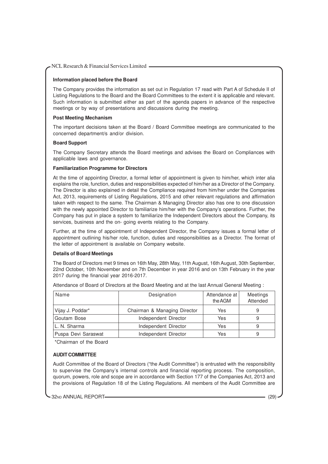# **Information placed before the Board**

The Company provides the information as set out in Regulation 17 read with Part A of Schedule II of Listing Regulations to the Board and the Board Committees to the extent it is applicable and relevant. Such information is submitted either as part of the agenda papers in advance of the respective meetings or by way of presentations and discussions during the meeting.

# **Post Meeting Mechanism**

The important decisions taken at the Board / Board Committee meetings are communicated to the concerned department/s and/or division.

#### **Board Support**

The Company Secretary attends the Board meetings and advises the Board on Compliances with applicable laws and governance.

#### **Familiarization Programme for Directors**

At the time of appointing Director, a formal letter of appointment is given to him/her, which inter alia explains the role, function, duties and responsibilities expected of him/her as a Director of the Company. The Director is also explained in detail the Compliance required from him/her under the Companies Act, 2013, requirements of Listing Regulations, 2015 and other relevant regulations and affirmation taken with respect to the same. The Chairman & Managing Director also has one to one discussion with the newly appointed Director to familiarize him/her with the Company's operations. Further, the Company has put in place a system to familiarize the Independent Directors about the Company, its services, business and the on- going events relating to the Company.

Further, at the time of appointment of Independent Director, the Company issues a formal letter of appointment outlining his/her role, function, duties and responsibilities as a Director. The format of the letter of appointment is available on Company website.

#### **Details of Board Meetings**

The Board of Directors met 9 times on 16th May, 28th May, 11th August, 16th August, 30th September, 22nd October, 10th November and on 7th December in year 2016 and on 13th February in the year 2017 during the financial year 2016-2017.

| Name                | Designation                  | Attendance at<br>the AGM | Meetings<br>Attended |
|---------------------|------------------------------|--------------------------|----------------------|
| Vijay J. Poddar*    | Chairman & Managing Director | Yes                      | 9                    |
| Goutam Bose         | Independent Director         | Yes                      | 9                    |
| L. N. Sharma        | Independent Director         | Yes                      | 9                    |
| Puspa Devi Saraswat | Independent Director         | Yes                      | 9                    |

Attendance of Board of Directors at the Board Meeting and at the last Annual General Meeting :

\*Chairman of the Board

# **AUDIT COMMITTEE**

Audit Committee of the Board of Directors ("the Audit Committee") is entrusted with the responsibility to supervise the Company's internal controls and financial reporting process. The composition, quorum, powers, role and scope are in accordance with Section 177 of the Companies Act, 2013 and the provisions of Regulation 18 of the Listing Regulations. All members of the Audit Committee are

32ND ANNUAL REPORT (29)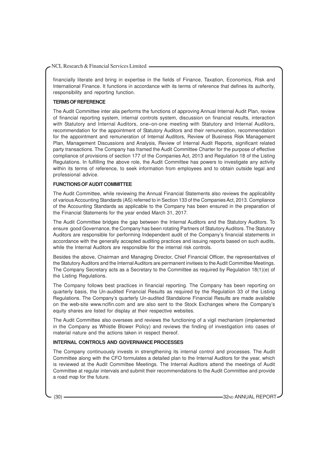financially literate and bring in expertise in the fields of Finance, Taxation, Economics, Risk and International Finance. It functions in accordance with its terms of reference that defines its authority, responsibility and reporting function.

#### **TERMS OF REFERENCE**

The Audit Committee inter alia performs the functions of approving Annual Internal Audit Plan, review of financial reporting system, internal controls system, discussion on financial results, interaction with Statutory and Internal Auditors, one–on-one meeting with Statutory and Internal Auditors, recommendation for the appointment of Statutory Auditors and their remuneration, recommendation for the appointment and remuneration of Internal Auditors, Review of Business Risk Management Plan, Management Discussions and Analysis, Review of Internal Audit Reports, significant related party transactions. The Company has framed the Audit Committee Charter for the purpose of effective compliance of provisions of section 177 of the Companies Act, 2013 and Regulation 18 of the Listing Regulations. In fulfilling the above role, the Audit Committee has powers to investigate any activity within its terms of reference, to seek information from employees and to obtain outside legal and professional advice.

# **FUNCTIONS OF AUDIT COMMITTEE**

The Audit Committee, while reviewing the Annual Financial Statements also reviews the applicability of various Accounting Standards (AS) referred to in Section 133 of the Companies Act, 2013. Compliance of the Accounting Standards as applicable to the Company has been ensured in the preparation of the Financial Statements for the year ended March 31, 2017.

The Audit Committee bridges the gap between the Internal Auditors and the Statutory Auditors. To ensure good Governance, the Company has been rotating Partners of Statutory Auditors. The Statutory Auditors are responsible for performing Independent audit of the Company's financial statements in accordance with the generally accepted auditing practices and issuing reports based on such audits, while the Internal Auditors are responsible for the internal risk controls.

Besides the above, Chairman and Managing Director, Chief Financial Officer, the representatives of the Statutory Auditors and the Internal Auditors are permanent invitees to the Audit Committee Meetings. The Company Secretary acts as a Secretary to the Committee as required by Regulation 18(1)(e) of the Listing Regulations.

The Company follows best practices in financial reporting. The Company has been reporting on quarterly basis, the Un-audited Financial Results as required by the Regulation 33 of the Listing Regulations. The Company's quarterly Un-audited Standalone Financial Results are made available on the web-site www.nclfin.com and are also sent to the Stock Exchanges where the Company's equity shares are listed for display at their respective websites.

The Audit Committee also oversees and reviews the functioning of a vigil mechanism (implemented in the Company as Whistle Blower Policy) and reviews the finding of investigation into cases of material nature and the actions taken in respect thereof.

# **INTERNAL CONTROLS AND GOVERNANCE PROCESSES**

The Company continuously invests in strengthening its internal control and processes. The Audit Committee along with the CFO formulates a detailed plan to the Internal Auditors for the year, which is reviewed at the Audit Committee Meetings. The Internal Auditors attend the meetings of Audit Committee at regular intervals and submit their recommendations to the Audit Committee and provide a road map for the future.

(30) 32ND ANNUAL REPORT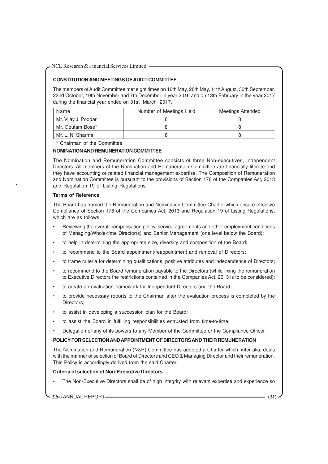# **CONSTITUTION AND MEETINGS OF AUDIT COMMITTEE**

The members of Audit Committee met eight times on 16th May, 28th May, 11th August, 30th September, 22nd October, 10th November and 7th December in year 2016 and on 13th February in the year 2017 during the financial year ended on 31st March 2017.

| Name                | Number of Meetings Held | Meetings Attended |
|---------------------|-------------------------|-------------------|
| Mr. Vijay J. Poddar |                         |                   |
| Mr. Goutam Bose*    |                         |                   |
| Mr. L. N. Sharma    |                         |                   |

\* Chairman of the Committee

#### **NOMINATION AND REMUNERATION COMMITTEE**

The Nomination and Remuneration Committee consists of three Non-executives, Independent Directors. All members of the Nomination and Remuneration Committee are financially literate and they have accounting or related financial management expertise. The Composition of Remuneration and Nomination Committee is pursuant to the provisions of Section 178 of the Companies Act, 2013 and Regulation 19 of Listing Regulations.

#### **Terms of Reference**

•

The Board has framed the Remuneration and Nomination Committee Charter which ensure effective Compliance of Section 178 of the Companies Act, 2013 and Regulation 19 of Listing Regulations, which are as follows:

- Reviewing the overall compensation policy, service agreements and other employment conditions of Managing/Whole-time Director(s) and Senior Management (one level below the Board):
- to help in determining the appropriate size, diversity and composition of the Board;
- to recommend to the Board appointment/reappointment and removal of Directors;
- to frame criteria for determining qualifications, positive attributes and independence of Directors;
- to recommend to the Board remuneration payable to the Directors (while fixing the remuneration to Executive Directors the restrictions contained in the Companies Act, 2013 is to be considered);
- to create an evaluation framework for Independent Directors and the Board;
- to provide necessary reports to the Chairman after the evaluation process is completed by the Directors;
- to assist in developing a succession plan for the Board;
- to assist the Board in fulfilling responsibilities entrusted from time-to-time;
- Delegation of any of its powers to any Member of the Committee or the Compliance Officer.

# **POLICY FOR SELECTION AND APPOINTMENT OF DIRECTORS AND THEIR REMUNERATION**

The Nomination and Remuneration (N&R) Committee has adopted a Charter which, inter alia, deals with the manner of selection of Board of Directors and CEO & Managing Director and their remuneration. This Policy is accordingly derived from the said Charter.

## **Criteria of selection of Non-Executive Directors**

• The Non-Executive Directors shall be of high integrity with relevant expertise and experience so

32ND ANNUAL REPORT (31)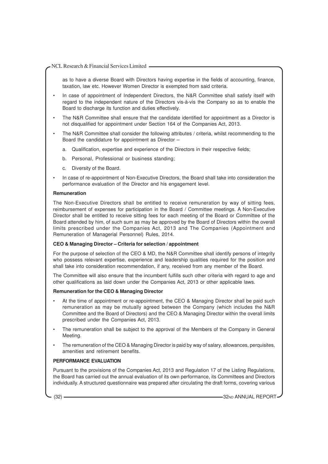as to have a diverse Board with Directors having expertise in the fields of accounting, finance, taxation, law etc. However Women Director is exempted from said criteria.

- In case of appointment of Independent Directors, the N&R Committee shall satisfy itself with regard to the independent nature of the Directors vis-à-vis the Company so as to enable the Board to discharge its function and duties effectively.
- The N&R Committee shall ensure that the candidate identified for appointment as a Director is not disqualified for appointment under Section 164 of the Companies Act, 2013.
- The N&R Committee shall consider the following attributes / criteria, whilst recommending to the Board the candidature for appointment as Director –
	- a. Qualification, expertise and experience of the Directors in their respective fields;
	- b. Personal, Professional or business standing;
	- c. Diversity of the Board.
- In case of re-appointment of Non-Executive Directors, the Board shall take into consideration the performance evaluation of the Director and his engagement level.

#### **Remuneration**

The Non-Executive Directors shall be entitled to receive remuneration by way of sitting fees, reimbursement of expenses for participation in the Board / Committee meetings. A Non-Executive Director shall be entitled to receive sitting fees for each meeting of the Board or Committee of the Board attended by him, of such sum as may be approved by the Board of Directors within the overall limits prescribed under the Companies Act, 2013 and The Companies (Appointment and Remuneration of Managerial Personnel) Rules, 2014.

# **CEO & Managing Director – Criteria for selection / appointment**

For the purpose of selection of the CEO & MD, the N&R Committee shall identify persons of integrity who possess relevant expertise, experience and leadership qualities required for the position and shall take into consideration recommendation, if any, received from any member of the Board.

The Committee will also ensure that the incumbent fulfills such other criteria with regard to age and other qualifications as laid down under the Companies Act, 2013 or other applicable laws.

# **Remuneration for the CEO & Managing Director**

- At the time of appointment or re-appointment, the CEO & Managing Director shall be paid such remuneration as may be mutually agreed between the Company (which includes the N&R Committee and the Board of Directors) and the CEO & Managing Director within the overall limits prescribed under the Companies Act, 2013.
- The remuneration shall be subject to the approval of the Members of the Company in General Meeting.
- The remuneration of the CEO & Managing Director is paid by way of salary, allowances, perquisites, amenities and retirement benefits.

# **PERFORMANCE EVALUATION**

Pursuant to the provisions of the Companies Act, 2013 and Regulation 17 of the Listing Regulations, the Board has carried out the annual evaluation of its own performance, its Committees and Directors individually. A structured questionnaire was prepared after circulating the draft forms, covering various

(32) **32ND ANNUAL REPORT**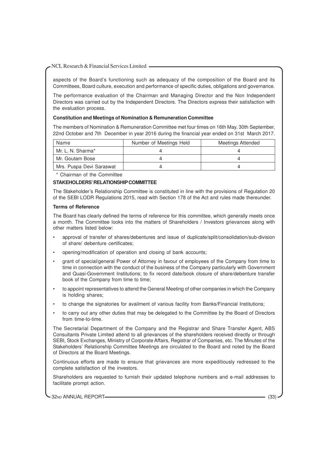aspects of the Board's functioning such as adequacy of the composition of the Board and its Committees, Board culture, execution and performance of specific duties, obligations and governance.

The performance evaluation of the Chairman and Managing Director and the Non Independent Directors was carried out by the Independent Directors. The Directors express their satisfaction with the evaluation process.

#### **Constitution and Meetings of Nomination & Remuneration Committee**

The members of Nomination & Remuneration Committee met four times on 16th May, 30th September, 22nd October and 7th December in year 2016 during the financial year ended on 31st March 2017.

| Name                     | Number of Meetings Held | <b>Meetings Attended</b> |
|--------------------------|-------------------------|--------------------------|
| Mr. L. N. Sharma*        |                         |                          |
| Mr. Goutam Bose          |                         |                          |
| Mrs. Puspa Devi Saraswat |                         |                          |

\* Chairman of the Committee

# **STAKEHOLDERS' RELATIONSHIP COMMITTEE**

The Stakeholder's Relationship Committee is constituted in line with the provisions of Regulation 20 of the SEBI LODR Regulations 2015, read with Section 178 of the Act and rules made thereunder.

#### **Terms of Reference**

The Board has clearly defined the terms of reference for this committee, which generally meets once a month. The Committee looks into the matters of Shareholders / Investors grievances along with other matters listed below:

- approval of transfer of shares/debentures and issue of duplicate/split/consolidation/sub-division of share/ debenture certificates;
- opening/modification of operation and closing of bank accounts;
- grant of special/general Power of Attorney in favour of employees of the Company from time to time in connection with the conduct of the business of the Company particularly with Government and Quasi-Government Institutions; to fix record date/book closure of share/debenture transfer book of the Company from time to time;
- to appoint representatives to attend the General Meeting of other companies in which the Company is holding shares;
- to change the signatories for availment of various facility from Banks/Financial Institutions;
- to carry out any other duties that may be delegated to the Committee by the Board of Directors from time-to-time.

The Secretarial Department of the Company and the Registrar and Share Transfer Agent, ABS Consultants Private Limited attend to all grievances of the shareholders received directly or through SEBI, Stock Exchanges, Ministry of Corporate Affairs, Registrar of Companies, etc. The Minutes of the Stakeholders' Relationship Committee Meetings are circulated to the Board and noted by the Board of Directors at the Board Meetings.

Continuous efforts are made to ensure that grievances are more expeditiously redressed to the complete satisfaction of the investors.

Shareholders are requested to furnish their updated telephone numbers and e-mail addresses to facilitate prompt action.

32ND ANNUAL REPORT (33)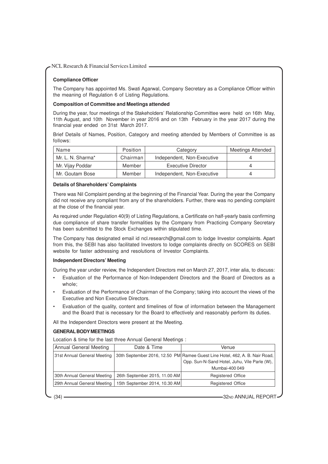# **Compliance Officer**

The Company has appointed Ms. Swati Agarwal, Company Secretary as a Compliance Officer within the meaning of Regulation 6 of Listing Regulations.

#### **Composition of Committee and Meetings attended**

During the year, four meetings of the Stakeholders' Relationship Committee were held on 16th May, 11th August, and 10th November in year 2016 and on 13th February in the year 2017 during the financial year ended on 31st March 2017.

Brief Details of Names, Position, Category and meeting attended by Members of Committee is as follows:

| Name              | Position   | Category                   | <b>Meetings Attended</b> |
|-------------------|------------|----------------------------|--------------------------|
| Mr. L. N. Sharma* | Chairman I | Independent, Non-Executive |                          |
| Mr. Vijay Poddar  | Member     | <b>Executive Director</b>  |                          |
| Mr. Goutam Bose   | Member     | Independent, Non-Executive |                          |

# **Details of Shareholders' Complaints**

There was Nil Complaint pending at the beginning of the Financial Year. During the year the Company did not receive any compliant from any of the shareholders. Further, there was no pending complaint at the close of the financial year.

As required under Regulation 40(9) of Listing Regulations, a Certificate on half-yearly basis confirming due compliance of share transfer formalities by the Company from Practicing Company Secretary has been submitted to the Stock Exchanges within stipulated time.

The Company has designated email id ncl.research@gmail.com to lodge Investor complaints. Apart from this, the SEBI has also facilitated Investors to lodge complaints directly on SCORES on SEBI website for faster addressing and resolutions of Investor Complaints.

# **Independent Directors' Meeting**

During the year under review, the Independent Directors met on March 27, 2017, inter alia, to discuss:

- Evaluation of the Performance of Non-Independent Directors and the Board of Directors as a whole;
- Evaluation of the Performance of Chairman of the Company; taking into account the views of the Executive and Non Executive Directors.
- Evaluation of the quality, content and timelines of flow of information between the Management and the Board that is necessary for the Board to effectively and reasonably perform its duties.

All the Independent Directors were present at the Meeting.

# **GENERAL BODY MEETINGS**

Location & time for the last three Annual General Meetings :

| Annual General Meeting      | Date & Time                   | Venue                                                                       |
|-----------------------------|-------------------------------|-----------------------------------------------------------------------------|
| 31st Annual General Meeting |                               | 30th September 2016, 12.50 PM Ramee Guest Line Hotel, 462, A. B. Nair Road, |
|                             |                               | Opp. Sun-N-Sand Hotel, Juhu, Vile Parle (W),                                |
|                             |                               | Mumbai-400 049                                                              |
| 30th Annual General Meeting | 26th September 2015, 11.00 AM | <b>Registered Office</b>                                                    |
| 29th Annual General Meeting | 15th September 2014, 10.30 AM | <b>Registered Office</b>                                                    |

(34) **32ND ANNUAL REPORT**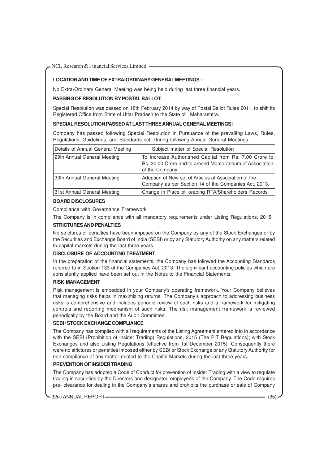# **LOCATION AND TIME OF EXTRA-ORDINARY GENERAL MEETINGS :**

No Extra-Ordinary General Meeting was being held during last three financial years.

#### **PASSING OF RESOLUTION BY POSTAL BALLOT:**

Special Resolution was passed on 18th February 2014 by way of Postal Ballot Rules 2011, to shift its Registered Office from State of Uttar Pradesh to the State of Maharashtra.

#### **SPECIAL RESOLUTION PASSED AT LAST THREE ANNUAL GENERAL MEETINGS:**

Company has passed following Special Resolution in Pursuance of the prevailing Laws, Rules, Regulations, Guidelines, and Standards ect. During following Annual General Meetings –

| Details of Annual General Meeting | Subject matter of Special Resolution                                                                                                |
|-----------------------------------|-------------------------------------------------------------------------------------------------------------------------------------|
| 29th Annual General Meeting       | To Increase Authorished Capital from Rs. 7.00 Crore to<br>Rs. 30.00 Crore and to amend Memorandum of Association<br>of the Company. |
| 30th Annual General Meeting       | Adoption of New set of Articles of Association of the<br>Company as per Section 14 of the Companies Act, 2013.                      |
| 31st Annual General Meeting       | Change in Place of keeping RTA/Shareholders Records                                                                                 |

#### **BOARD DISCLOSURES**

Compliance with Governance Framework

The Company is in compliance with all mandatory requirements under Listing Regulations, 2015.

#### **STRICTURES AND PENALTIES**

No strictures or penalties have been imposed on the Company by any of the Stock Exchanges or by the Securities and Exchange Board of India (SEBI) or by any Statutory Authority on any matters related to capital markets during the last three years.

#### **DISCLOSURE OF ACCOUNTING TREATMENT**

In the preparation of the financial statements, the Company has followed the Accounting Standards referred to in Section 133 of the Companies Act, 2013. The significant accounting policies which are consistently applied have been set out in the Notes to the Financial Statements.

#### **RISK MANAGEMENT**

Risk management is embedded in your Company's operating framework. Your Company believes that managing risks helps in maximizing returns. The Company's approach to addressing business risks is comprehensive and includes periodic review of such risks and a framework for mitigating controls and reporting mechanism of such risks. The risk management framework is reviewed periodically by the Board and the Audit Committee.

#### **SEBI / STOCK EXCHANGE COMPLIANCE**

The Company has complied with all requirements of the Listing Agreement entered into in accordance with the SEBI (Prohibition of Insider Trading) Regulations, 2015 (The PIT Regulations); with Stock Exchanges and also Listing Regulations (effective from 1st December 2015). Consequently there were no strictures or penalties imposed either by SEBI or Stock Exchange or any Statutory Authority for non-compliance of any matter related to the Capital Markets during the last three years.

#### **PREVENTION OF INSIDER TRADING**

The Company has adopted a Code of Conduct for prevention of Insider Trading with a view to regulate trading in securities by the Directors and designated employees of the Company. The Code requires pre- clearance for dealing in the Company's shares and prohibits the purchase or sale of Company

32ND ANNUAL REPORT (35)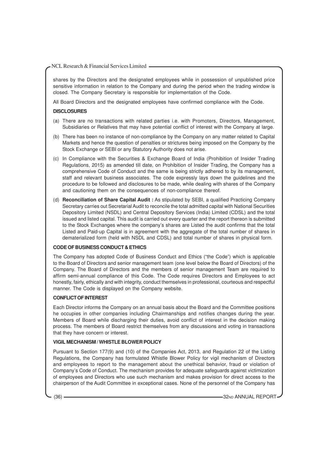shares by the Directors and the designated employees while in possession of unpublished price sensitive information in relation to the Company and during the period when the trading window is closed. The Company Secretary is responsible for implementation of the Code.

All Board Directors and the designated employees have confirmed compliance with the Code.

#### **DISCLOSURES**

- (a) There are no transactions with related parties i.e. with Promoters, Directors, Management, Subsidiaries or Relatives that may have potential conflict of interest with the Company at large.
- (b) There has been no instance of non-compliance by the Company on any matter related to Capital Markets and hence the question of penalties or strictures being imposed on the Company by the Stock Exchange or SEBI or any Statutory Authority does not arise.
- (c) In Compliance with the Securities & Exchange Board of India (Prohibition of Insider Trading Regulations, 2015) as amended till date, on Prohibition of Insider Trading, the Company has a comprehensive Code of Conduct and the same is being strictly adhered to by its management, staff and relevant business associates. The code expressly lays down the guidelines and the procedure to be followed and disclosures to be made, while dealing with shares of the Company and cautioning them on the consequences of non-compliance thereof.
- (d) **Reconciliation of Share Capital Audit :** As stipulated by SEBI, a qualified Practicing Company Secretary carries out Secretarial Audit to reconcile the total admitted capital with National Securities Depository Limited (NSDL) and Central Depository Services (India) Limited (CDSL) and the total issued and listed capital. This audit is carried out every quarter and the report thereon is submitted to the Stock Exchanges where the company's shares are Listed the audit confirms that the total Listed and Paid-up Capital is in agreement with the aggregate of the total number of shares in dematerialized form (held with NSDL and CDSL) and total number of shares in physical form.

# **CODE OF BUSINESS CONDUCT & ETHICS**

The Company has adopted Code of Business Conduct and Ethics ("the Code") which is applicable to the Board of Directors and senior management team (one level below the Board of Directors) of the Company. The Board of Directors and the members of senior management Team are required to affirm semi-annual compliance of this Code. The Code requires Directors and Employees to act honestly, fairly, ethically and with integrity, conduct themselves in professional, courteous and respectful manner. The Code is displayed on the Company website.

#### **CONFLICT OF INTEREST**

Each Director informs the Company on an annual basis about the Board and the Committee positions he occupies in other companies including Chairmanships and notifies changes during the year. Members of Board while discharging their duties, avoid conflict of interest in the decision making process. The members of Board restrict themselves from any discussions and voting in transactions that they have concern or interest.

#### **VIGIL MECHANISM / WHISTLE BLOWER POLICY**

Pursuant to Section 177(9) and (10) of the Companies Act, 2013, and Regulation 22 of the Listing Regulations, the Company has formulated Whistle Blower Policy for vigil mechanism of Directors and employees to report to the management about the unethical behavior, fraud or violation of Company's Code of Conduct. The mechanism provides for adequate safeguards against victimization of employees and Directors who use such mechanism and makes provision for direct access to the chairperson of the Audit Committee in exceptional cases. None of the personnel of the Company has

(36) **32ND ANNUAL REPORT**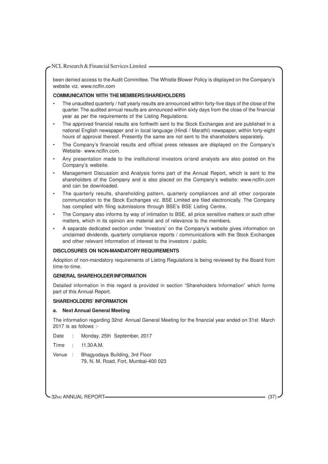been denied access to the Audit Committee. The Whistle Blower Policy is displayed on the Company's website viz. www.nclfin.com

## **COMMUNICATION WITH THE MEMBERS/SHAREHOLDERS**

- The unaudited quarterly / half yearly results are announced within forty-five days of the close of the quarter. The audited annual results are announced within sixty days from the close of the financial year as per the requirements of the Listing Regulations.
- The approved financial results are forthwith sent to the Stock Exchanges and are published in a national English newspaper and in local language (Hindi / Marathi) newspaper, within forty-eight hours of approval thereof. Presently the same are not sent to the shareholders separately.
- The Company's financial results and official press releases are displayed on the Company's Website- www.nclfin.com.
- Any presentation made to the institutional investors or/and analysts are also posted on the Company's website.
- Management Discussion and Analysis forms part of the Annual Report, which is sent to the shareholders of the Company and is also placed on the Company's website: www.nclfin.com and can be downloaded.
- The quarterly results, shareholding pattern, quarterly compliances and all other corporate communication to the Stock Exchanges viz. BSE Limited are filed electronically. The Company has complied with filing submissions through BSE's BSE Listing Centre.
- The Company also informs by way of intimation to BSE, all price sensitive matters or such other matters, which in its opinion are material and of relevance to the members.
- A separate dedicated section under 'Investors' on the Company's website gives information on unclaimed dividends, quarterly compliance reports / communications with the Stock Exchanges and other relevant information of interest to the investors / public.

#### **DISCLOSURES ON NON-MANDATORY REQUIREMENTS**

Adoption of non-mandatory requirements of Listing Regulations is being reviewed by the Board from time-to-time.

#### **GENERAL SHAREHOLDER INFORMATION**

Detailed information in this regard is provided in section "Shareholders Information" which forms part of this Annual Report.

#### **SHAREHOLDERS' INFORMATION**

#### **a. Next Annual General Meeting**

The information regarding 32nd Annual General Meeting for the financial year ended on 31st March 2017 is as follows :-

Date : Monday, 25th September, 2017

Time : 11.30 A.M.

Venue : Bhagyodaya Building, 3rd Floor 79, N. M. Road, Fort, Mumbai-400 023

32ND ANNUAL REPORT (37)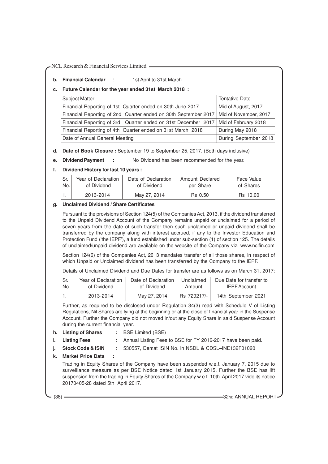**b.** Financial Calendar : 1st April to 31st March

## **c. Future Calendar for the year ended 31st March 2018 :**

| <b>Subject Matter</b>                                                                   | <b>Tentative Date</b> |
|-----------------------------------------------------------------------------------------|-----------------------|
| Financial Reporting of 1st Quarter ended on 30th June 2017                              | Mid of August, 2017   |
| Financial Reporting of 2nd Quarter ended on 30th September 2017   Mid of November, 2017 |                       |
| Financial Reporting of 3rd Quarter ended on 31st December 2017   Mid of February 2018   |                       |
| Financial Reporting of 4th Quarter ended on 31st March 2018                             | During May 2018       |
| Date of Annual General Meeting                                                          | During September 2018 |

- **d. Date of Book Closure :** September 19 to September 25, 2017. (Both days inclusive)
- **e. Dividend Payment :** No Dividend has been recommended for the year.
- **f. Dividend History for last 10 years :**

| l Sr. | Year of Declaration | Date of Declaration | Amount Declared | Face Value |
|-------|---------------------|---------------------|-----------------|------------|
| lNo.  | of Dividend         | of Dividend         | per Share       | of Shares  |
|       | 2013-2014           | May 27, 2014        | Rs 0.50         | Rs 10.00   |

# **g. Unclaimed Dividend / Share Certificates**

Pursuant to the provisions of Section 124(5) of the Companies Act, 2013, if the dividend transferred to the Unpaid Dividend Account of the Company remains unpaid or unclaimed for a period of seven years from the date of such transfer then such unclaimed or unpaid dividend shall be transferred by the company along with interest accrued, if any to the Investor Education and Protection Fund ('the IEPF'), a fund established under sub-section (1) of section 125. The details of unclaimed/unpaid dividend are available on the website of the Company viz. www.nclfin.com

Section 124(6) of the Companies Act, 2013 mandates transfer of all those shares, in respect of which Unpaid or Unclaimed dividend has been transferred by the Company to the IEPF.

Details of Unclaimed Dividend and Due Dates for transfer are as follows as on March 31, 2017:

| Sr. | Year of Declaration | Date of Declaration | Unclaimed   | Due Date for transfer to |
|-----|---------------------|---------------------|-------------|--------------------------|
| No. | of Dividend         | of Dividend         | Amount      | <b>IEPF Account</b>      |
|     | 2013-2014           | May 27, 2014        | Rs 729217/- | 14th September 2021      |

Further, as required to be disclosed under Regulation 34(3) read with Schedule V of Listing Regulations, Nil Shares are lying at the beginning or at the close of financial year in the Suspense Account. Further the Company did not moved in/out any Equity Share in said Suspense Account during the current financial year.

- **h. Listing of Shares :** BSE Limited (BSE)
	-
- 
- **i. Listing Fees** : Annual Listing Fees to BSE for FY 2016-2017 have been paid.
- 
- **j. Stock Code & ISIN** : 530557, Demat ISIN No. in NSDL & CDSL–INE132F01020
- **k. Market Price Data :**

Trading in Equity Shares of the Company have been suspended w.e.f. January 7, 2015 due to surveillance measure as per BSE Notice dated 1st January 2015. Further the BSE has lift suspension from the trading in Equity Shares of the Company w.e.f. 10th April 2017 vide its notice 20170405-28 dated 5th April 2017.

(38) **32ND ANNUAL REPORT**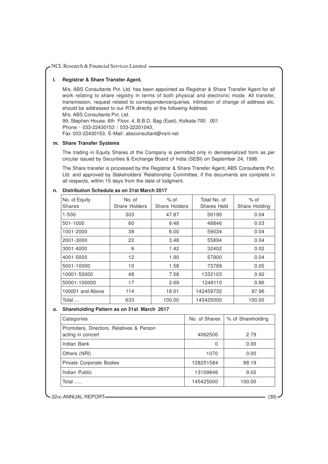# **l. Registrar & Share Transfer Agent.**

M/s. ABS Consultants Pvt. Ltd. has been appointed as Registrar & Share Transfer Agent for all work relating to share registry in terms of both physical and electronic mode. All transfer, transmission, request related to correspondence/queries, intimation of change of address etc. should be addressed to our RTA directly at the following Address:

M/s. ABS Consultants Pvt. Ltd.

99, Stephen House, 6th Floor, 4, B.B.D. Bag (East), Kolkata-700 001

Phone - 033-22430153 / 033-22201043,

Fax 033-22430153, E-Mail: absconsultant@vsnl.net

#### **m. Share Transfer Systems**

The trading in Equity Shares of the Company is permitted only in dematerialized form as per circular issued by Securities & Exchange Board of India (SEBI) on September 24, 1998.

The Share transfer is processed by the Registrar & Share Transfer Agent, ABS Consultants Pvt. Ltd. and approved by Stakeholders' Relationship Committee, if the documents are complete in all respects, within 15 days from the date of lodgment.

# **n. Distribution Schedule as on 31st March 2017**

| No. of Equity<br><b>Shares</b> | No. of<br>Share Holders | $%$ of<br><b>Share Holders</b> | Total No. of<br>Shares Held | $%$ of<br>Share Holding |
|--------------------------------|-------------------------|--------------------------------|-----------------------------|-------------------------|
| $1 - 500$                      | 303                     | 47.87                          | 56190                       | 0.04                    |
| 501-1000                       | 60                      | 9.48                           | 48846                       | 0.03                    |
| 1001-2000                      | 38                      | 6.00                           | 59034                       | 0.04                    |
| 2001-3000                      | 22                      | 3.48                           | 55894                       | 0.04                    |
| 3001-4000                      | 9                       | 1.42                           | 32402                       | 0.02                    |
| 4001-5000                      | 12                      | 1.90                           | 57900                       | 0.04                    |
| 5001-10000                     | 10                      | 1.58                           | 73789                       | 0.05                    |
| 10001-50000                    | 48                      | 7.58                           | 1332103                     | 0.92                    |
| 50001-100000                   | 17                      | 2.69                           | 1249110                     | 0.86                    |
| 100001 and Above               | 114                     | 18.01                          | 142459732                   | 97.96                   |
| Total                          | 633                     | 100.00                         | 145425000                   | 100.00                  |

# **o. Shareholding Pattern as on 31st March 2017**

| Categories                                                    | No. of Shares | % of Shareholding |
|---------------------------------------------------------------|---------------|-------------------|
| Promoters, Directors, Relatives & Person<br>acting in concert | 4062500       | 2.79              |
| Indian Bank                                                   | 0             | 0.00              |
| Others (NRI)                                                  | 1070          | 0.00              |
| Private Corporate Bodies                                      | 128251584     | 88.19             |
| Indian Public                                                 | 13109846      | 9.02              |
| Total                                                         | 145425000     | 100.00            |

32ND ANNUAL REPORT (39)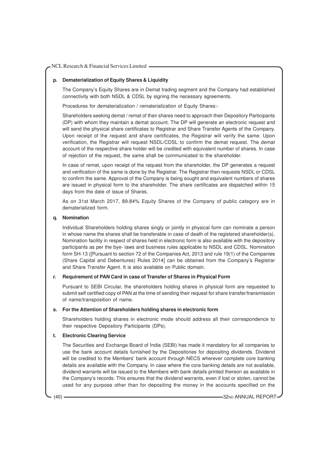#### **p. Dematerialization of Equity Shares & Liquidity**

The Company's Equity Shares are in Demat trading segment and the Company had established connectivity with both NSDL & CDSL by signing the necessary agreements.

Procedures for dematerialization / rematerialization of Equity Shares:-

Shareholders seeking demat / remat of their shares need to approach their Depository Participants (DP) with whom they maintain a demat account. The DP will generate an electronic request and will send the physical share certificates to Registrar and Share Transfer Agents of the Company. Upon receipt of the request and share certificates, the Registrar will verify the same. Upon verification, the Registrar will request NSDL/CDSL to confirm the demat request. The demat account of the respective share holder will be credited with equivalent number of shares. In case of rejection of the request, the same shall be communicated to the shareholder.

In case of remat, upon receipt of the request from the shareholder, the DP generates a request and verification of the same is done by the Registrar. The Registrar then requests NSDL or CDSL to confirm the same. Approval of the Company is being sought and equivalent numbers of shares are issued in physical form to the shareholder. The share certificates are dispatched within 15 days from the date of issue of Shares.

As on 31st March 2017, 89.84% Equity Shares of the Company of public category are in dematerialized form.

#### **q. Nomination**

Individual Shareholders holding shares singly or jointly in physical form can nominate a person in whose name the shares shall be transferable in case of death of the registered shareholder(s). Nomination facility in respect of shares held in electronic form is also available with the depository participants as per the bye- laws and business rules applicable to NSDL and CDSL. Nomination form SH-13 ([Pursuant to section 72 of the Companies Act, 2013 and rule 19(1) of the Companies (Share Capital and Debentures) Rules 2014] can be obtained from the Company's Registrar and Share Transfer Agent. It is also available on Public domain.

#### **r. Requirement of PAN Card in case of Transfer of Shares in Physical Form**

Pursuant to SEBI Circular, the shareholders holding shares in physical form are requested to submit self certified copy of PAN at the time of sending their request for share transfer/transmission of name/transposition of name.

#### **s. For the Attention of Shareholders holding shares in electronic form**

Shareholders holding shares in electronic mode should address all their correspondence to their respective Depository Participants (DPs).

#### **t. Electronic Clearing Service**

The Securities and Exchange Board of India (SEBI) has made it mandatory for all companies to use the bank account details furnished by the Depositories for depositing dividends. Dividend will be credited to the Members' bank account through NECS wherever complete core banking details are available with the Company. In case where the core banking details are not available, dividend warrants will be issued to the Members with bank details printed thereon as available in the Company's records. This ensures that the dividend warrants, even if lost or stolen, cannot be used for any purpose other than for depositing the money in the accounts specified on the

(40) **32ND ANNUAL REPORT**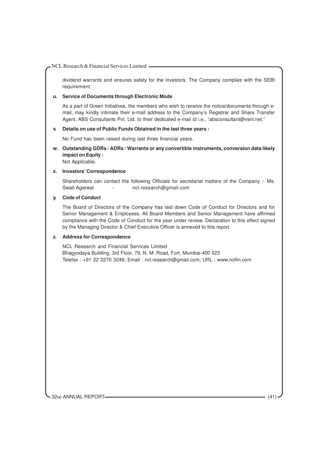dividend warrants and ensures safety for the investors. The Company complies with the SEBI requirement.

#### **u. Service of Documents through Electronic Mode**

As a part of Green Initiatives, the members who wish to receive the notice/documents through email, may kindly intimate their e-mail address to the Company's Registrar and Share Transfer Agent, ABS Consultants Pvt. Ltd. to their dedicated e-mail id i.e., "absconsultant@vsnl.net."

#### **v. Details on use of Public Funds Obtained in the last three years :**

No Fund has been raised during last three financial years.

**w. Outstanding GDRs / ADRs / Warrants or any convertible instruments, conversion data likely impact on Equity :**

Not Applicable.

# **x. Investors' Correspondence**

Shareholders can contact the following Officials for secretarial matters of the Company :- Ms. Swati Agarwal - ncl.research@gmail.com

#### **y. Code of Conduct**

The Board of Directors of the Company has laid down Code of Conduct for Directors and for Senior Management & Employees. All Board Members and Senior Management have affirmed compliance with the Code of Conduct for the year under review. Declaration to this effect signed by the Managing Director & Chief Executive Officer is annexed to this report.

# **z. Address for Correspondence**

NCL Research and Financial Services Limited Bhagyodaya Building, 3rd Floor, 79, N. M. Road, Fort, Mumbai-400 023 Telefax : +91 22 2270 3249; Email : ncl.research@gmail.com; URL : www.nclfin.com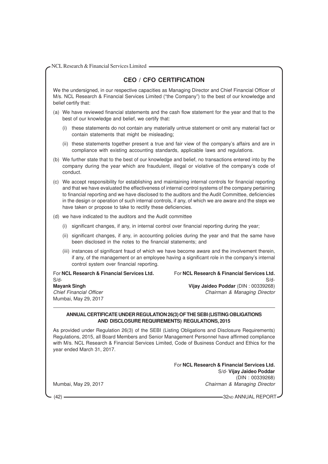| NCL Research & Financial Services Limited |  |  |
|-------------------------------------------|--|--|
|                                           |  |  |

# **CEO / CFO CERTIFICATION**

We the undersigned, in our respective capacities as Managing Director and Chief Financial Officer of M/s. NCL Research & Financial Services Limited ("the Company") to the best of our knowledge and belief certify that:

- (a) We have reviewed financial statements and the cash flow statement for the year and that to the best of our knowledge and belief, we certify that:
	- (i) these statements do not contain any materially untrue statement or omit any material fact or contain statements that might be misleading;
	- (ii) these statements together present a true and fair view of the company's affairs and are in compliance with existing accounting standards, applicable laws and regulations.
- (b) We further state that to the best of our knowledge and belief, no transactions entered into by the company during the year which are fraudulent, illegal or violative of the company's code of conduct.

(c) We accept responsibility for establishing and maintaining internal controls for financial reporting and that we have evaluated the effectiveness of internal control systems of the company pertaining to financial reporting and we have disclosed to the auditors and the Audit Committee, deficiencies in the design or operation of such internal controls, if any, of which we are aware and the steps we have taken or propose to take to rectify these deficiencies.

- (d) we have indicated to the auditors and the Audit committee
	- (i) significant changes, if any, in internal control over financial reporting during the year;
	- (ii) significant changes, if any, in accounting policies during the year and that the same have been disclosed in the notes to the financial statements; and
	- (iii) instances of significant fraud of which we have become aware and the involvement therein, if any, of the management or an employee having a significant role in the company's internal control system over financial reporting.

For **NCL Research & Financial Services Ltd.** For **NCL Research & Financial Services Ltd.** S/d- S/d-

**Mayank Singh Vijay Jaideo Poddar** (DIN : 00339268)

Chief Financial Officer **Chairman & Managing Director** Chairman & Managing Director

## **ANNUAL CERTIFICATE UNDER REGULATION 26(3) OF THE SEBI (LISTING OBLIGATIONS AND DISCLOSURE REQUIREMENTS) REGULATIONS, 2015**

As provided under Regulation 26(3) of the SEBI (Listing Obligations and Disclosure Requirements) Regulations, 2015, all Board Members and Senior Management Personnel have affirmed compliance with M/s. NCL Research & Financial Services Limited, Code of Business Conduct and Ethics for the year ended March 31, 2017.

For **NCL Research & Financial Services Ltd.** S/d- **Vijay Jaideo Poddar** (DIN : 00339268) Mumbai, May 29, 2017 Chairman & Managing Director

Mumbai, May 29, 2017

(42) **32ND ANNUAL REPORT**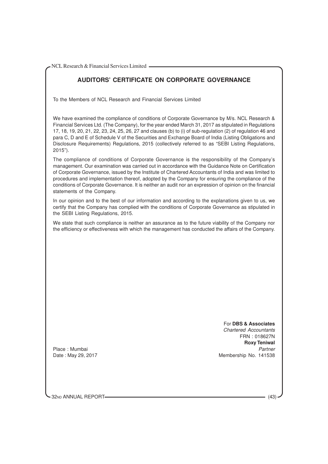# **AUDITORS' CERTIFICATE ON CORPORATE GOVERNANCE**

To the Members of NCL Research and Financial Services Limited

We have examined the compliance of conditions of Corporate Governance by M/s. NCL Research & Financial Services Ltd. (The Company), for the year ended March 31, 2017 as stipulated in Regulations 17, 18, 19, 20, 21, 22, 23, 24, 25, 26, 27 and clauses (b) to (i) of sub-regulation (2) of regulation 46 and para C, D and E of Schedule V of the Securities and Exchange Board of India (Listing Obligations and Disclosure Requirements) Regulations, 2015 (collectively referred to as "SEBI Listing Regulations, 2015").

The compliance of conditions of Corporate Governance is the responsibility of the Company's management. Our examination was carried out in accordance with the Guidance Note on Certification of Corporate Governance, issued by the Institute of Chartered Accountants of India and was limited to procedures and implementation thereof, adopted by the Company for ensuring the compliance of the conditions of Corporate Governance. It is neither an audit nor an expression of opinion on the financial statements of the Company.

In our opinion and to the best of our information and according to the explanations given to us, we certify that the Company has complied with the conditions of Corporate Governance as stipulated in the SEBI Listing Regulations, 2015.

We state that such compliance is neither an assurance as to the future viability of the Company nor the efficiency or effectiveness with which the management has conducted the affairs of the Company.

> For **DBS & Associates** Chartered Accountants

FRN : 018627N **Roxy Teniwal** Date : May 29, 2017 **Membership No. 141538** 

Place : Mumbai

32ND ANNUAL REPORT (43)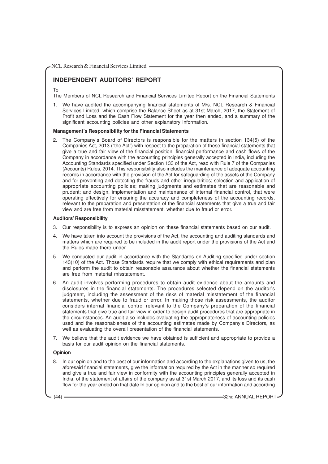# **INDEPENDENT AUDITORS' REPORT**

#### To

The Members of NCL Research and Financial Services Limited Report on the Financial Statements

1. We have audited the accompanying financial statements of M/s. NCL Research & Financial Services Limited, which comprise the Balance Sheet as at 31st March, 2017, the Statement of Profit and Loss and the Cash Flow Statement for the year then ended, and a summary of the significant accounting policies and other explanatory information.

#### **Management's Responsibility for the Financial Statements**

2. The Company's Board of Directors is responsible for the matters in section 134(5) of the Companies Act, 2013 ("the Act") with respect to the preparation of these financial statements that give a true and fair view of the financial position, financial performance and cash flows of the Company in accordance with the accounting principles generally accepted in India, including the Accounting Standards specified under Section 133 of the Act, read with Rule 7 of the Companies (Accounts) Rules, 2014. This responsibility also includes the maintenance of adequate accounting records in accordance with the provision of the Act for safeguarding of the assets of the Company and for preventing and detecting the frauds and other irregularities; selection and application of appropriate accounting policies; making judgments and estimates that are reasonable and prudent; and design, implementation and maintenance of internal financial control, that were operating effectively for ensuring the accuracy and completeness of the accounting records, relevant to the preparation and presentation of the financial statements that give a true and fair view and are free from material misstatement, whether due to fraud or error.

#### **Auditors' Responsibility**

- 3. Our responsibility is to express an opinion on these financial statements based on our audit.
- 4. We have taken into account the provisions of the Act, the accounting and auditing standards and matters which are required to be included in the audit report under the provisions of the Act and the Rules made there under.
- 5. We conducted our audit in accordance with the Standards on Auditing specified under section 143(10) of the Act. Those Standards require that we comply with ethical requirements and plan and perform the audit to obtain reasonable assurance about whether the financial statements are free from material misstatement.
- 6. An audit involves performing procedures to obtain audit evidence about the amounts and disclosures in the financial statements. The procedures selected depend on the auditor's judgment, including the assessment of the risks of material misstatement of the financial statements, whether due to fraud or error. In making those risk assessments, the auditor considers internal financial control relevant to the Company's preparation of the financial statements that give true and fair view in order to design audit procedures that are appropriate in the circumstances. An audit also includes evaluating the appropriateness of accounting policies used and the reasonableness of the accounting estimates made by Company's Directors, as well as evaluating the overall presentation of the financial statements.
- 7. We believe that the audit evidence we have obtained is sufficient and appropriate to provide a basis for our audit opinion on the financial statements.

#### **Opinion**

8. In our opinion and to the best of our information and according to the explanations given to us, the aforesaid financial statements, give the information required by the Act in the manner so required and give a true and fair view in conformity with the accounting principles generally accepted in India, of the statement of affairs of the company as at 31st March 2017, and its loss and its cash flow for the year ended on that date In our opinion and to the best of our information and according

(44) **32ND ANNUAL REPORT**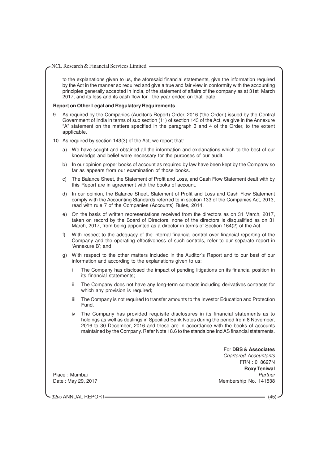to the explanations given to us, the aforesaid financial statements, give the information required by the Act in the manner so required and give a true and fair view in conformity with the accounting principles generally accepted in India, of the statement of affairs of the company as at 31st March 2017, and its loss and its cash flow for the year ended on that date.

#### **Report on Other Legal and Regulatory Requirements**

9. As required by the Companies (Auditor's Report) Order, 2016 ('the Order') issued by the Central Government of India in terms of sub section (11) of section 143 of the Act, we give in the Annexure "A" statement on the matters specified in the paragraph 3 and 4 of the Order, to the extent applicable.

#### 10. As required by section 143(3) of the Act, we report that:

- a) We have sought and obtained all the information and explanations which to the best of our knowledge and belief were necessary for the purposes of our audit.
- b) In our opinion proper books of account as required by law have been kept by the Company so far as appears from our examination of those books.
- c) The Balance Sheet, the Statement of Profit and Loss, and Cash Flow Statement dealt with by this Report are in agreement with the books of account.
- d) In our opinion, the Balance Sheet, Statement of Profit and Loss and Cash Flow Statement comply with the Accounting Standards referred to in section 133 of the Companies Act, 2013, read with rule 7 of the Companies (Accounts) Rules, 2014.
- e) On the basis of written representations received from the directors as on 31 March, 2017, taken on record by the Board of Directors, none of the directors is disqualified as on 31 March, 2017, from being appointed as a director in terms of Section 164(2) of the Act.
- f) With respect to the adequacy of the internal financial control over financial reporting of the Company and the operating effectiveness of such controls, refer to our separate report in 'Annexure B'; and
- g) With respect to the other matters included in the Auditor's Report and to our best of our information and according to the explanations given to us:
	- i The Company has disclosed the impact of pending litigations on its financial position in its financial statements;
	- ii The Company does not have any long-term contracts including derivatives contracts for which any provision is required;
	- iii The Company is not required to transfer amounts to the Investor Education and Protection Fund.
	- The Company has provided requisite disclosures in its financial statements as to holdings as well as dealings in Specified Bank Notes during the period from 8 November, 2016 to 30 December, 2016 and these are in accordance with the books of accounts maintained by the Company. Refer Note 18.6 to the standalone Ind AS financial statements.

For **DBS & Associates** Chartered Accountants FRN : 018627N **Roxy Teniwal** Place : Mumbai Partner Partner Partner Partner Partner Partner Partner Partner Partner Partner Partner Partner Date : May 29, 2017 **Membership No. 141538** 

32ND ANNUAL REPORT (45)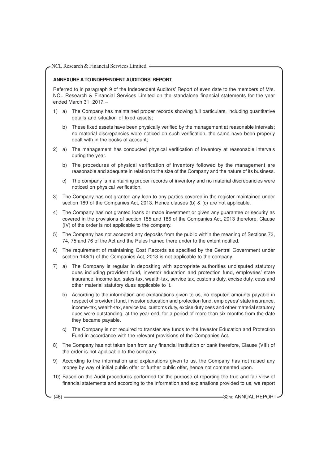# **ANNEXURE A TO INDEPENDENT AUDITORS' REPORT**

Referred to in paragraph 9 of the Independent Auditors' Report of even date to the members of M/s. NCL Research & Financial Services Limited on the standalone financial statements for the year ended March 31, 2017 –

- 1) a) The Company has maintained proper records showing full particulars, including quantitative details and situation of fixed assets;
	- b) These fixed assets have been physically verified by the management at reasonable intervals; no material discrepancies were noticed on such verification, the same have been properly dealt with in the books of account;
- 2) a) The management has conducted physical verification of inventory at reasonable intervals during the year.
	- b) The procedures of physical verification of inventory followed by the management are reasonable and adequate in relation to the size of the Company and the nature of its business.
	- c) The company is maintaining proper records of inventory and no material discrepancies were noticed on physical verification.
- 3) The Company has not granted any loan to any parties covered in the register maintained under section 189 of the Companies Act, 2013. Hence clauses (b) & (c) are not applicable.
- 4) The Company has not granted loans or made investment or given any guarantee or security as covered in the provisions of section 185 and 186 of the Companies Act, 2013 therefore, Clause (IV) of the order is not applicable to the company.
- 5) The Company has not accepted any deposits from the public within the meaning of Sections 73, 74, 75 and 76 of the Act and the Rules framed there under to the extent notified.
- 6) The requirement of maintaining Cost Records as specified by the Central Government under section 148(1) of the Companies Act, 2013 is not applicable to the company.
- 7) a) The Company is regular in depositing with appropriate authorities undisputed statutory dues including provident fund, investor education and protection fund, employees' state insurance, income-tax, sales-tax, wealth-tax, service tax, customs duty, excise duty, cess and other material statutory dues applicable to it.
	- b) According to the information and explanations given to us, no disputed amounts payable in respect of provident fund, investor education and protection fund, employees' state insurance, income-tax, wealth-tax, service tax, customs duty, excise duty cess and other material statutory dues were outstanding, at the year end, for a period of more than six months from the date they became payable.
	- c) The Company is not required to transfer any funds to the Investor Education and Protection Fund in accordance with the relevant provisions of the Companies Act.
- 8) The Company has not taken loan from any financial institution or bank therefore, Clause (VIII) of the order is not applicable to the company.
- 9) According to the information and explanations given to us, the Company has not raised any money by way of initial public offer or further public offer, hence not commented upon.
- 10) Based on the Audit procedures performed for the purpose of reporting the true and fair view of financial statements and according to the information and explanations provided to us, we report

(46) **32ND ANNUAL REPORT**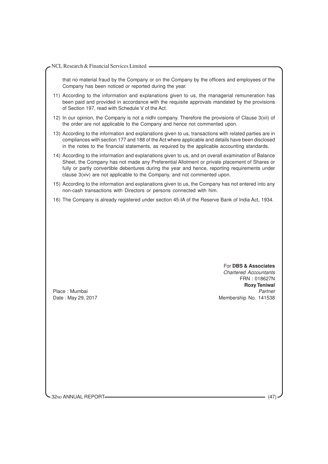| NCL Research & Financial Services Limited |
|-------------------------------------------|
|-------------------------------------------|

that no material fraud by the Company or on the Company by the officers and employees of the Company has been noticed or reported during the year.

- 11) According to the information and explanations given to us, the managerial remuneration has been paid and provided in accordance with the requisite approvals mandated by the provisions of Section 197, read with Schedule V of the Act.
- 12) In our opinion, the Company is not a nidhi company. Therefore the provisions of Clause 3(xii) of the order are not applicable to the Company and hence not commented upon.
- 13) According to the information and explanations given to us, transactions with related parties are in compliances with section 177 and 188 of the Act where applicable and details have been disclosed in the notes to the financial statements, as required by the applicable accounting standards.
- 14) According to the information and explanations given to us, and on overall examination of Balance Sheet, the Company has not made any Preferential Allotment or private placement of Shares or fully or partly convertible debentures during the year and hence, reporting requirements under clause 3(xiv) are not applicable to the Company, and not commented upon.
- 15) According to the information and explanations given to us, the Company has not entered into any non-cash transactions with Directors or persons connected with him.
- 16) The Company is already registered under section 45-IA of the Reserve Bank of India Act, 1934.

For **DBS & Associates** Chartered Accountants FRN : 018627N **Roxy Teniwal** Place : Mumbai **Partner** Place : Mumbai Partner Place in the Partner Partner Partner Partner Partner Partner Partner Date : May 29, 2017 **Membership No. 141538** 

32ND ANNUAL REPORT (47)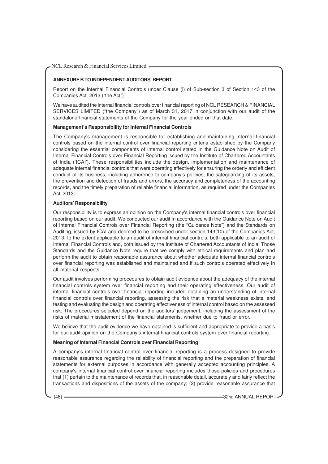# **ANNEXURE B TO INDEPENDENT AUDITORS' REPORT**

Report on the Internal Financial Controls under Clause (i) of Sub-section 3 of Section 143 of the Companies Act, 2013 ("the Act")

We have audited the internal financial controls over financial reporting of NCL RESEARCH & FINANCIAL SERVICES LIMITED ("the Company") as of March 31, 2017 in conjunction with our audit of the standalone financial statements of the Company for the year ended on that date.

#### **Management's Responsibility for Internal Financial Controls**

The Company's management is responsible for establishing and maintaining internal financial controls based on the internal control over financial reporting criteria established by the Company considering the essential components of internal control stated in the Guidance Note on Audit of Internal Financial Controls over Financial Reporting issued by the Institute of Chartered Accountants of India ('ICAI'). These responsibilities include the design, implementation and maintenance of adequate internal financial controls that were operating effectively for ensuring the orderly and efficient conduct of its business, including adherence to company's policies, the safeguarding of its assets, the prevention and detection of frauds and errors, the accuracy and completeness of the accounting records, and the timely preparation of reliable financial information, as required under the Companies Act, 2013.

#### **Auditors' Responsibility**

Our responsibility is to express an opinion on the Company's internal financial controls over financial reporting based on our audit. We conducted our audit in accordance with the Guidance Note on Audit of Internal Financial Controls over Financial Reporting (the "Guidance Note") and the Standards on Auditing, issued by ICAI and deemed to be prescribed under section 143(10) of the Companies Act, 2013, to the extent applicable to an audit of internal financial controls, both applicable to an audit of Internal Financial Controls and, both issued by the Institute of Chartered Accountants of India. Those Standards and the Guidance Note require that we comply with ethical requirements and plan and perform the audit to obtain reasonable assurance about whether adequate internal financial controls over financial reporting was established and maintained and if such controls operated effectively in all material respects.

Our audit involves performing procedures to obtain audit evidence about the adequacy of the internal financial controls system over financial reporting and their operating effectiveness. Our audit of internal financial controls over financial reporting included obtaining an understanding of internal financial controls over financial reporting, assessing the risk that a material weakness exists, and testing and evaluating the design and operating effectiveness of internal control based on the assessed risk. The procedures selected depend on the auditors' judgement, including the assessment of the risks of material misstatement of the financial statements, whether due to fraud or error.

We believe that the audit evidence we have obtained is sufficient and appropriate to provide a basis for our audit opinion on the Company's internal financial controls system over financial reporting.

# **Meaning of Internal Financial Controls over Financial Reporting**

A company's internal financial control over financial reporting is a process designed to provide reasonable assurance regarding the reliability of financial reporting and the preparation of financial statements for external purposes in accordance with generally accepted accounting principles. A company's internal financial control over financial reporting includes those policies and procedures that (1) pertain to the maintenance of records that, in reasonable detail, accurately and fairly reflect the transactions and dispositions of the assets of the company; (2) provide reasonable assurance that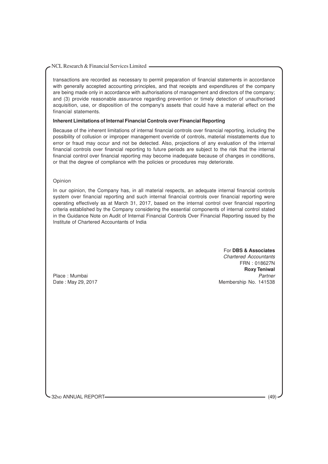transactions are recorded as necessary to permit preparation of financial statements in accordance with generally accepted accounting principles, and that receipts and expenditures of the company are being made only in accordance with authorisations of management and directors of the company; and (3) provide reasonable assurance regarding prevention or timely detection of unauthorised acquisition, use, or disposition of the company's assets that could have a material effect on the financial statements.

#### **Inherent Limitations of Internal Financial Controls over Financial Reporting**

Because of the inherent limitations of internal financial controls over financial reporting, including the possibility of collusion or improper management override of controls, material misstatements due to error or fraud may occur and not be detected. Also, projections of any evaluation of the internal financial controls over financial reporting to future periods are subject to the risk that the internal financial control over financial reporting may become inadequate because of changes in conditions, or that the degree of compliance with the policies or procedures may deteriorate.

#### Opinion

In our opinion, the Company has, in all material respects, an adequate internal financial controls system over financial reporting and such internal financial controls over financial reporting were operating effectively as at March 31, 2017, based on the internal control over financial reporting criteria established by the Company considering the essential components of internal control stated in the Guidance Note on Audit of Internal Financial Controls Over Financial Reporting issued by the Institute of Chartered Accountants of India

#### For **DBS & Associates**

Chartered Accountants FRN : 018627N **Roxy Teniwal** Place : Mumbai Partner New York 1999 and 2008 and 2009 and 2009 and 2009 and 2009 and 2009 and 2009 and 2009 and 2009 and 2009 and 2009 and 2009 and 2009 and 2009 and 2009 and 2009 and 2009 and 2009 and 2009 and 2009 and 2 Date : May 29, 2017 **Membership No. 141538** 

32ND ANNUAL REPORT (49)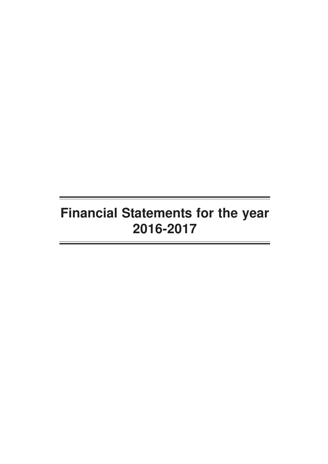# **Financial Statements for the year 2016-2017**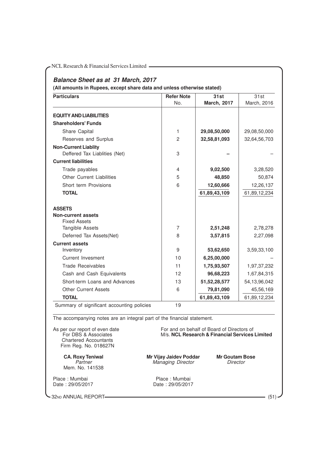| <b>Particulars</b>                                                                                                                                                                                                                                                  | <b>Refer Note</b>                                                         | 31st                                                                                                                  | 31st         |
|---------------------------------------------------------------------------------------------------------------------------------------------------------------------------------------------------------------------------------------------------------------------|---------------------------------------------------------------------------|-----------------------------------------------------------------------------------------------------------------------|--------------|
|                                                                                                                                                                                                                                                                     | No.                                                                       | <b>March, 2017</b>                                                                                                    | March, 2016  |
| <b>EQUITY AND LIABILITIES</b>                                                                                                                                                                                                                                       |                                                                           |                                                                                                                       |              |
| <b>Shareholders' Funds</b>                                                                                                                                                                                                                                          |                                                                           |                                                                                                                       |              |
| Share Capital                                                                                                                                                                                                                                                       | 1                                                                         | 29,08,50,000                                                                                                          | 29,08,50,000 |
| Reserves and Surplus                                                                                                                                                                                                                                                | $\overline{c}$                                                            | 32,58,81,093                                                                                                          | 32,64,56,703 |
| <b>Non-Current Liablity</b><br>Deffered Tax Liablities (Net)                                                                                                                                                                                                        | 3                                                                         |                                                                                                                       |              |
| <b>Current liabilities</b>                                                                                                                                                                                                                                          |                                                                           |                                                                                                                       |              |
| Trade payables                                                                                                                                                                                                                                                      | 4                                                                         | 9,02,500                                                                                                              | 3,28,520     |
| <b>Other Current Liabilities</b>                                                                                                                                                                                                                                    | 5                                                                         | 48,850                                                                                                                | 50,874       |
| Short term Provisions                                                                                                                                                                                                                                               | 6                                                                         | 12,60,666                                                                                                             | 12,26,137    |
| <b>TOTAL</b>                                                                                                                                                                                                                                                        |                                                                           | 61,89,43,109                                                                                                          | 61,89,12,234 |
| <b>ASSETS</b><br><b>Non-current assets</b><br><b>Fixed Assets</b><br>Tangible Assets                                                                                                                                                                                | 7                                                                         | 2,51,248                                                                                                              | 2,78,278     |
| Deferred Tax Assets(Net)                                                                                                                                                                                                                                            | 8                                                                         | 3,57,815                                                                                                              | 2,27,098     |
| <b>Current assets</b><br>Inventory                                                                                                                                                                                                                                  | 9                                                                         | 53,62,650                                                                                                             | 3,59,33,100  |
| <b>Current Invesment</b>                                                                                                                                                                                                                                            | 10                                                                        | 6,25,00,000                                                                                                           |              |
| <b>Trade Receivables</b>                                                                                                                                                                                                                                            | 11                                                                        | 1,75,93,507                                                                                                           | 1,97,37,232  |
| Cash and Cash Equivalents                                                                                                                                                                                                                                           | 12                                                                        | 96,68,223                                                                                                             | 1,67,84,315  |
| Short-term Loans and Advances                                                                                                                                                                                                                                       | 13                                                                        | 51, 52, 28, 577                                                                                                       | 54,13,96,042 |
| <b>Other Current Assets</b>                                                                                                                                                                                                                                         | 6                                                                         | 79,81,090                                                                                                             | 45,56,169    |
| <b>TOTAL</b>                                                                                                                                                                                                                                                        |                                                                           | 61,89,43,109                                                                                                          | 61,89,12,234 |
| Summary of significant accounting policies<br>The accompanying notes are an integral part of the financial statement.<br>As per our report of even date<br>For DBS & Associates<br><b>Chartered Accountants</b><br>Firm Reg. No. 018627N<br><b>CA. Roxy Teniwal</b> | 19<br>Mr Vijay Jaidev Poddar                                              | For and on behalf of Board of Directors of<br>M/s. NCL Research & Financial Services Limited<br><b>Mr Goutam Bose</b> |              |
| Partner<br>Mem. No. 141538<br>Place: Mumbai<br>Date: 29/05/2017                                                                                                                                                                                                     | <b>Managing Director</b><br>Director<br>Place: Mumbai<br>Date: 29/05/2017 |                                                                                                                       |              |

-32ND ANNUAL REPORT (51)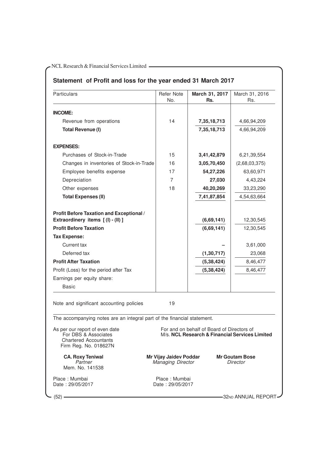# **Statement of Profit and loss for the year ended 31 March 2017**

| Particulars                                                                                                     | Refer Note<br>No.                                                                | March 31, 2017<br>Rs.                                                                        | March 31, 2016<br>Rs. |
|-----------------------------------------------------------------------------------------------------------------|----------------------------------------------------------------------------------|----------------------------------------------------------------------------------------------|-----------------------|
| <b>INCOME:</b>                                                                                                  |                                                                                  |                                                                                              |                       |
| Revenue from operations                                                                                         | 14                                                                               | 7,35,18,713                                                                                  | 4,66,94,209           |
| <b>Total Revenue (I)</b>                                                                                        |                                                                                  | 7,35,18,713                                                                                  | 4,66,94,209           |
| <b>EXPENSES:</b>                                                                                                |                                                                                  |                                                                                              |                       |
| Purchases of Stock-in-Trade                                                                                     | 15                                                                               | 3,41,42,879                                                                                  | 6,21,39,554           |
| Changes in inventories of Stock-in-Trade                                                                        | 16                                                                               | 3,05,70,450                                                                                  | (2,68,03,375)         |
| Employee benefits expense                                                                                       | 17                                                                               | 54,27,226                                                                                    | 63,60,971             |
| Depreciation                                                                                                    | 7                                                                                | 27,030                                                                                       | 4,43,224              |
| Other expenses                                                                                                  | 18                                                                               | 40,20,269                                                                                    | 33,23,290             |
| <b>Total Expenses (II)</b>                                                                                      |                                                                                  | 7,41,87,854                                                                                  | 4,54,63,664           |
| Profit Before Taxation and Exceptional /                                                                        |                                                                                  |                                                                                              |                       |
| Extraordinery items [(I) - (II) ]                                                                               |                                                                                  | (6,69,141)                                                                                   | 12,30,545             |
| <b>Profit Before Taxation</b>                                                                                   |                                                                                  | (6,69,141)                                                                                   | 12,30,545             |
| <b>Tax Expense:</b>                                                                                             |                                                                                  |                                                                                              |                       |
| Current tax                                                                                                     |                                                                                  |                                                                                              | 3,61,000              |
| Deferred tax                                                                                                    |                                                                                  | (1, 30, 717)                                                                                 | 23,068                |
| <b>Profit After Taxation</b>                                                                                    |                                                                                  | (5, 38, 424)                                                                                 | 8,46,477              |
| Profit (Loss) for the period after Tax                                                                          |                                                                                  | (5, 38, 424)                                                                                 | 8,46,477              |
| Earnings per equity share:                                                                                      |                                                                                  |                                                                                              |                       |
| <b>Basic</b>                                                                                                    |                                                                                  |                                                                                              |                       |
| Note and significant accounting policies                                                                        | 19                                                                               |                                                                                              |                       |
| The accompanying notes are an integral part of the financial statement.                                         |                                                                                  |                                                                                              |                       |
| As per our report of even date<br>For DBS & Associates<br><b>Chartered Accountants</b><br>Firm Reg. No. 018627N |                                                                                  | For and on behalf of Board of Directors of<br>M/s. NCL Research & Financial Services Limited |                       |
| <b>CA. Roxy Teniwal</b><br>Partner<br>Mem. No. 141538                                                           | Mr Vijay Jaidev Poddar<br><b>Mr Goutam Bose</b><br>Managing Director<br>Director |                                                                                              |                       |
| Place: Mumbai<br>Date: 29/05/2017                                                                               | Place: Mumbai<br>Date: 29/05/2017                                                |                                                                                              |                       |
| – (52) –                                                                                                        |                                                                                  |                                                                                              | -32ND ANNUAL REPORT-  |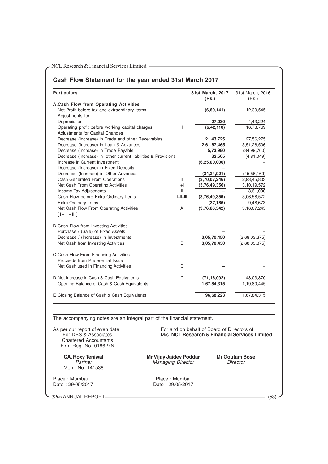# **Cash Flow Statement for the year ended 31st March 2017**

| <b>Particulars</b>                                                          |             | 31st March, 2017<br>(Rs.) | 31st March, 2016<br>(Rs.) |
|-----------------------------------------------------------------------------|-------------|---------------------------|---------------------------|
| A.Cash Flow from Operating Activities                                       |             |                           |                           |
| Net Profit before tax and extraordinary Items                               |             | (6,69,141)                | 12,30,545                 |
| Adjustments for                                                             |             |                           |                           |
| Depreciation                                                                |             | 27,030                    | 4,43,224                  |
| Operating profit before working capital charges                             | T           | (6, 42, 110)              | 16,73,769                 |
| Adjustments for Capital Changes                                             |             |                           |                           |
| Decrease (Increase) in Trade and other Receivables                          |             | 21,43,725                 | 27,56,275                 |
| Decrease (Increase) in Loan & Advances                                      |             | 2,61,67,465               | 3,51,26,506               |
| Decrease (Increase) in Trade Payable                                        |             | 5,73,980                  | (34, 99, 760)             |
| Decrease (Increase) in other current liabilities & Provisions               |             | 32,505                    | (4, 81, 049)              |
| Increase in Current Investment                                              |             | (6, 25, 00, 000)          |                           |
| Decrease (Increase) in Fixed Deposits                                       |             |                           |                           |
| Decrease (Increase) in Other Advances                                       |             | (34, 24, 921)             | (45, 56, 169)             |
| <b>Cash Generated From Operations</b>                                       | Ш           | (3,70,07,246)             | 2,93,45,803               |
| Net Cash From Operating Activities                                          | ŀШ          | (3,76,49,356)             | 3,10,19,572               |
| Income Tax Adjustments                                                      | ⊪           |                           | 3,61,000                  |
| Cash Flow before Extra-Ordinary Items                                       | $  +  +   $ | (3,76,49,356)             | 3,06,58,572               |
| Extra Ordinary Items                                                        |             | (37, 186)                 | 9,48,673                  |
| Net Cash Flow From Operating Activities<br>$[1 + 11 + 11]$                  | A           | (3,76,86,542)             | 3, 16, 07, 245            |
| B. Cash Flow from Investing Activities<br>Purchase / (Sale) of Fixed Assets |             |                           |                           |
| Decrease / (Increase) in Investments                                        |             | 3,05,70,450               | (2,68,03,375)             |
| Net Cash from Investing Activities                                          | B           | 3,05,70,450               | (2,68,03,375)             |
| C. Cash Flow From Financing Activities                                      |             |                           |                           |
| Proceeds from Preferential Issue                                            |             |                           |                           |
| Net Cash used in Financing Activities                                       | C           |                           |                           |
| D. Net Increase in Cash & Cash Equivalents                                  | D           | (71, 16, 092)             | 48,03,870                 |
| Opening Balance of Cash & Cash Equivalents                                  |             | 1,67,84,315               | 1,19,80,445               |
| E. Closing Balance of Cash & Cash Equivalents                               |             | 96,68,223                 | 1,67,84,315               |

The accompanying notes are an integral part of the financial statement.

Chartered Accountants Firm Reg. No. 018627N

Mem. No. 141538

Place : Mumbai **Place : Mumbai Place : Mumbai Place : Mumbai** Place : Mumbai Place : 29/05/2017

As per our report of even date For and on behalf of Board of Directors of<br>For DBS & Associates M/s. **NCL Research & Financial Services M/s. NCL Research & Financial Services Limited** 

**CA. Roxy Teniwal Mr Vijay Jaidev Poddar Mr Goutam Bose** Managing Director

Date : 29/05/2017 Date : 29/05/2017

32ND ANNUAL REPORT (53)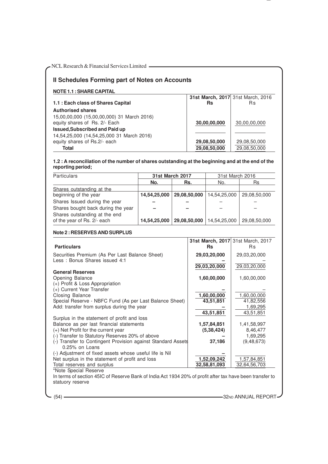# **II Schedules Forming part of Notes on Accounts**

**NOTE 1.1 : SHARE CAPITAL**

**1.1 : Each class of Shares Capital Authorised shares** 15,00,00,000 (15,00,00,000) 31 March 2016) equity shares of Rs. 2/- Each **Issued,Subscribed and Paid up** 14,54,25,000 (14,54,25,000 31 March 2016) equity shares of Rs.2/- each **Total 29,08,50,000 29,08,50,000 29,08,50,000** 

| Rs                           | 31st March, 2017 31st March, 2016<br>Вs |
|------------------------------|-----------------------------------------|
| 30,00,00,000                 | 30,00,00,000                            |
| 29,08,50,000<br>20 US EU UUU | 29,08,50,000<br>20 UP EN UUU            |

# **1.2 : A reconciliation of the number of shares outstanding at the beginning and at the end of the reporting period;**

| <b>Particulars</b>                 | <b>31st March 2017</b> |              | 31st March 2016 |              |
|------------------------------------|------------------------|--------------|-----------------|--------------|
|                                    | No.                    | Rs.          | No.             | Rs           |
| Shares outstanding at the          |                        |              |                 |              |
| beginning of the year              | 14,54,25,000           | 29,08,50,000 | 14,54,25,000    | 29,08,50,000 |
| Shares Issued during the year      |                        |              |                 |              |
| Shares bought back during the year |                        |              |                 |              |
| Shares outstanding at the end      |                        |              |                 |              |
| of the year of Rs. 2/- each        | 14,54,25,000           | 29,08,50,000 | 14,54,25,000    | 29,08,50,000 |

#### **Note 2 : RESERVES AND SURPLUS**

|                                                              | <b>31st March, 2017</b> 31st March, 2017 |              |
|--------------------------------------------------------------|------------------------------------------|--------------|
| <b>Particulars</b>                                           | <b>Rs</b>                                | Rs           |
| Securities Premium (As Per Last Balance Sheet)               | 29,03,20,000                             | 29,03,20,000 |
| Less: Bonus Shares issued 4:1                                |                                          |              |
|                                                              | 29,03,20,000                             | 29,03,20,000 |
| <b>General Reserves</b>                                      |                                          |              |
| Opening Balance                                              | 1,60,00,000                              | 1,60,00,000  |
| (+) Profit & Loss Appropriation                              |                                          |              |
| (+) Current Year Transfer                                    |                                          |              |
| Closing Balance                                              | 1,60,00,000                              | 1,60,00,000  |
| Special Reserve - NBFC Fund (As per Last Balance Sheet)      | 43,51,851                                | 41,82,556    |
| Add: transfer from surplus during the year                   |                                          | 1,69,295     |
|                                                              | 43,51,851                                | 43,51,851    |
| Surplus in the statement of profit and loss                  |                                          |              |
| Balance as per last financial statements                     | 1,57,84,851                              | 1,41,58,997  |
| (+) Net Profit for the current year                          | (5, 38, 424)                             | 8,46,477     |
| (-) Transfer to Statutory Reserves 20% of above              |                                          | 1,69,295     |
| (-) Transfer to Contingent Provision against Standard Assets | 37,186                                   | (9, 48, 673) |
| 0.25% on Loans                                               |                                          |              |
| (-) Adjustment of fixed assets whose useful life is Nil      |                                          |              |
| Net surplus in the statement of profit and loss              | 1,52,09,242                              | 1,57,84,851  |
| Total reserves and surplus                                   | 32,58,81,093                             | 32,64,56,703 |
| *Note Special Reserve                                        |                                          |              |

In terms of section 45IC of Reserve Bank of India Act 1934 20% of profit after tax have been transfer to statuory reserve

(54) **32ND ANNUAL REPORT-**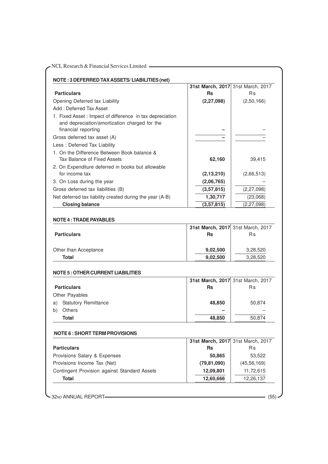|                                                                                                                                   | 31st March, 2017 31st March, 2017 |                  |
|-----------------------------------------------------------------------------------------------------------------------------------|-----------------------------------|------------------|
| <b>Particulars</b>                                                                                                                | <b>Rs</b>                         | <b>Rs</b>        |
| Opening Deferred tax Liability                                                                                                    | (2, 27, 098)                      | (2,50,166)       |
| Add: Deferred Tax Asset                                                                                                           |                                   |                  |
| 1. Fixed Asset : Impect of difference in tax depreciation<br>and depreciation/amortization charged for the<br>financial reporting |                                   |                  |
| Gross deferred tax asset (A)                                                                                                      |                                   |                  |
| Less: Deferred Tax Liability                                                                                                      |                                   |                  |
| 1. On the Difference Between Book balance &<br>Tax Balance of Fixed Assets                                                        | 62,160                            | 39,415           |
| 2. On Expenditure deferred in books but allowable<br>for income tax                                                               | (2, 13, 210)                      | (2,66,513)       |
| 3. On Loss during the year                                                                                                        | (2,06,765)                        |                  |
| Gross deferred tax liabilities (B)                                                                                                | (3,57,815)                        | (2, 27, 098)     |
| Net deferred tax liability created during the year (A-B)                                                                          | 1,30,717                          | (23,068)         |
| <b>Closing balance</b>                                                                                                            | (3,57,815)                        | (2, 27, 098)     |
|                                                                                                                                   |                                   |                  |
| <b>Particulars</b>                                                                                                                | <b>Rs</b>                         | Rs               |
| Other than Acceptance                                                                                                             | 9,02,500                          | 3,28,520         |
| <b>Total</b>                                                                                                                      | 9,02,500                          | 3,28,520         |
| <b>NOTE 5 : OTHER CURRENT LIABILITIES</b>                                                                                         |                                   |                  |
|                                                                                                                                   | 31st March, 2017 31st March, 2017 |                  |
| <b>Particulars</b>                                                                                                                | Rs                                | Rs               |
| Other Payables                                                                                                                    |                                   |                  |
| a) Statutory Remittance                                                                                                           | 48,850                            | 50,874           |
| Others<br>b)                                                                                                                      |                                   |                  |
| <b>Total</b>                                                                                                                      | 48,850                            | 50,874           |
| <b>NOTE 6: SHORT TERM PROVISIONS</b>                                                                                              |                                   |                  |
|                                                                                                                                   | 31st March, 2017                  | 31st March, 2017 |
| <b>Particulars</b>                                                                                                                | <b>Rs</b>                         | Rs               |
| Provisions Salary & Expenses                                                                                                      | 50,865                            | 53,522           |
| Provisions Income Tax (Net)                                                                                                       | (79, 81, 090)                     | (45, 56, 169)    |
| Contingent Provision against Standard Assets                                                                                      | 12,09,801                         | 11,72,615        |
| <b>Total</b>                                                                                                                      | 12,60,666                         | 12,26,137        |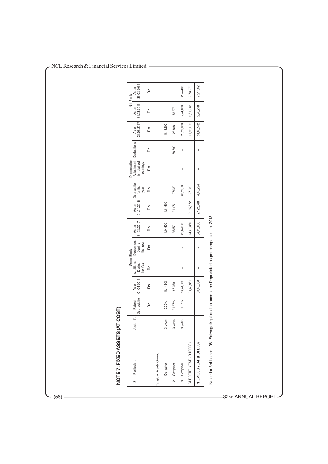|                        |                  |                                    |           | Gross Block                     |                                  |                     |                     |                                | Depreciation                                       |                |                     |                     | Net Block           |
|------------------------|------------------|------------------------------------|-----------|---------------------------------|----------------------------------|---------------------|---------------------|--------------------------------|----------------------------------------------------|----------------|---------------------|---------------------|---------------------|
| Sr Particulars         | life<br>Useful I | Depreciation 01.04.2016<br>Rate of | As on     | Additions<br>the Year<br>During | Deductions<br>During<br>the Year | As on<br>31.03.2017 | As on<br>01.04.2016 | Deprecation<br>for the<br>year | Adjustment   Deductions<br>in ratained<br>earnings |                | As on<br>31.03.2017 | As on<br>31.03.2017 | As on<br>31.03.2016 |
|                        |                  | Rδ                                 | Ra        | Rã                              | Rδ                               | RS                  | Rs                  | Rs                             | Rs                                                 | Rs             | Rs                  | Rs                  | Rs                  |
| Tangible Assets-Owned  |                  |                                    |           |                                 |                                  |                     |                     |                                |                                                    |                |                     |                     |                     |
| 1 Computer             | 3 years          | 0.00%                              | 11,14,500 |                                 |                                  | 11,14,500           | 11,14,500           |                                | $\mathbf{I}$                                       | $\overline{1}$ | 11,14,500           | $\overline{1}$      |                     |
| Computer<br>$\sim$     | 3 years          | 31.67%                             | 85,350    | I                               | I                                | 85,350              | 31,472              | 27,030                         | I                                                  | 58,502         | 26,848              | 53,878              |                     |
| Computer<br>က          | 3 years          | 31.67%                             | 22,44,000 | Ï                               | I                                | 22,44,000           |                     | 20,19,600                      | I                                                  | Ï              | 20,19,600           | 2,24,400            | 2,24,400            |
| CURRENT YEAR (RUPEES)  |                  |                                    | 34,43,850 | $\overline{1}$                  | I                                | 34,43,850           | 31,65,572           | 27,030                         | $\mathbf{I}$                                       | $\mathbf{I}$   | 31,92,602           | 2,51,248            | 2,78,278            |
| PREVIOUS YEAR (RUPEES) |                  |                                    | 34,43,850 | $\overline{\phantom{a}}$        | $\overline{\phantom{a}}$         | 34,43,850           | 27,22,348           | 4,43,224                       | $\overline{\phantom{a}}$                           | I              | 31,65,572           | 2,78,278            | 7,21,502            |

(56) 32ND ANNUAL REPOR T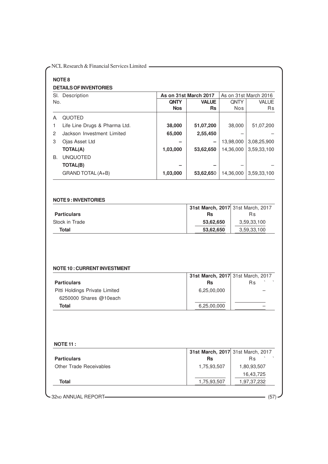| <b>NOTE 8</b>                                                                                                                          |             |                                                |           |                                              |
|----------------------------------------------------------------------------------------------------------------------------------------|-------------|------------------------------------------------|-----------|----------------------------------------------|
| <b>DETAILS OF INVENTORIES</b>                                                                                                          |             |                                                |           |                                              |
| Sl. Description<br>No.                                                                                                                 | <b>QNTY</b> | As on 31st March 2017<br><b>VALUE</b>          | QNTY      | As on 31st March 2016<br>VALUE               |
|                                                                                                                                        | <b>Nos</b>  | Rs                                             | Nos       | <b>Rs</b>                                    |
| QUOTED<br>A.                                                                                                                           |             |                                                |           |                                              |
| Life Line Drugs & Pharma Ltd.<br>1.                                                                                                    | 38,000      | 51,07,200                                      | 38,000    | 51,07,200                                    |
| Jackson Investment Limited<br>2                                                                                                        | 65,000      | 2,55,450                                       |           |                                              |
| Ojas Asset Ltd<br>3                                                                                                                    |             |                                                | 13,98,000 | 3,08,25,900                                  |
| <b>TOTAL(A)</b>                                                                                                                        | 1,03,000    | 53,62,650                                      | 14,36,000 | 3,59,33,100                                  |
| <b>UNQUOTED</b><br>В.                                                                                                                  |             |                                                |           |                                              |
| <b>TOTAL(B)</b>                                                                                                                        |             |                                                |           |                                              |
| GRAND TOTAL (A+B)                                                                                                                      | 1,03,000    | 53,62,650                                      | 14,36,000 | 3,59,33,100                                  |
|                                                                                                                                        |             | <b>Rs</b>                                      |           | <b>Rs</b>                                    |
| <b>Total</b>                                                                                                                           |             | 53,62,650<br>53,62,650                         |           | 3,59,33,100<br>3,59,33,100                   |
|                                                                                                                                        |             |                                                |           |                                              |
|                                                                                                                                        |             | 31st March, 2017 31st March, 2017<br><b>Rs</b> |           | R <sub>S</sub>                               |
|                                                                                                                                        |             | 6,25,00,000                                    |           |                                              |
| Stock in Trade<br><b>NOTE 10: CURRENT INVESTMENT</b><br><b>Particulars</b><br>Pitti Holdings Private Limited<br>6250000 Shares @10each |             |                                                |           |                                              |
| <b>Total</b>                                                                                                                           |             | 6,25,00,000                                    |           |                                              |
|                                                                                                                                        |             |                                                |           |                                              |
| <b>NOTE 11:</b>                                                                                                                        |             | 31st March, 2017                               |           |                                              |
|                                                                                                                                        |             | <b>Rs</b>                                      |           | Rs                                           |
| Other Trade Receivables                                                                                                                |             | 1,75,93,507                                    |           | 1,80,93,507                                  |
| <b>Particulars</b><br><b>Total</b>                                                                                                     |             | 1,75,93,507                                    |           | 31st March, 2017<br>16,43,725<br>1,97,37,232 |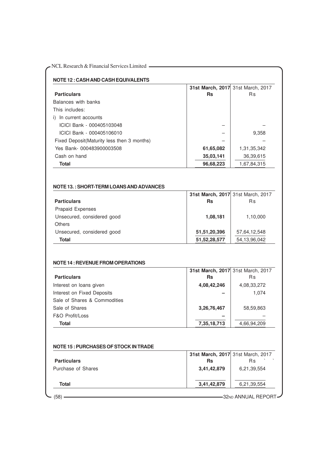|                                                |                 | 31st March, 2017 31st March, 2017 |
|------------------------------------------------|-----------------|-----------------------------------|
| <b>Particulars</b>                             | <b>Rs</b>       | <b>Rs</b>                         |
| Balances with banks                            |                 |                                   |
| This includes:                                 |                 |                                   |
| i) In current accounts                         |                 |                                   |
| ICICI Bank - 000405103048                      |                 |                                   |
| ICICI Bank - 000405106010                      |                 | 9,358                             |
| Fixed Deposit(Maturity less then 3 months)     |                 |                                   |
| Yes Bank- 000483900003508                      | 61,65,082       | 1,31,35,342                       |
| Cash on hand                                   | 35,03,141       | 36,39,615                         |
| <b>Total</b>                                   | 96,68,223       | 1,67,84,315                       |
|                                                |                 |                                   |
|                                                |                 | 31st March, 2017 31st March, 2017 |
|                                                | <b>Rs</b>       | <b>Rs</b>                         |
| Prapaid Expenses                               |                 |                                   |
| Unsecured, considered good                     | 1,08,181        | 1,10,000                          |
| <b>Others</b>                                  |                 |                                   |
| Unsecured, considered good                     | 51,51,20,396    | 57,64,12,548                      |
| <b>Particulars</b><br><b>Total</b>             | 51, 52, 28, 577 | 54, 13, 96, 042                   |
|                                                |                 |                                   |
| <b>NOTE 13.: SHORT-TERM LOANS AND ADVANCES</b> |                 |                                   |
| <b>NOTE 14: REVENUE FROM OPERATIONS</b>        |                 | 31st March, 2017 31st March, 2017 |

| <b>Particulars</b>           | <b>Rs</b>   | <b>Rs</b>   |  |
|------------------------------|-------------|-------------|--|
| Interest on loans given      | 4,08,42,246 | 4,08,33,272 |  |
| Interest on Fixed Deposits   |             | 1.074       |  |
| Sale of Shares & Commodities |             |             |  |
| Sale of Shares               | 3,26,76,467 | 58,59,863   |  |
| F&O Profit/Loss              |             |             |  |
| Total                        | 7,35,18,713 | 4,66,94,209 |  |

| NOTE 15 : PURCHASES OF STOCK IN TRADE |  |
|---------------------------------------|--|
|                                       |  |

|                    | 31st March, 2017 31st March, 2017 |             |
|--------------------|-----------------------------------|-------------|
| <b>Particulars</b> | Rs                                | <b>Rs</b>   |
| Purchase of Shares | 3,41,42,879                       | 6,21,39,554 |
| Total              | 3,41,42,879                       | 6,21,39,554 |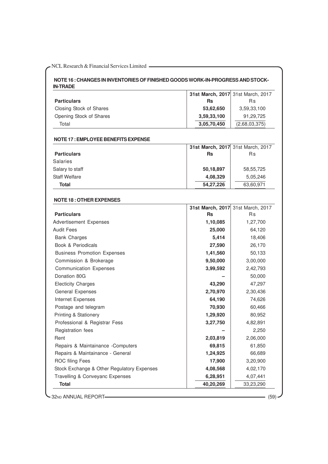# **NOTE 16 : CHANGES IN INVENTORIES OF FINISHED GOODS WORK-IN-PROGRESS AND STOCK-IN-TRADE**

|                                            |             | 31st March, 2017 31st March, 2017       |
|--------------------------------------------|-------------|-----------------------------------------|
| <b>Particulars</b>                         | <b>Rs</b>   | Rs                                      |
| Closing Stock of Shares                    | 53,62,650   | 3,59,33,100                             |
| Opening Stock of Shares                    | 3,59,33,100 | 91,29,725                               |
| Total                                      | 3,05,70,450 | (2,68,03,375)                           |
|                                            |             |                                         |
| NOTE 17 : EMPLOYEE BENEFITS EXPENSE        |             |                                         |
| <b>Particulars</b>                         | <b>Rs</b>   | 31st March, 2017 31st March, 2017<br>Rs |
| Salaries                                   |             |                                         |
| Salary to staff                            | 50,18,897   | 58,55,725                               |
| <b>Staff Welfare</b>                       | 4,08,329    | 5,05,246                                |
| <b>Total</b>                               | 54,27,226   | 63,60,971                               |
|                                            |             |                                         |
| <b>NOTE 18: OTHER EXPENSES</b>             |             |                                         |
|                                            |             | 31st March, 2017 31st March, 2017       |
| <b>Particulars</b>                         | <b>Rs</b>   | Rs                                      |
| <b>Advertisement Expenses</b>              | 1,10,085    | 1,27,700                                |
| <b>Audit Fees</b>                          | 25,000      | 64,120                                  |
| <b>Bank Charges</b>                        | 5,414       | 18,406                                  |
| Book & Periodicals                         | 27,590      | 26,170                                  |
| <b>Business Promotion Expenses</b>         | 1,41,560    | 50,133                                  |
| Commission & Brokerage                     | 9,50,000    | 3,00,000                                |
| <b>Communication Expenses</b>              | 3,99,592    | 2,42,793                                |
| Donation 80G                               |             | 50,000                                  |
| <b>Electicity Charges</b>                  | 43,290      | 47,297                                  |
| General Expenses                           | 2,70,970    | 2,30,436                                |
| Internet Expenses                          | 64,190      | 74,626                                  |
| Postage and telegram                       | 70,930      | 60,466                                  |
| Printing & Stationery                      | 1,29,920    | 80,952                                  |
| Professional & Registrar Fess              | 3,27,750    | 4,82,891                                |
| Registration fees                          |             | 2,250                                   |
| Rent                                       | 2,03,819    | 2,06,000                                |
| Repairs & Maintainance -Computers          | 69,815      | 61,850                                  |
| Repairs & Maintainance - General           | 1,24,925    | 66,689                                  |
| <b>ROC filing Fees</b>                     | 17,900      | 3,20,900                                |
| Stock Exchange & Other Regulatory Expenses | 4,08,568    | 4,02,170                                |
| Travelling & Conveyanc Expenses            | 6,28,951    | 4,07,441                                |
| <b>Total</b>                               | 40,20,269   | 33,23,290                               |

-32ND ANNUAL REPORT (59)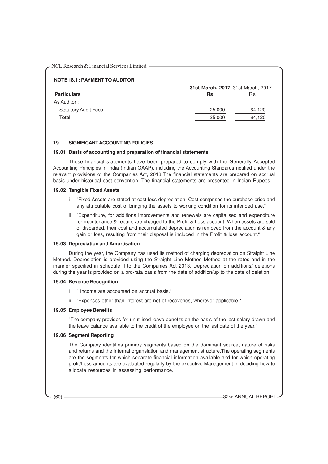| <b>NOTE 18.1 : PAYMENT TO AUDITOR</b> |                                   |        |  |  |  |
|---------------------------------------|-----------------------------------|--------|--|--|--|
|                                       | 31st March, 2017 31st March, 2017 |        |  |  |  |
| <b>Particulars</b>                    | Rs                                | Rs     |  |  |  |
| As Auditor:                           |                                   |        |  |  |  |
| <b>Statutory Audit Fees</b>           | 25,000                            | 64,120 |  |  |  |
| Total                                 | 25,000                            | 64.120 |  |  |  |

## **19 SIGNIFICANT ACCOUNTING POLICIES**

#### **19.01 Basis of accounting and preparation of financial statements**

These financial statements have been prepared to comply with the Generally Accepted Accounting Principles in India (Indian GAAP), including the Accounting Standards notified under the relavant provisions of the Companies Act, 2013.The financial statements are prepared on accrual basis under historical cost convention. The financial statements are presented in Indian Rupees.

#### **19.02 Tangible Fixed Assets**

- i "Fixed Assets are stated at cost less depreciation, Cost comprises the purchase price and any attributable cost of bringing the assets to working condition for its intended use."
- ii "Expenditure, for additions improvements and renewals are capitalised and expenditure for maintenance & repairs are charged to the Profit & Loss account. When assets are sold or discarded, their cost and accumulated depreciation is removed from the account & any gain or loss, resulting from their disposal is included in the Profit & loss account."

## **19.03 Depreciation and Amortisation**

During the year, the Company has used its method of charging depreciation on Straight Line Method. Depreciation is provided using the Straight Line Method Method at the rates and in the manner specified in schedule II to the Companies Act 2013. Depreciation on additions/ deletions during the year is provided on a pro-rata basis from the date of addition/up to the date of deletion.

#### **19.04 Revenue Recognition**

- i " Income are accounted on accrual basis."
- ii "Expenses other than Interest are net of recoveries, wherever applicable."

#### **19.05 Employee Benefits**

"The company provides for unutilised leave benefits on the basis of the last salary drawn and the leave balance available to the credit of the employee on the last date of the year."

# **19.06 Segment Reporting**

The Company identifies primary segments based on the dominant source, nature of risks and returns and the internal organsiation and management structure.The operating segments are the segments for which separate financial information available and for which operating profit/Loss amounts are evaluated regularly by the executive Management in deciding how to allocate resources in assessing performance.

(60) **32ND ANNUAL REPORT** 60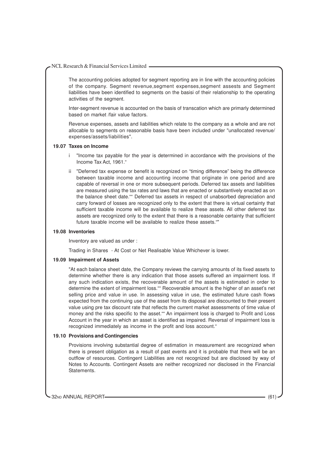The accounting policies adopted for segment reporting are in line with the accounting policies of the company. Segment revenue,segment expenses,segment assests and Segment liabilities have been identified to segments on the basisi of their relationship to the operating activities of the segment.

Inter-segment revenue is accounted on the basis of transcation which are primarly determined based on market /fair value factors.

Revenue expenses, assets and liabilities which relate to the company as a whole and are not allocable to segments on reasonable basis have been included under "unallocated revenue/ expenses/assets/liabilities".

#### **19.07 Taxes on Income**

- i "Income tax payable for the year is determined in accordance with the provisions of the Income Tax Act, 1961."
- ii "Deferred tax expense or benefit is recognized on "timing difference" being the difference between taxable income and accounting income that originate in one period and are capable of reversal in one or more subsequent periods. Deferred tax assets and liabilities are measured using the tax rates and laws that are enacted or substantively enacted as on the balance sheet date."" Deferred tax assets in respect of unabsorbed depreciation and carry forward of losses are recognized only to the extent that there is virtual certainty that sufficient taxable income will be available to realize these assets. All other deferred tax assets are recognized only to the extent that there is a reasonable certainty that sufficient future taxable income will be available to realize these assets.""

#### **19.08 Inventories**

Inventory are valued as under :

Trading in Shares - At Cost or Net Realisable Value Whichever is lower.

#### **19.09 Impairment of Assets**

"At each balance sheet date, the Company reviews the carrying amounts of its fixed assets to determine whether there is any indication that those assets suffered an impairment loss. If any such indication exists, the recoverable amount of the assets is estimated in order to determine the extent of impairment loss."" Recoverable amount is the higher of an asset's net selling price and value in use. In assessing value in use, the estimated future cash flows expected from the continuing use of the asset from its disposal are discounted to their present value using pre tax discount rate that reflects the current market assessments of time value of money and the risks specific to the asset."" An impairment loss is charged to Profit and Loss Account in the year in which an asset is identified as impaired. Reversal of impairment loss is recognized immediately as income in the profit and loss account."

#### **19.10 Provisions and Contingencies**

Provisions involving substantial degree of estimation in measurement are recognized when there is present obligation as a result of past events and it is probable that there will be an outflow of resources. Contingent Liabilities are not recognized but are disclosed by way of Notes to Accounts. Contingent Assets are neither recognized nor disclosed in the Financial Statements.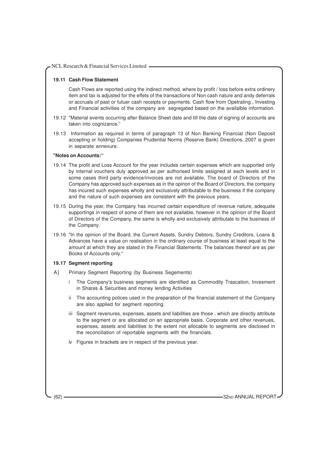### **19.11 Cash Flow Statement**

Cash Flows are reported using the indirect method, where by profit / loss before extra ordinery item and tax is adjusted for the effets of the transactions of Non cash nature and andy deferrals or accruals of past or futuer cash receipts or payments. Cash flow from Opetrating , Investing and Financial activities of the company are segregated based on the availalble information.

- 19.12 "Material events occurring after Balance Sheet date and till the date of signing of accounts are taken into cognizance."
- 19.13 Information as required in terms of paragraph 13 of Non Banking Financial (Non Deposit accepting or holding) Companies Prudential Norms (Reserve Bank) Directions, 2007 is given in separate annexure.

## **"Notes on Accounts:"**

- 19.14 The profit and Loss Account for the year includes certain expenses which are supported only by internal vouchers duly approved as per authorised limits assigned at each levels and in some cases third party evidence/invoices are not available. The board of Directors of the Company has approved such expenses as in the opinon of the Board of Directors, the company has incured such expenses wholly and exclusively attributable to the business if the company and the nature of such expenses are consistent with the previous years.
- 19.15 During the year, the Company has incurred certain expenditure of revenue nature, adequate supportings in respect of some of them are not available, however in the opinion of the Board of Directors of the Company, the same is wholly and exclusively attributale to the business of the Company.
- 19.16 "In the opinion of the Board, the Current Assets, Sundry Debtors, Sundry Creditors, Loans & Advances have a value on realisation in the ordinary course of business at least equal to the amount at which they are stated in the Financial Statements. The balances thereof are as per Books of Accounts only."

# **19.17 Segment reporting**

- A] Primary Segment Reporting (by Business Segements)
	- i The Company's business segments are identified as Commodity Trascation, Invesment in Shares & Securities and money lending Activities
	- ii The accounting polices used in the preparation of the financial statement of the Company are also applied for segment reporting.
	- iii Segment revenures, expenses, assets and liabilities are those , which are directly attribute to the segment or are allocated on an appropriate basis. Corporate and other revenues, expenses, assets and liabilities to the extent not allocable to segments are disclosed in the reconciliation of reportable segments with the financials.
	- iv Figures in brackets are in respect of the previous year.

(62) **32ND ANNUAL REPORT** 32ND ANNUAL REPORT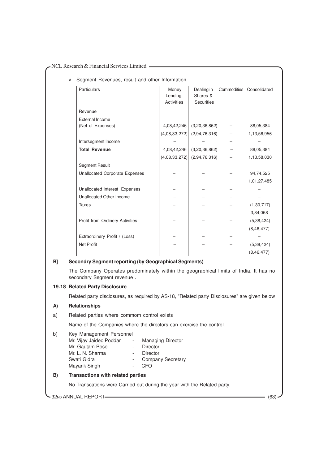v Segment Revenues, result and other Information.

| Particulars                           | Money             | Dealing in    | Commodities | Consolidated |
|---------------------------------------|-------------------|---------------|-------------|--------------|
|                                       | Lending,          | Shares &      |             |              |
|                                       | <b>Activities</b> | Securities    |             |              |
| Revenue                               |                   |               |             |              |
| <b>External Income</b>                |                   |               |             |              |
| (Net of Expenses)                     | 4,08,42,246       | (3,20,36,862) |             | 88,05,384    |
|                                       | (4,08,33,272)     | (2,94,76,316) |             | 1,13,56,956  |
| Intersegment Income                   |                   |               |             |              |
| <b>Total Revenue</b>                  | 4,08,42,246       | (3,20,36,862) |             | 88,05,384    |
|                                       | (4,08,33,272)     | (2,94,76,316) |             | 1,13,58,030  |
| <b>Segment Result</b>                 |                   |               |             |              |
| <b>Unallocated Corporate Expenses</b> |                   |               |             | 94,74,525    |
|                                       |                   |               |             | 1,01,27,485  |
| Unallocated Interest Expenses         |                   |               |             |              |
| Unallocated Other Income              |                   |               |             |              |
| <b>Taxes</b>                          |                   |               |             | (1, 30, 717) |
|                                       |                   |               |             | 3,84,068     |
| Profit from Ordinery Activities       |                   |               |             | (5, 38, 424) |
|                                       |                   |               |             | (8, 46, 477) |
| Extraordinery Profit / (Loss)         |                   |               |             |              |
| <b>Net Profit</b>                     |                   |               |             | (5, 38, 424) |
|                                       |                   |               |             | (8, 46, 477) |

# **B] Secondry Segment reporting (by Geographical Segments)**

The Company Operates predominately within the geographical limits of India. It has no secondary Segment revenue .

### **19.18 Related Party Disclosure**

Related party disclosures, as required by AS-18, "Related party Disclosures" are given below

# **A) Relationships**

a) Related parties where commom control exists

Name of the Companies where the directors can exercise the control.

# b) Key Management Personnel

| Mr. Vijay Jaideo Poddar | <b>Managing Director</b> |
|-------------------------|--------------------------|
| Mr. Gautam Bose         | Director                 |
| Mr. L. N. Sharma        | Director                 |
| Swati Gidra             | <b>Company Secretary</b> |
| Mayank Singh            | CEO                      |

# **B) Transactions with related parties**

No Transcations were Carried out during the year with the Related party.

32ND ANNUAL REPORT (63)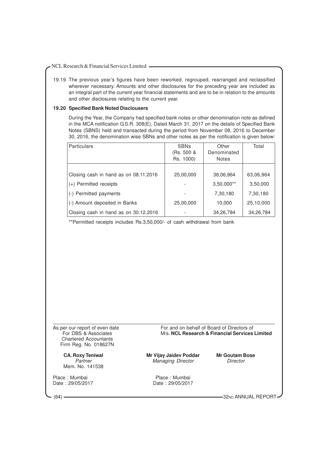19.19 The previous year's figures have been reworked, regrouped, rearranged and reclassified wherever necessary. Amounts and other disclosures for the preceding year are included as an integral part of the current year financial statements and are to be in relation to the amounts and other disclosures relating to the current year.

#### **19.20 Specified Bank Noted Disclousers**

During the Year, the Company had specified bank notes or other denomination note as defined in the MCA notification G.S.R. 308(E), Dated March 31, 2017 on the details of Specified Bank Notes (SBNS) held and transacted during the period from November 08, 2016 to December 30, 2016, the denomination wise SBNs and other notes as per the notification is given below:

| <b>Particulars</b>                    | <b>SBNs</b><br>(Rs. 500 &<br>Rs. 1000) | Other<br>Denominated<br><b>Notes</b> | Total     |
|---------------------------------------|----------------------------------------|--------------------------------------|-----------|
|                                       |                                        |                                      |           |
| Closing cash in hand as on 08.11.2016 | 25,00,000                              | 38,06,964                            | 63,06,964 |
| (+) Permitted receipts                |                                        | $3,50,000**$                         | 3,50,000  |
| (-) Permitted payments                |                                        | 7,30,180                             | 7,30,180  |
| (-) Amount deposited in Banks         | 25,00,000                              | 10,000                               | 25,10,000 |
| Closing cash in hand as on 30.12.2016 |                                        | 34,26,784                            | 34,26,784 |

\*\*Permitted receipts includes Rs.3,50,000/- of cash withdrawal from bank

Chartered Accountants Firm Reg. No. 018627N

Mem. No. 141538

Place : Mumbai **Place : Mumbai Place : Mumbai Place : Mumbai**<br>Date : 29/05/2017 **Place : 29/05/2017** Date : 29/05/2017 Date : 29/05/2017

As per our report of even date For and on behalf of Board of Directors of For DBS & Associates M/s. **NCL Research & Financial Services Limited**

**CA. Roxy Teniwal Mr Vijay Jaidev Poddar Mr Goutam Bose** Managing Director

(64) **32ND ANNUAL REPORT** 32ND ANNUAL REPORT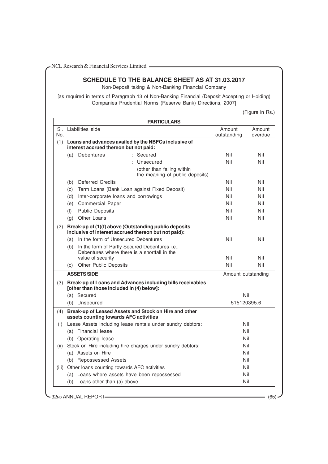# **SCHEDULE TO THE BALANCE SHEET AS AT 31.03.2017**

Non-Deposit taking & Non-Banking Financial Company

[as required in terms of Paragraph 13 of Non-Banking Financial (Deposit Accepting or Holding) Companies Prudential Norms (Reserve Bank) Directions, 2007]

(Figure in Rs.)

| No.  | SI. Liabilities side                                                                                          | Amount<br>outstanding | Amount<br>overdue |
|------|---------------------------------------------------------------------------------------------------------------|-----------------------|-------------------|
|      | (1) Loans and advances availed by the NBFCs inclusive of<br>interest accrued thereon but not paid:            |                       |                   |
|      | (a) Debentures<br>$:$ Secured                                                                                 | Nil                   | Nil               |
|      | : Unsecured                                                                                                   | Nil                   | Nil               |
|      | (other than falling within<br>the meaning of public deposits)                                                 |                       |                   |
|      | <b>Deferred Credits</b><br>(b)                                                                                | Nil                   | Nil               |
|      | Term Loans (Bank Loan against Fixed Deposit)<br>(c)                                                           | Nil                   | Nil               |
|      | Inter-corporate loans and borrowings<br>(d)                                                                   | Nil                   | Nil               |
|      | (e)<br><b>Commercial Paper</b>                                                                                | Nil                   | Nil               |
|      | <b>Public Deposits</b><br>(f)                                                                                 | Nil                   | Nil               |
|      | Other Loans<br>(q)                                                                                            | Nil                   | Nil               |
| (2)  | Break-up of (1)(f) above (Outstanding public deposits<br>inclusive of interest accrued thereon but not paid): |                       |                   |
|      | In the form of Unsecured Debentures<br>(a)                                                                    | Nil                   | Nil               |
|      | In the form of Partly Secured Debentures i.e.,<br>(b)<br>Debentures where there is a shortfall in the         |                       |                   |
|      | value of security                                                                                             | Nil                   | Nil               |
|      | Other Public Deposits<br>(C)                                                                                  | Nil                   | Nil               |
|      | <b>ASSETS SIDE</b>                                                                                            | Amount outstanding    |                   |
|      | (3) Break-up of Loans and Advances including bills receivables<br>[other than those included in (4) below]:   |                       |                   |
|      | (a) Secured                                                                                                   | Nil                   |                   |
|      | (b) Unsecured                                                                                                 | 515120395.6           |                   |
| (4)  | Break-up of Leased Assets and Stock on Hire and other<br>assets counting towards AFC activities               |                       |                   |
| (i)  | Lease Assets including lease rentals under sundry debtors:                                                    | Nil                   |                   |
|      | (a) Financial lease                                                                                           | Nil                   |                   |
|      | (b) Operating lease                                                                                           | Nil                   |                   |
| (ii) | Stock on Hire including hire charges under sundry debtors:                                                    | Nil                   |                   |
|      | (a) Assets on Hire                                                                                            | Nil                   |                   |
|      | (b) Repossessed Assets                                                                                        | Nil                   |                   |
|      | (iii) Other loans counting towards AFC activities                                                             | Nil                   |                   |
|      | (a) Loans where assets have been repossessed                                                                  | Nil                   |                   |
|      | (b) Loans other than (a) above                                                                                | Nil                   |                   |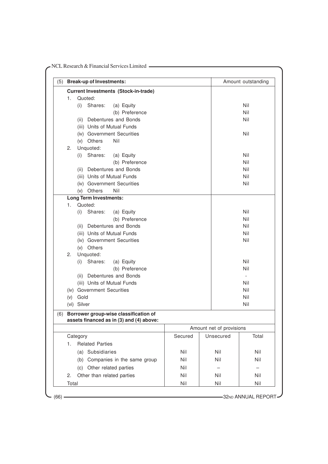| (5) Break-up of Investments:                |         |                          | Amount outstanding       |
|---------------------------------------------|---------|--------------------------|--------------------------|
| <b>Current Investments (Stock-in-trade)</b> |         |                          |                          |
| Quoted:<br>1.                               |         |                          |                          |
| Shares:<br>(a) Equity<br>(i)                |         |                          | Nil                      |
| (b) Preference                              |         |                          | Nil                      |
| (ii) Debentures and Bonds                   |         |                          | Nil                      |
| (iii) Units of Mutual Funds                 |         |                          |                          |
| (iv) Government Securities                  |         |                          | Nil                      |
| Nil<br>(v) Others                           |         |                          |                          |
| Unquoted:<br>2.                             |         |                          |                          |
| Shares:<br>(i)<br>(a) Equity                |         |                          | Nil                      |
| (b) Preference                              |         |                          | Nil                      |
| (ii) Debentures and Bonds                   |         |                          | Nil                      |
| (iii) Units of Mutual Funds                 |         |                          | Nil                      |
| (iv) Government Securities                  |         |                          | Nil                      |
| (v) Others<br>Nil                           |         |                          |                          |
| <b>Long Term Investments:</b>               |         |                          |                          |
| Quoted:<br>1.                               |         |                          |                          |
| Shares:<br>(i)<br>(a) Equity                |         |                          | Nil                      |
| (b) Preference                              |         |                          | Nil                      |
| (ii) Debentures and Bonds                   |         |                          | Nil                      |
| (iii) Units of Mutual Funds                 |         |                          | Nil                      |
| (iv) Government Securities                  |         |                          | Nil                      |
| (v) Others                                  |         |                          |                          |
| Unquoted:<br>2.                             |         |                          |                          |
| Shares:<br>(i)<br>(a) Equity                |         |                          | Nil                      |
| (b) Preference                              |         |                          | Nil                      |
| (ii) Debentures and Bonds                   |         |                          | $\overline{\phantom{a}}$ |
| (iii) Units of Mutual Funds                 |         |                          | Nil                      |
| (iv) Government Securities                  |         |                          | Nil                      |
| Gold<br>(v)                                 |         |                          | Nil                      |
| (vi) Silver                                 |         |                          | Nil                      |
| (6) Borrower group-wise classification of   |         |                          |                          |
| assets financed as in (3) and (4) above:    |         |                          |                          |
|                                             |         | Amount net of provisions |                          |
| Category                                    | Secured | Unsecured                | Total                    |
| <b>Related Parties</b><br>1.                |         |                          |                          |
| (a) Subsidiaries                            | Nil     | Nil                      | Nil                      |
| (b) Companies in the same group             | Nil     | Nil                      | Nil                      |
| (c) Other related parties                   | Nil     |                          |                          |
| Other than related parties<br>2.            | Nil     | Nil                      | Nil                      |
| Total                                       | Nil     | Nil                      | Nil                      |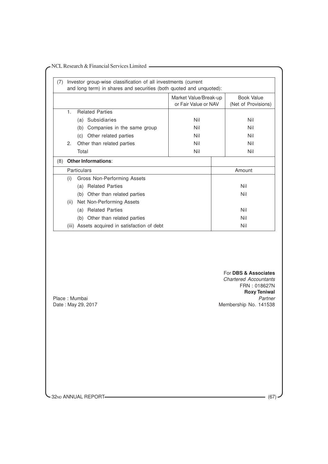|                                               | Market Value/Break-up<br>or Fair Value or NAV | <b>Book Value</b><br>(Net of Provisions)                                                                                        |
|-----------------------------------------------|-----------------------------------------------|---------------------------------------------------------------------------------------------------------------------------------|
| <b>Related Parties</b><br>1.                  |                                               |                                                                                                                                 |
| (a) Subsidiaries                              | Nil                                           | Nil                                                                                                                             |
| (b) Companies in the same group               | Nil                                           | Nil                                                                                                                             |
| (c) Other related parties                     | Nil                                           | Nil                                                                                                                             |
| Other than related parties<br>2.              | Nil                                           | Nil                                                                                                                             |
| Total                                         | Nil                                           | Nil                                                                                                                             |
| (8) Other Informations:                       |                                               |                                                                                                                                 |
| Particulars                                   |                                               | Amount                                                                                                                          |
| Gross Non-Performing Assets<br>(i)            |                                               |                                                                                                                                 |
| (a) Related Parties                           |                                               | Nil                                                                                                                             |
| (b) Other than related parties                |                                               | Nil                                                                                                                             |
| Net Non-Performing Assets<br>(ii)             |                                               |                                                                                                                                 |
| (a) Related Parties                           |                                               | Nil                                                                                                                             |
| (b) Other than related parties                |                                               | Nil                                                                                                                             |
| (iii) Assets acquired in satisfaction of debt |                                               | Nil                                                                                                                             |
| Place: Mumbai                                 |                                               | For DBS & Associates<br><b>Chartered Accountants</b><br>FRN: 018627N<br><b>Roxy Teniwal</b><br>Partner<br>Membership No. 141538 |

32ND ANNUAL REPORT (67)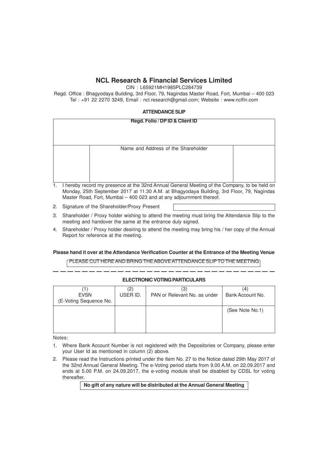CIN : L65921MH1985PLC284739

Regd. Office : Bhagyodaya Building, 3rd Floor, 79, Nagindas Master Road, Fort, Mumbai – 400 023 Tel : +91 22 2270 3249, Email : ncl.research@gmail.com; Website : www.nclfin.com

# **ATTENDANCE SLIP**

| Regd. Folio / DP ID & Client ID                                                           |  |
|-------------------------------------------------------------------------------------------|--|
|                                                                                           |  |
| Name and Address of the Shareholder                                                       |  |
|                                                                                           |  |
|                                                                                           |  |
|                                                                                           |  |
| hereby record my presence at the 32nd Annual General Meeting of the Company to be held on |  |

- 1. I hereby record my presence at the 32nd Annual General Meeting of the Company, to be held on Monday, 25th September 2017 at 11.30 A.M. at Bhagyodaya Building, 3rd Floor, 79, Nagindas Master Road, Fort, Mumbai – 400 023 and at any adjournment thereof.
- 2. Signature of the Shareholder/Proxy Present

- 3. Shareholder / Proxy holder wishing to attend the meeting must bring the Attendance Slip to the meeting and handover the same at the entrance duly signed.
- 4. Shareholder / Proxy holder desiring to attend the meeting may bring his / her copy of the Annual Report for reference at the meeting.

# **Please hand it over at the Attendance Verification Counter at the Entrance of the Meeting Venue**

PLEASE CUT HERE AND BRING THE ABOVE ATTENDANCE SLIP TO THE MEETING

# **ELECTRONIC VOTING PARTICULARS**

| <b>EVSN</b>            | $\left( 2\right)$ | (3)                          | (4)              |
|------------------------|-------------------|------------------------------|------------------|
| (E-Voting Sequence No. | USER ID.          | PAN or Relevant No. as under | Bank Account No. |
|                        |                   |                              | (See Note No.1)  |

Notes:

- 1. Where Bank Account Number is not registered with the Depositories or Company, please enter your User Id as mentioned in column (2) above.
- 2. Please read the Instructions printed under the Item No. 27 to the Notice dated 29th May 2017 of the 32nd Annual General Meeting. The e-Voting period starts from 9.00 A.M. on 22.09.2017 and ends at 5.00 P.M. on 24.09.2017, the e-voting module shall be disabled by CDSL for voting thereafter.

# **No gift of any nature will be distributed at the Annual General Meeting**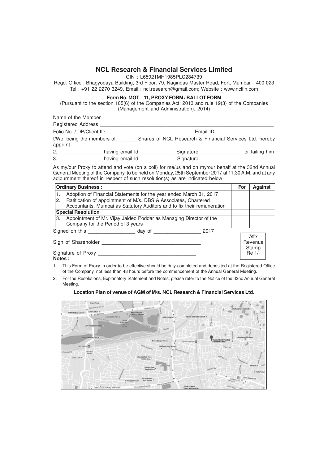CIN : L65921MH1985PLC284739

Regd. Office : Bhagyodaya Building, 3rd Floor, 79, Nagindas Master Road, Fort, Mumbai – 400 023 Tel : +91 22 2270 3249, Email : ncl.research@gmail.com; Website : www.nclfin.com

#### **Form No. MGT – 11, PROXY FORM / BALLOT FORM**

(Pursuant to the section 105(6) of the Companies Act, 2013 and rule 19(3) of the Companies (Management and Administration), 2014)

|         | Name of the Member         |                 |           |                                                         |
|---------|----------------------------|-----------------|-----------|---------------------------------------------------------|
|         | <b>Registered Address</b>  |                 |           |                                                         |
|         | Folio No. / DP/Client ID   |                 | Email ID  |                                                         |
| appoint | I/We, being the members of |                 |           | Shares of NCL Research & Financial Services Ltd. hereby |
| 2.      |                            | having email Id | Signature | or failing him                                          |
| -3.     |                            | having email Id | Signature |                                                         |

As my/our Proxy to attend and vote (on a poll) for me/us and on my/our behalf at the 32nd Annual General Meeting of the Company, to be held on Monday, 25th September 2017 at 11.30 A.M. and at any adjournment thereof in respect of such resolution(s) as are indicated below :

|                           | <b>Ordinary Business:</b>                                                                                                                  |  | For | <b>Against</b>    |  |
|---------------------------|--------------------------------------------------------------------------------------------------------------------------------------------|--|-----|-------------------|--|
|                           | Adoption of Financial Statements for the year ended March 31, 2017                                                                         |  |     |                   |  |
| 2.                        | Ratification of appointment of M/s. DBS & Associates, Chartered<br>Accountants, Mumbai as Statutory Auditors and to fix their remuneration |  |     |                   |  |
| <b>Special Resolution</b> |                                                                                                                                            |  |     |                   |  |
| 3.                        | Appointment of Mr. Vijay Jaideo Poddar as Managing Director of the<br>Company for the Period of 3 years                                    |  |     |                   |  |
|                           | Signed on this state of the state of the Signed on this<br>2017<br>day of                                                                  |  |     |                   |  |
| Sign of Shareholder       |                                                                                                                                            |  |     | Affix<br>Revenue  |  |
|                           | Signature of Proxy                                                                                                                         |  |     | Stamp<br>$Re 1/-$ |  |

**Notes :** 1. This Form of Proxy in order to be effective should be duly completed and deposited at the Registered Office of the Company, not less than 48 hours before the commencement of the Annual General Meeting.

2. For the Resolutions, Explanatory Statement and Notes, please refer to the Notice of the 32nd Annual General Meeting.

#### **Location Plan of venue of AGM of M/s. NCL Research & Financial Services Ltd.**

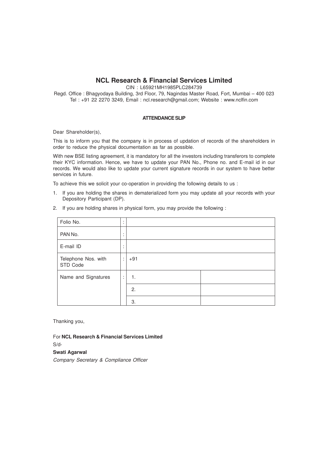## **NCL Research & Financial Services Limited**

CIN : L65921MH1985PLC284739

Regd. Office : Bhagyodaya Building, 3rd Floor, 79, Nagindas Master Road, Fort, Mumbai – 400 023 Tel : +91 22 2270 3249, Email : ncl.research@gmail.com; Website : www.nclfin.com

## **ATTENDANCE SLIP**

Dear Shareholder(s),

This is to inform you that the company is in process of updation of records of the shareholders in order to reduce the physical documentation as far as possible.

With new BSE listing agreement, it is mandatory for all the investors including transferors to complete their KYC information. Hence, we have to update your PAN No., Phone no. and E-mail id in our records. We would also like to update your current signature records in our system to have better services in future.

To achieve this we solicit your co-operation in providing the following details to us :

- 1. If you are holding the shares in dematerialized form you may update all your records with your Depository Participant (DP).
- 2. If you are holding shares in physical form, you may provide the following :

| Folio No.                       | ٠            |       |  |
|---------------------------------|--------------|-------|--|
| PAN No.                         | ٠            |       |  |
| E-mail ID                       | ٠            |       |  |
| Telephone Nos. with<br>STD Code | ÷            | $+91$ |  |
| Name and Signatures             | $\mathbf{r}$ | 1.    |  |
|                                 |              | 2.    |  |
|                                 |              | 3.    |  |

Thanking you,

For **NCL Research & Financial Services Limited**

S/d-

**Swati Agarwal** Company Secretary & Compliance Officer